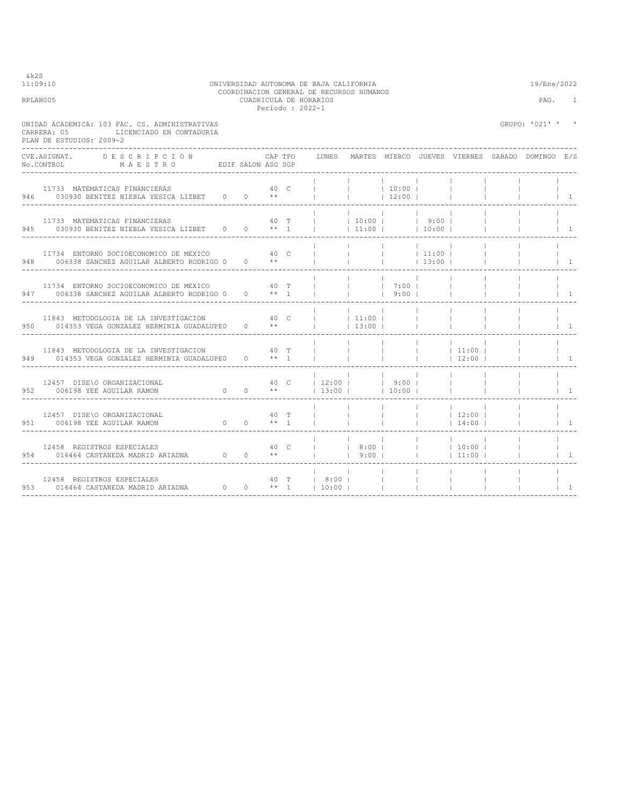$& k2S$ <br>11:09:10

### 11:09:10 UNIVERSIDAD AUTONOMA DE BAJA CALIFORNIA 19/Ene/2022 COORDINACION GENERAL DE RECURSOS HUMANOS RPLAN005 CUADRICULA DE HORARIOS PAG. 1 Periodo : 2022-1

| CARRERA: 05<br>PLAN DE ESTUDIOS: 2009-2 | UNIDAD ACADEMICA: 103 FAC. CS. ADMINISTRATIVAS<br>LICENCIADO EN CONTADURIA                                                           |                              |      |                                                                           |                                                                                                    |                          |                          | GRUPO: '021' ' ' |                |
|-----------------------------------------|--------------------------------------------------------------------------------------------------------------------------------------|------------------------------|------|---------------------------------------------------------------------------|----------------------------------------------------------------------------------------------------|--------------------------|--------------------------|------------------|----------------|
|                                         | CVE.ASIGNAT. DESCRIPCION<br>No.CONTROL MAESTRO EDIF SALON ASG SGP                                                                    |                              |      | CAP TPO     LUNES   MARTES  MIERCO  JUEVES  VIERNES  SABADO  DOMINGO  E/S |                                                                                                    |                          |                          |                  |                |
|                                         | 11733 MATEMATICAS FINANCIERAS<br>946 030930 BENITEZ NIEBLA YESICA LIZBET 0 0 **                                                      |                              | 40 C |                                                                           | 10:00                                                                                              | 12:00                    |                          |                  | $\overline{1}$ |
|                                         | 11733 MATEMATICAS FINANCIERAS $40$ T<br>945 030930 BENITEZ NIEBLA YESICA LIZBET 0 0 ** 1                                             |                              |      |                                                                           | $ $ $ $ 11:00 $ $ 10:00 $ $                                                                        |                          |                          |                  | $\overline{1}$ |
|                                         | 11734 ENTORNO SOCIOECONOMICO DE MEXICO 60 000 000 000<br>948 006338 SANCHEZ AGUILAR ALBERTO RODRIGO 0 0 **                           |                              |      |                                                                           | $\begin{array}{ccccccc} &   & &   & &   & 11:00 &   \\ &   & &   & &   & 13:00 &   \\ \end{array}$ |                          |                          |                  | $\overline{1}$ |
|                                         | 11734 ENTORNO SOCIOECONOMICO DE MEXICO 60 000 1000 T<br>947 006338 SANCHEZ AGUILAR ALBERTO RODRIGO 0 0 ** 1                          |                              |      |                                                                           | 7:00                                                                                               | 9:00                     |                          |                  | $\overline{1}$ |
|                                         | 11843 METODOLOGIA DE LA INVESTIGACION<br>950 014353 VEGA GONZALEZ HERMINIA GUADALUPEO                                                | $40-$<br>$0 \rightarrow *$   |      |                                                                           | 111:00 <br> 13:00                                                                                  |                          |                          |                  | $\overline{1}$ |
|                                         | 11843 METODOLOGIA DE LA INVESTIGACION<br>949 014353 VEGA GONZALEZ HERMINIA GUADALUPE0 0 ** 1                                         |                              | 40 T |                                                                           |                                                                                                    |                          | $11:00$  <br>$12:00$     |                  | $\vert$ 1      |
|                                         | 12457 DISE\O ORGANIZACIONAL<br>$0 \t 0 \t \star\star$<br>952 006198 YEE AGUILAR RAMON                                                |                              |      | $ 13:00 $ $ 10:00 $                                                       | and the property                                                                                   | the contract of the con- | <b>Contract Contract</b> |                  | $\overline{1}$ |
|                                         | 12457 DISE\O ORGANIZACIONAL<br>951 006198 YEE AGUILAR RAMON                                                                          | $0 \t 0 \t \star \star \t 1$ | 40 T |                                                                           |                                                                                                    | $\mathbb{R}$             | $ $ 12:00  <br>14:00     |                  | $\overline{1}$ |
|                                         | 12458 REGISTROS ESPECIALES<br>954 016464 CASTANEDA MADRID ARIADNA $0 \quad 0 \quad 1 \quad 1 \quad 9:00 \quad 1 \quad 1 \quad 11:00$ | 40 C                         |      |                                                                           | 8:00                                                                                               |                          | $ $ 10:00                |                  | $\vert$ 1      |
|                                         | 12458 REGISTROS ESPECIALES<br>953 016464 CASTANEDA MADRID ARIADNA $0 \t 0 \t \star 1$ 10:00                                          |                              |      | 40 T   8:00                                                               |                                                                                                    |                          |                          |                  | $\overline{1}$ |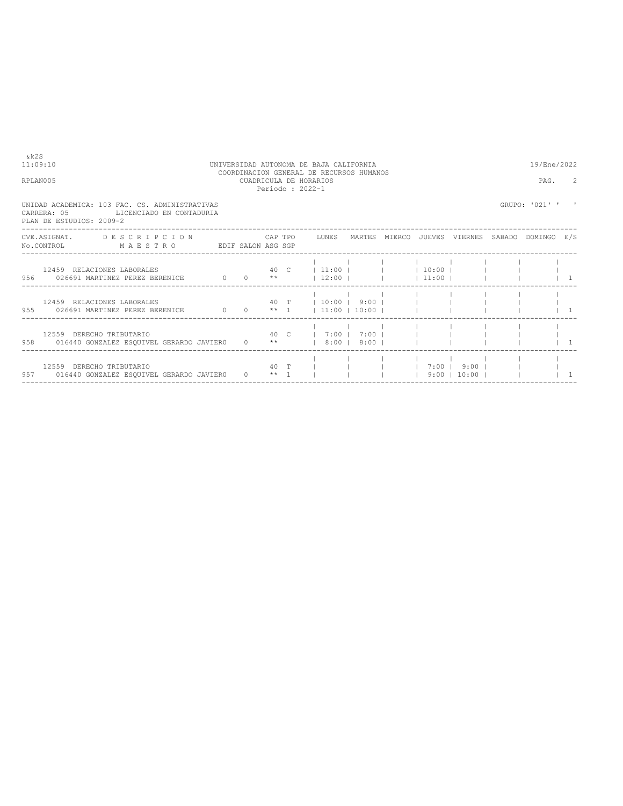| 11:09:10 |                                                                                                                                                                                                             |  |  | UNIVERSIDAD AUTONOMA DE BAJA CALIFORNIA<br>COORDINACION GENERAL DE RECURSOS HUMANOS |  |                | 19/Ene/2022    |  |
|----------|-------------------------------------------------------------------------------------------------------------------------------------------------------------------------------------------------------------|--|--|-------------------------------------------------------------------------------------|--|----------------|----------------|--|
| RPLAN005 |                                                                                                                                                                                                             |  |  | CUADRICULA DE HORARIOS<br>Periodo: 2022-1                                           |  |                | PAG.           |  |
|          | UNIDAD ACADEMICA: 103 FAC. CS. ADMINISTRATIVAS<br>CARRERA: 05<br>LICENCIADO EN CONTADURIA<br>PLAN DE ESTUDIOS: 2009-2                                                                                       |  |  |                                                                                     |  |                | GRUPO: '021' ' |  |
|          | CVE.ASIGNAT. DESCRIPCION CAPTPO LUNES MARTES MIERCO JUEVES VIERNES SABADO DOMINGO E/S<br>No.CONTROL MAESTRO EDIF SALON ASG SGP                                                                              |  |  |                                                                                     |  |                |                |  |
|          | 956 026691 MARTINEZ PEREZ BERENICE 0 0 **   12:00       11:00                                                                                                                                               |  |  |                                                                                     |  |                |                |  |
|          | 12459 RELACIONES LABORALES<br>955   026691 MARTINEZ PEREZ BERENICE   0   0   ** 1     11:00   10:00                                                                                                         |  |  | $40$ T $10:00$ $9:00$ $1$ $1$                                                       |  |                |                |  |
|          | $40 \quad C \qquad   \qquad 7:00 \qquad   \qquad 7:00 \qquad   \qquad   \qquad   \qquad   \qquad   \qquad  $<br>12559 DERECHO TRIBUTARIO<br>958 016440 GONZALEZ ESQUIVEL GERARDO JAVIER0 0 **   8:00   8:00 |  |  |                                                                                     |  |                |                |  |
|          | 12559 DERECHO TRIBUTARIO<br>957 016440 GONZALEZ ESQUIVEL GERARDO JAVIERO 0 ** 1                                                                                                                             |  |  | 40 T         7:00   9:00                                                            |  | $9:00$   10:00 |                |  |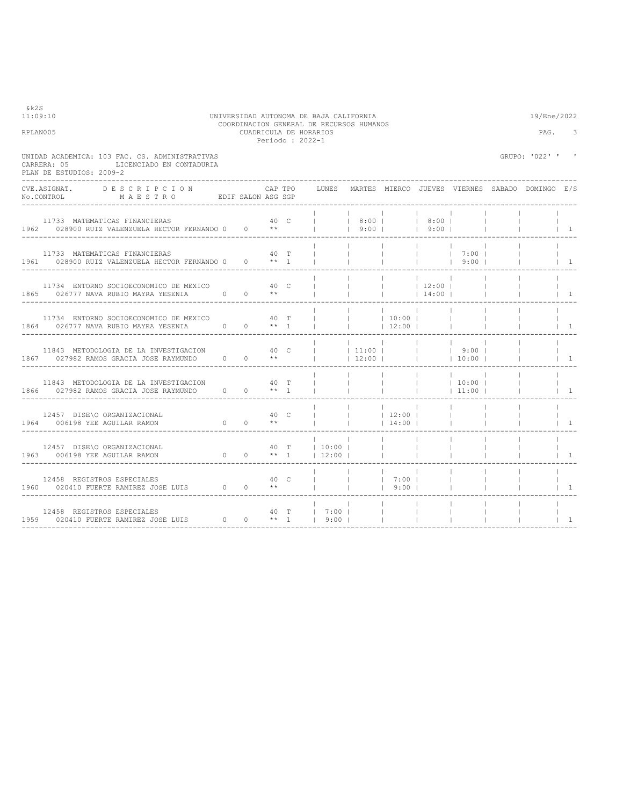| &k2S<br>11:09:10<br>RPLAN005                                                                                          |                     |      |         | Periodo: 2022-1 | UNIVERSIDAD AUTONOMA DE BAJA CALIFORNIA<br>COORDINACION GENERAL DE RECURSOS HUMANOS<br>CUADRICULA DE HORARIOS |                          |                          |                          |                          | 19/Ene/2022<br>PAG.                             | 3                                       |
|-----------------------------------------------------------------------------------------------------------------------|---------------------|------|---------|-----------------|---------------------------------------------------------------------------------------------------------------|--------------------------|--------------------------|--------------------------|--------------------------|-------------------------------------------------|-----------------------------------------|
| UNIDAD ACADEMICA: 103 FAC. CS. ADMINISTRATIVAS<br>LICENCIADO EN CONTADURIA<br>CARRERA: 05<br>PLAN DE ESTUDIOS: 2009-2 |                     |      |         |                 |                                                                                                               |                          |                          |                          |                          | GRUPO: '022' '                                  | $\mathbf{r}$                            |
| CVE.ASIGNAT.<br>DESCRIPCION<br>No.CONTROL MAESTRO EDIF SALON ASG SGP                                                  |                     |      | CAP TPO |                 | LUNES                                                                                                         |                          |                          |                          |                          | MARTES MIERCO JUEVES VIERNES SABADO DOMINGO E/S |                                         |
| 40 C<br>11733 MATEMATICAS FINANCIERAS<br>1962 028900 RUIZ VALENZUELA HECTOR FERNANDO 0 0 **                           |                     |      |         |                 | <b>College College</b>                                                                                        | 9:00                     | 8:00   8:00              | 19:001                   |                          |                                                 | $\begin{array}{cc} 1 & 1 \end{array}$   |
| 11733 MATEMATICAS FINANCIERAS<br>1961 028900 RUIZ VALENZUELA HECTOR FERNANDO 0 0 ** 1                                 |                     |      | 40 T    |                 |                                                                                                               | <b>Contract Contract</b> | $\mathbf{1}$             | <b>Contract Contract</b> | $1 \t7:00 \t1$<br> 9:00  |                                                 | $1 \quad 1$                             |
| 11734 ENTORNO SOCIOECONOMICO DE MEXICO 640 C<br>1865 026777 NAVA RUBIO MAYRA YESENIA 0 0 **                           |                     |      |         |                 |                                                                                                               | <b>Contract</b>          | <b>Contract Contract</b> | 12:00 <br> 14:00         |                          |                                                 | $\begin{array}{ccc} & 1 \\ \end{array}$ |
| 11734 ENTORNO SOCIOECONOMICO DE MEXICO 640 T<br>1864 026777 NAVA RUBIO MAYRA YESENIA                                  | $0 \t 0 \t \star 1$ |      |         |                 |                                                                                                               | <b>Contract Contract</b> | 10:00 <br>12:00          |                          | $\blacksquare$           |                                                 | $\begin{array}{cc} 1 & 1 \end{array}$   |
| 11843 METODOLOGIA DE LA INVESTIGACION<br>1867 027982 RAMOS GRACIA JOSE RAYMUNDO 0 0 **                                |                     |      | 40 C    |                 |                                                                                                               | 11:00 <br> 12:00         |                          | <b>College</b>           | $1 \t9:00 \t1$<br> 10:00 |                                                 | $\begin{array}{cc} \end{array}$         |
| 11843 METODOLOGIA DE LA INVESTIGACION<br>1866 027982 RAMOS GRACIA JOSE RAYMUNDO 0 0 ** 1                              |                     |      | 40 T    |                 |                                                                                                               |                          |                          | <b>Contract Contract</b> | 10:00 <br> 11:00         |                                                 | $\begin{array}{cc} 1 & 1 \end{array}$   |
| 12457 DISE\O ORGANIZACIONAL<br>$0 \t 0 \t \star\star$<br>1964 006198 YEE AGUILAR RAMON                                |                     | 40 C |         |                 |                                                                                                               | <b>Contract</b>          | 12:00 <br>$14:00$        |                          | $\mathbf{1}$             |                                                 | $\begin{array}{cc} \end{array}$         |
| 12457 DISE\O ORGANIZACIONAL<br>1963 006198 YEE AGUILAR RAMON 0 0 0 ** 1                                               |                     |      |         |                 | 40 T   10:00  <br>$12:00$                                                                                     |                          | $\mathbb{R}$             |                          |                          |                                                 | $\begin{array}{cc} \end{array}$         |
| 12458 REGISTROS ESPECIALES $1960$ 020410 FUERTE RAMIREZ JOSE LUIS 0 0 **                                              |                     |      |         |                 | <b>Contract Contract</b>                                                                                      | <b>Contractor</b>        | 7:00 <br>$19:00$ $1$     |                          |                          |                                                 | $1 \quad 1$                             |
| 12458 REGISTROS ESPECIALES<br>1959 020410 FUERTE RAMIREZ JOSE LUIS 0 0 ** 1   9:00                                    |                     |      |         |                 | 40 T   7:00                                                                                                   |                          | $\mathbb{R}^n$           | $\mathbb{R}$             |                          |                                                 | $\begin{array}{ccc} \end{array}$        |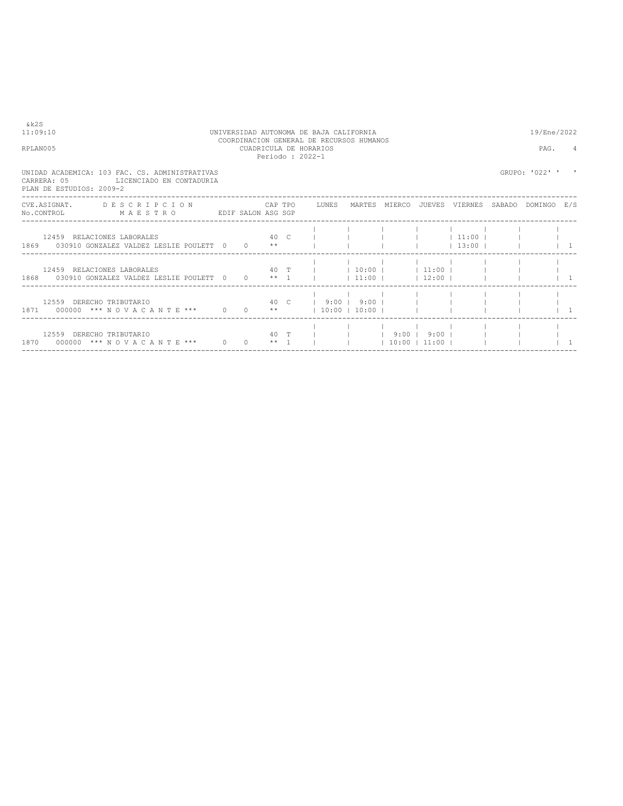| & k 2 S<br>11:09:10<br>RPLAN005                                                                                                |          |                  |      | UNIVERSIDAD AUTONOMA DE BAJA CALIFORNIA<br>COORDINACION GENERAL DE RECURSOS HUMANOS<br>CUADRICULA DE HORARIOS<br>Periodo: 2022-1 |                                     |                                | 19/Ene/2022<br>PAG. | 4 |
|--------------------------------------------------------------------------------------------------------------------------------|----------|------------------|------|----------------------------------------------------------------------------------------------------------------------------------|-------------------------------------|--------------------------------|---------------------|---|
| UNIDAD ACADEMICA: 103 FAC. CS. ADMINISTRATIVAS<br>CARRERA: 05<br>LICENCIADO EN CONTADURIA<br>PLAN DE ESTUDIOS: 2009-2          |          |                  |      |                                                                                                                                  |                                     |                                | GRUPO: '022' '      |   |
| CVE.ASIGNAT. DESCRIPCION CAPTPO LUNES MARTES MIERCO JUEVES VIERNES SABADO DOMINGO E/S<br>No.CONTROL MAESTRO EDIF SALON ASG SGP |          |                  |      |                                                                                                                                  |                                     |                                |                     |   |
| 12459 RELACIONES LABORALES<br>1869 030910 GONZALEZ VALDEZ LESLIE POULETT 0                                                     |          | $0 \times \star$ | 40 C |                                                                                                                                  |                                     | $1 \t11:00 \t1$<br>$13:00$ $1$ |                     |   |
| 12459 RELACIONES LABORALES<br>1868 030910 GONZALEZ VALDEZ LESLIE POULETT 0 0 ** 1                                              |          |                  | 40 T | $1$ 10:00 $1$ 11:00 $1$                                                                                                          | $ 11:00 $ $ 12:00 $                 |                                |                     |   |
| 12559 DERECHO TRIBUTARIO                                                                                                       |          |                  |      | 40 C   9:00                                                                                                                      | $9:00$                              |                                |                     |   |
| 12559 DERECHO TRIBUTARIO<br>1870 000000 *** NOVACANTE ***                                                                      | $\Omega$ | $0 + 1$          | 40 T |                                                                                                                                  | $ $ 1 9:00   9:00  <br> 10:00 11:00 |                                |                     |   |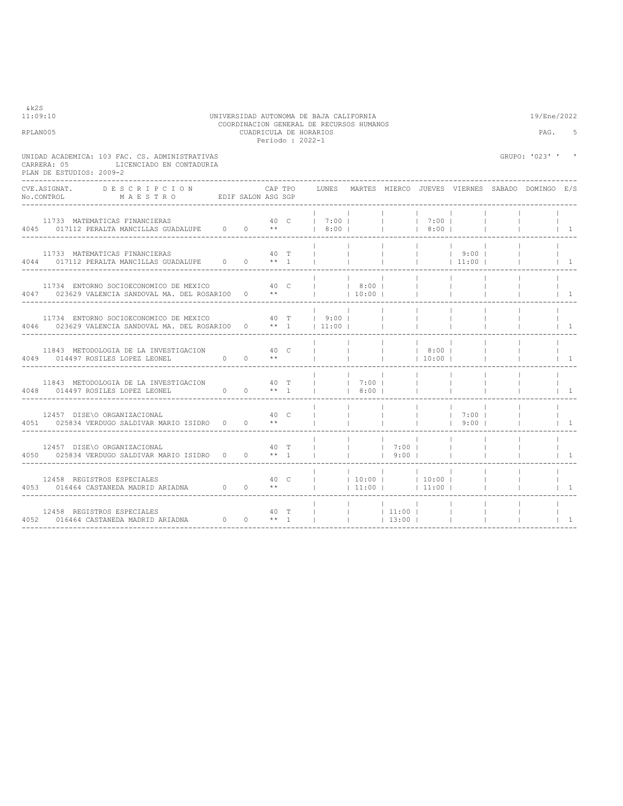| &k2S<br>11:09:10                                                                                                       |      |      |         | UNIVERSIDAD AUTONOMA DE BAJA CALIFORNIA<br>COORDINACION GENERAL DE RECURSOS HUMANOS |                                |                                            |                          |                            |                | 19/Ene/2022                                     |                                       |
|------------------------------------------------------------------------------------------------------------------------|------|------|---------|-------------------------------------------------------------------------------------|--------------------------------|--------------------------------------------|--------------------------|----------------------------|----------------|-------------------------------------------------|---------------------------------------|
| RPLAN005                                                                                                               |      |      |         | CUADRICULA DE HORARIOS<br>Periodo: 2022-1                                           |                                |                                            |                          |                            |                | PAG.                                            | 5                                     |
| UNIDAD ACADEMICA: 103 FAC. CS. ADMINISTRATIVAS<br>LICENCIADO EN CONTADURIA<br>CARRERA: 05<br>PLAN DE ESTUDIOS: 2009-2  |      |      |         |                                                                                     |                                |                                            |                          |                            |                | GRUPO: '023' '                                  | $\,$ I                                |
| CVE.ASIGNAT. DESCRIPCION<br>No.CONTROL MAESTRO EDIF SALON ASG SGP                                                      |      |      | CAP TPO | LUNES                                                                               |                                |                                            |                          |                            |                | MARTES MIERCO JUEVES VIERNES SABADO DOMINGO E/S |                                       |
| 11733 MATEMATICAS FINANCIERAS<br>4045 017112 PERALTA MANCILLAS GUADALUPE 0 0 **                                        |      |      |         | 40 C   7:00  <br>  8:00                                                             |                                | <b>Contract Contract</b>                   | 7:00  <br>  8:00         |                            |                |                                                 | $\vert$ 1                             |
| 11733 MATEMATICAS FINANCIERAS                                                                                          |      | 40 T |         | $\mathbb{R}$                                                                        | $\mathbf{1}$                   | $\mathbb{R}^n$                             |                          | $ $ 9:00  <br>$ $ 11:00    |                | $\mathbf{1}$                                    | $\begin{array}{cc} 1 & 1 \end{array}$ |
| 11734 ENTORNO SOCIOECONOMICO DE MEXICO 40 C<br>4047 023629 VALENCIA SANDOVAL MA. DEL ROSARIO0 0 **                     |      |      |         | 8:00  <br><b>Contract</b>                                                           | 10:00                          |                                            | <b>Contract Contract</b> |                            |                |                                                 | $\overline{1}$                        |
| 11734 ENTORNO SOCIOECONOMICO DE MEXICO 60 40 T<br>4046 023629 VALENCIA SANDOVAL MA. DEL ROSARIO0 0 ** 1   11:00        |      |      |         | 9:00                                                                                |                                | $\mathbb{R}^n$<br>$\overline{\phantom{a}}$ | $\mathbf{L}$             |                            |                |                                                 | $1 \quad 1$                           |
| 11843 METODOLOGIA DE LA INVESTIGACION<br>$0 \t 0 \t \star\star$<br>4049 014497 ROSILES LOPEZ LEONEL                    |      | 40 C |         |                                                                                     |                                | $\mathcal{A}$                              | 8:00  <br> 10:00         |                            |                |                                                 | $\begin{array}{cc} \end{array}$       |
| 11843 METODOLOGIA DE LA INVESTIGACION 40 T<br>$0 \t 0 \t \star 1$<br>4048 014497 ROSILES LOPEZ LEONEL                  |      |      |         | $\mathbb{R}$<br><b>The Company</b>                                                  | 7:00 <br>  8:00                |                                            | $\blacksquare$           |                            |                |                                                 | $\begin{array}{cc} 1 & 1 \end{array}$ |
| 12457 DISE\O ORGANIZACIONAL<br>4051 025834 VERDUGO SALDIVAR MARIO ISIDRO 0 0 **                                        |      | 40 C |         | $\mathbf{1}$                                                                        | <b>Contract</b><br>$\sim$ 1.   | $\mathbb{R}^n$                             | <b>Contract Contract</b> | $1 \quad 7:00$ 1<br>$9:00$ |                |                                                 | $\vert$ 1                             |
| 12457 DISE\O ORGANIZACIONAL<br>4050 025834 VERDUGO SALDIVAR MARIO ISIDRO 0 0 ** 1                                      | 40 T |      |         | $\mathbf{1}$                                                                        | <b>Contract Contract</b>       | $17:00$ 1<br>$1$ 9:00                      |                          |                            |                |                                                 | $\begin{array}{cc} \end{array}$       |
| 12458 REGISTROS ESPECIALES $40 \text{ C}$     10:00   4053 016464 CASTANEDA MADRID ARIADNA $0 \text{ A}$ + +     11:00 |      |      |         |                                                                                     | $ 11:00 $ $ 11:00 $            |                                            | 10:00                    |                            | $\mathbb{R}^n$ |                                                 | $1 \quad 1$                           |
| 12458 REGISTROS ESPECIALES<br>4052 016464 CASTANEDA MADRID ARIADNA $0$ 0 ** 1                                          |      | 40 T |         |                                                                                     | $ $ $ $ 11:00 $ $<br>$ $ 13:00 |                                            |                          | <b>College</b>             | $\mathbb{R}$   |                                                 | $\begin{array}{cc} \end{array}$       |

# 11:09:10 UNIVERSIDAD AUTONOMA DE BAJA CALIFORNIA 19/Ene/2022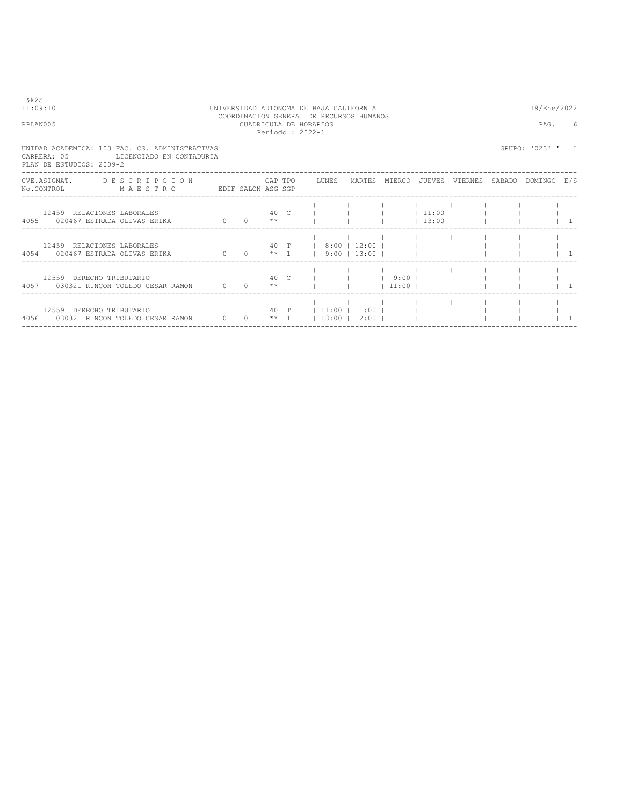| & k 2 S<br>11:09:10<br>RPLAN005                                                                                       |                              | CUADRICULA DE HORARIOS | Periodo: 2022-1                |  | UNIVERSIDAD AUTONOMA DE BAJA CALIFORNIA<br>COORDINACION GENERAL DE RECURSOS HUMANOS |                                |                     |  | 19/Ene/2022<br>PAG. | 6 |
|-----------------------------------------------------------------------------------------------------------------------|------------------------------|------------------------|--------------------------------|--|-------------------------------------------------------------------------------------|--------------------------------|---------------------|--|---------------------|---|
| UNIDAD ACADEMICA: 103 FAC. CS. ADMINISTRATIVAS<br>CARRERA: 05<br>LICENCIADO EN CONTADURIA<br>PLAN DE ESTUDIOS: 2009-2 |                              |                        |                                |  |                                                                                     |                                |                     |  | GRUPO: '023' '      |   |
| CVE.ASIGNAT. DESCRIPCION CAPTPO LUNES MARTES MIERCO JUEVES VIERNES SABADO DOMINGO E/S<br>NO.CONTROL MAESTRO           | EDIF SALON ASG SGP           |                        |                                |  |                                                                                     |                                |                     |  |                     |   |
| 12459 RELACIONES LABORALES<br>4055 020467 ESTRADA OLIVAS ERIKA                                                        | $\sim$ 0                     |                        | 40 C<br>$0 \longrightarrow$ ** |  |                                                                                     |                                | $11:00$  <br> 13:00 |  |                     |   |
| 12459 RELACIONES LABORALES<br>4054 020467 ESTRADA OLIVAS ERIKA                                                        | 0 0 $**$ 1 9:00 13:00 1      |                        |                                |  |                                                                                     | 40 T   8:00   12:00            |                     |  |                     |   |
| 12559 DERECHO TRIBUTARIO<br>4057 030321 RINCON TOLEDO CESAR RAMON 0 0 **                                              |                              |                        | 40 C                           |  |                                                                                     | 9:00 <sub>1</sub><br>$11:00$ 1 |                     |  |                     |   |
| 12559 DERECHO TRIBUTARIO<br>4056 030321 RINCON TOLEDO CESAR RAMON                                                     | $0 \quad 0 \quad ** \quad 1$ |                        |                                |  | 40 T 11:00 11:00 I<br> 13:00 12:00                                                  |                                |                     |  |                     |   |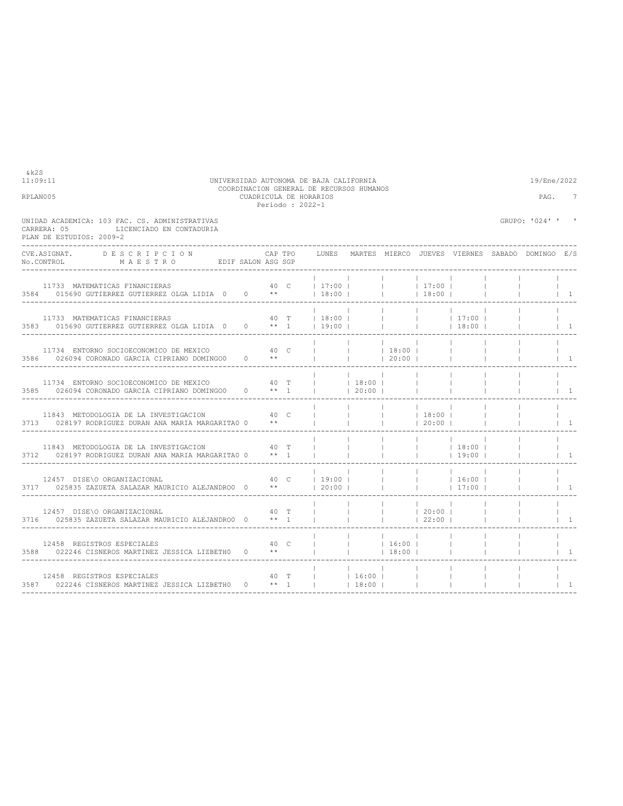| RPLAN005                                                                                                                                                                                                                                                                                                                                                                                                                                                                                   |              | CUADRICULA DE HORARIOS<br>Periodo : 2022-1 | COORDINACION GENERAL DE RECURSOS HUMANOS |                              |                          |                                          |                                |              | PAG.                                                  | 7                                       |
|--------------------------------------------------------------------------------------------------------------------------------------------------------------------------------------------------------------------------------------------------------------------------------------------------------------------------------------------------------------------------------------------------------------------------------------------------------------------------------------------|--------------|--------------------------------------------|------------------------------------------|------------------------------|--------------------------|------------------------------------------|--------------------------------|--------------|-------------------------------------------------------|-----------------------------------------|
| UNIDAD ACADEMICA: 103 FAC. CS. ADMINISTRATIVAS<br>LICENCIADO EN CONTADURIA<br>CARRERA: 05<br>PLAN DE ESTUDIOS: 2009-2                                                                                                                                                                                                                                                                                                                                                                      |              |                                            |                                          |                              |                          |                                          |                                |              | GRUPO: '024' ' '                                      |                                         |
| <b>DESCRIPCION</b><br>CVE.ASIGNAT.<br>$\verb No.CONTROL  \qquad \qquad \verb M A E S T R O  \qquad \qquad \verb EDIF SALON ASS SGP  \qquad \qquad \verb N.75  \qquad \qquad \verb M A E S T R O  \qquad \qquad \verb EDIF SALON ASS SGP  \qquad \qquad \verb N.75  \qquad \qquad \verb N.75  \qquad \qquad \verb N.75  \qquad \qquad \verb N.75  \qquad \qquad \verb N.75  \qquad \qquad \verb N.75  \qquad \qquad \verb N.75  \qquad \qquad \verb N.75  \qquad \qquad \verb N.75  \qquad$ |              | CAP TPO                                    |                                          |                              |                          |                                          |                                |              | LUNES MARTES MIERCO JUEVES VIERNES SABADO DOMINGO E/S |                                         |
| 11733 MATEMATICAS FINANCIERAS 40 C   17:00       17:00  <br>3584 015690 GUTIERREZ GUTIERREZ OLGA LIDIA 0 0 **                                                                                                                                                                                                                                                                                                                                                                              |              |                                            | 18:00                                    |                              |                          | $ $ 18:00                                |                                |              |                                                       | $\begin{array}{ccc} & 1 \\ \end{array}$ |
| 11733 MATEMATICAS FINANCIERAS<br>3583 015690 GUTIERREZ GUTIERREZ OLGA LIDIA 0 0 ** 1   19:00                                                                                                                                                                                                                                                                                                                                                                                               |              |                                            | 40 T   18:00               17:00         |                              |                          |                                          | $ $ 18:00                      |              |                                                       | $\vert$ 1                               |
| 11734 ENTORNO SOCIOECONOMICO DE MEXICO 60 000 000 000 000<br>3586 026094 CORONADO GARCIA CIPRIANO DOMINGO0 0 **                                                                                                                                                                                                                                                                                                                                                                            |              |                                            | $-1$                                     | $\sim 10^{-11}$              | 20:00                    |                                          |                                |              |                                                       | $\vert$ 1                               |
| 11734 ENTORNO SOCIOECONOMICO DE MEXICO $40$ T     18:00   3585 026094 CORONADO GARCIA CIPRIANO DOMINGO0 0 ** 1     20:00                                                                                                                                                                                                                                                                                                                                                                   |              |                                            |                                          |                              | $\sim$ 1.0               | <b>Contract</b>                          |                                |              |                                                       | $\overline{1}$                          |
| $40-$<br>11843 METODOLOGIA DE LA INVESTIGACION<br>3713 028197 RODRIGUEZ DURAN ANA MARIA MARGARITAO 0                                                                                                                                                                                                                                                                                                                                                                                       | $\star\star$ |                                            | $\mathbb{R}$                             |                              |                          | $ $ 18:00  <br>$\frac{1}{20:00}$   20:00 |                                |              |                                                       | $1 - 1$                                 |
| 11843 METODOLOGIA DE LA INVESTIGACION<br>3712 028197 RODRIGUEZ DURAN ANA MARIA MARGARITAO 0 ** 1                                                                                                                                                                                                                                                                                                                                                                                           |              | $40$ T  <br><b>Contract</b>                |                                          | <b>Contract</b><br>$\sim$ 1. | <b>Contract Contract</b> | the company of the com-                  | $ $ 18:00  <br>$19:00$ $\perp$ |              |                                                       | $1 - 1$                                 |
| 12457 DISE\O ORGANIZACIONAL<br>3717 025835 ZAZUETA SALAZAR MAURICIO ALEJANDRO0 0 **   20:00                                                                                                                                                                                                                                                                                                                                                                                                |              |                                            | 40 C 19:00 I                             | $\sim$ 1                     |                          |                                          | 17:00                          |              | <b>Contract Contract</b>                              | $1 \quad 1$                             |
| 12457 DISE\O ORGANIZACIONAL<br>3716 025835 ZAZUETA SALAZAR MAURICIO ALEJANDRO0 0 ** 1                                                                                                                                                                                                                                                                                                                                                                                                      | 40 T         |                                            |                                          | $\mathbb{R}^n$               |                          | 20:00  <br> 22:00                        |                                | $\mathbb{R}$ |                                                       | $1 \quad 1$                             |
| 12458 REGISTROS ESPECIALES<br>3588 022246 CISNEROS MARTINEZ JESSICA LIZBETH0 0 **                                                                                                                                                                                                                                                                                                                                                                                                          | 40 C         |                                            |                                          | 16:00                        | $18:00$                  |                                          |                                |              |                                                       | $\overline{1}$                          |
| 12458 REGISTROS ESPECIALES<br>3587 022246 CISNEROS MARTINEZ JESSICA LIZBETH0 0 ** 1                                                                                                                                                                                                                                                                                                                                                                                                        |              |                                            | 40 T     16:00                           | $18:00$ $\perp$              | <b>Contract Contract</b> |                                          |                                |              |                                                       | $\overline{1}$                          |

11:09:11 UNIVERSIDAD AUTONOMA DE BAJA CALIFORNIA 19/Ene/2022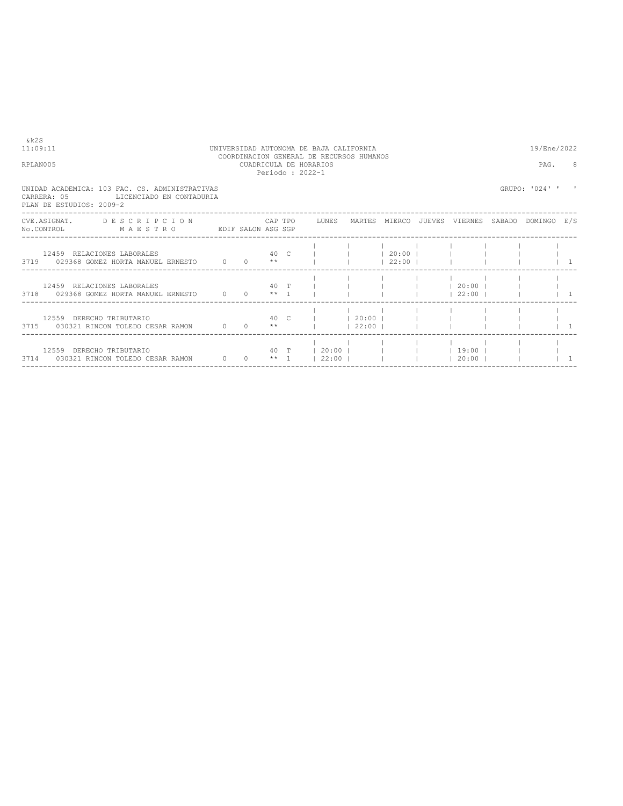| RPLAN005                                                                                                                       |  | CUADRICULA DE HORARIOS<br>Periodo: 2022-1 | COORDINACION GENERAL DE RECURSOS HUMANOS |       |                                                    | PAG.           |  |
|--------------------------------------------------------------------------------------------------------------------------------|--|-------------------------------------------|------------------------------------------|-------|----------------------------------------------------|----------------|--|
| UNIDAD ACADEMICA: 103 FAC. CS. ADMINISTRATIVAS<br>CARRERA: 05<br>LICENCIADO EN CONTADURIA<br>PLAN DE ESTUDIOS: 2009-2          |  |                                           |                                          |       |                                                    | GRUPO: '024' ' |  |
| CVE.ASIGNAT. DESCRIPCION CAPTPO LUNES MARTES MIERCO JUEVES VIERNES SABADO DOMINGO E/S<br>No.CONTROL MAESTRO EDIF SALON ASG SGP |  |                                           |                                          |       |                                                    |                |  |
| 12459 RELACIONES LABORALES<br>3719 029368 GOMEZ HORTA MANUEL ERNESTO 0 0 **                                                    |  |                                           | 40 C       20:00                         | 22:00 |                                                    |                |  |
| 12459 RELACIONES LABORALES<br>3718 029368 GOMEZ HORTA MANUEL ERNESTO 0 0 ** 1                                                  |  |                                           |                                          |       | 40 T             20:00  <br>$1 \t 22:00 \t 1 \t 1$ |                |  |
| 12559 DERECHO TRIBUTARIO<br>3715 030321 RINCON TOLEDO CESAR RAMON                                                              |  | $0 \t 0 \t \star\star$                    | 40 C I 1 20:00 I<br>$1 \t 22:00 \t 1$    |       |                                                    |                |  |
| 12559 DERECHO TRIBUTARIO<br>3714 030321 RINCON TOLEDO CESAR RAMON 0 0 ** 1   22:00                                             |  |                                           |                                          |       | 40 T   20:00             19:00  <br>$ 20:00 $      |                |  |

 $&k2S$ <br>11:09:11

# 11:09:11 UNIVERSIDAD AUTONOMA DE BAJA CALIFORNIA 19/Ene/2022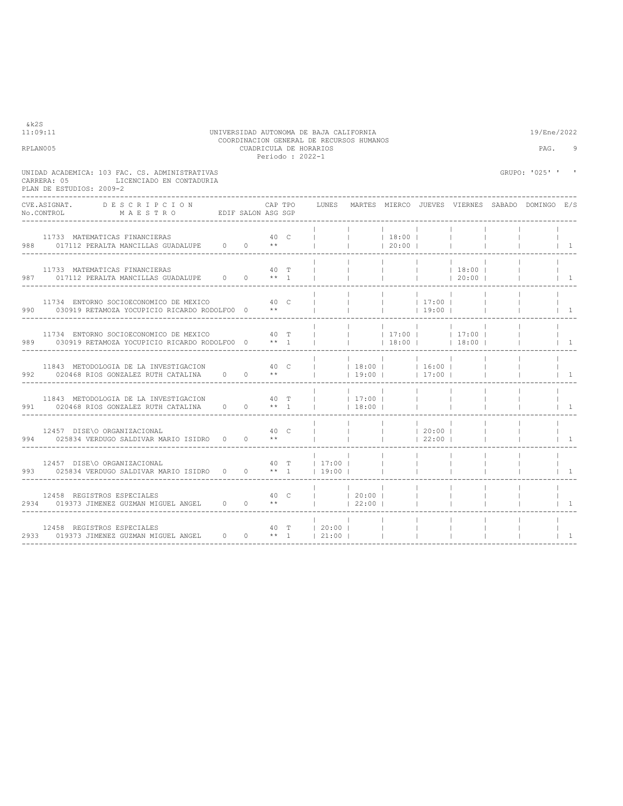| 11:09:11<br>RPLAN005 |                                                                                                                                                                                                                                                                                                                 |      |                 |         | Periodo: 2022-1 | UNIVERSIDAD AUTONOMA DE BAJA CALIFORNIA<br>COORDINACION GENERAL DE RECURSOS HUMANOS<br>CUADRICULA DE HORARIOS |                        |                                                      |                                                      |                                          |           | 19/Ene/2022<br>PAG.                                   | q                               |
|----------------------|-----------------------------------------------------------------------------------------------------------------------------------------------------------------------------------------------------------------------------------------------------------------------------------------------------------------|------|-----------------|---------|-----------------|---------------------------------------------------------------------------------------------------------------|------------------------|------------------------------------------------------|------------------------------------------------------|------------------------------------------|-----------|-------------------------------------------------------|---------------------------------|
|                      | UNIDAD ACADEMICA: 103 FAC. CS. ADMINISTRATIVAS<br>CARRERA: 05<br>LICENCIADO EN CONTADURIA<br>PLAN DE ESTUDIOS: 2009-2                                                                                                                                                                                           |      |                 |         |                 |                                                                                                               |                        |                                                      |                                                      |                                          |           | GRUPO: '025' '                                        |                                 |
|                      | CVE.ASIGNAT.<br>DESCRIPCION<br>No.CONTROL MAESTRO EDIF SALON ASG SGP                                                                                                                                                                                                                                            |      |                 | CAP TPO |                 |                                                                                                               |                        |                                                      |                                                      |                                          |           | LUNES MARTES MIERCO JUEVES VIERNES SABADO DOMINGO E/S |                                 |
|                      | 11733 MATEMATICAS FINANCIERAS<br>988 017112 PERALTA MANCILLAS GUADALUPE 0 0 **                                                                                                                                                                                                                                  |      |                 |         | 40 C            | $\mathbb{L}$                                                                                                  | <b>College</b>         | 18:00 <br> 20:00                                     |                                                      |                                          |           |                                                       | $\vert$ 1                       |
|                      | 11733 MATEMATICAS FINANCIERAS<br>987 017112 PERALTA MANCILLAS GUADALUPE 0 0 ** 1                                                                                                                                                                                                                                |      |                 |         | 40 T            |                                                                                                               | $\mathbb{R}^n$         | <b>Contract Contract</b><br><b>Contract Contract</b> | <b>Contract Contract</b><br><b>Contract Contract</b> | 18:00 <br> 20:00                         |           |                                                       | $\begin{array}{cc} \end{array}$ |
|                      | 11734 ENTORNO SOCIOECONOMICO DE MEXICO<br>990 030919 RETAMOZA YOCUPICIO RICARDO RODOLFO0 0 **                                                                                                                                                                                                                   |      | 40 <sub>C</sub> |         |                 |                                                                                                               |                        | <b>Contract</b><br>$ $ 19:00                         | 17:00                                                |                                          |           |                                                       | $\vert$ 1                       |
|                      | 11734 ENTORNO SOCIOECONOMICO DE MEXICO 60 10 T<br>989 030919 RETAMOZA YOCUPICIO RICARDO RODOLFO0 0 ** 1                                                                                                                                                                                                         |      |                 |         |                 | <b>The Common</b>                                                                                             |                        |                                                      |                                                      | $ 17:00 $ $ 17:00 $<br>$ $ 18:00   18:00 | $\sim$ 1. |                                                       | $\overline{1}$                  |
|                      | 11843 METODOLOGIA DE LA INVESTIGACION 40 C<br>992 020468 RIOS GONZALEZ RUTH CATALINA 0 0 **                                                                                                                                                                                                                     |      |                 |         |                 |                                                                                                               | $ $ 18:00   16:00      | $ 19:00 $ $ 17:00 $                                  |                                                      |                                          |           |                                                       | $\overline{1}$                  |
|                      | 11843 METODOLOGIA DE LA INVESTIGACION                                                                                                                                                                                                                                                                           | 40 T |                 |         |                 | $ $ 17:00                                                                                                     | 18:00                  | $\sim$ 1.0                                           | <b>Contract</b>                                      |                                          |           |                                                       | $\overline{1}$                  |
|                      | 12457 DISE\O ORGANIZACIONAL 15IDRO 0 0 $**$ 40 C 994 025834 VERDUGO SALDIVAR MARIO ISIDRO 0 0 $**$                                                                                                                                                                                                              |      |                 |         |                 | $\mathbb{R}$                                                                                                  | $\mathbb{R}$           | <b>Contract</b><br>$\mathbb{R}^n$                    | 20:00 <br> 22:00                                     |                                          |           |                                                       | $\overline{1}$                  |
|                      | 40 T<br>12457 DISE\O ORGANIZACIONAL<br>993 025834 VERDUGO SALDIVAR MARIO ISIDRO 0 0 ** 1                                                                                                                                                                                                                        |      |                 |         |                 | 17:00<br>$19:00$                                                                                              |                        | <b>Contract</b>                                      | <b>College</b>                                       |                                          |           |                                                       | $\overline{1}$                  |
|                      | 12458 REGISTROS ESPECIALES<br>при народни при подрачи при подрачки при подрачки и стандарти и стандарти и стандарти и стандарти и стандарти<br>В стандарти подрачки при подрачки при подрачки при подрачки при подрачки при подрачки при подрачки стандарти с<br>2934 019373 JIMENEZ GUZMAN MIGUEL ANGEL 0 0 ** |      |                 |         |                 | $ $ 20:00                                                                                                     | 22:00                  |                                                      | $\mathbb{R}$                                         |                                          |           |                                                       | $\mathbf{1}$                    |
|                      | 12458 REGISTROS ESPECIALES<br>12458 REGISTROS ESPECIALES<br>2933 019373 JIMENEZ GUZMAN MIGUEL ANGEL 0 0 ** 1   21:00                                                                                                                                                                                            |      |                 |         |                 | 40 T   20:00                                                                                                  | $\sim$ 1.<br>$\sim$ 1. |                                                      |                                                      |                                          |           |                                                       | $\overline{1}$                  |

&k2S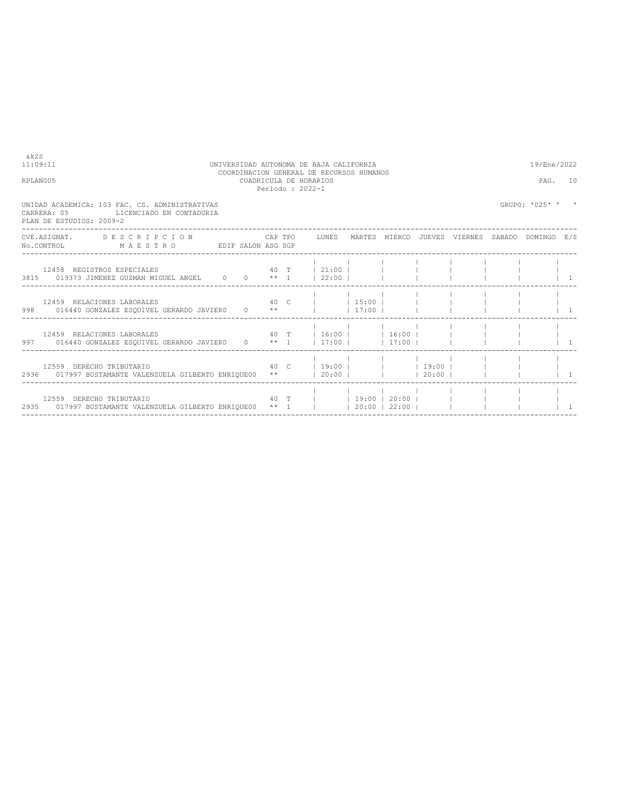| 11:09:11                                                                                                                                                       |  |  | UNIVERSIDAD AUTONOMA DE BAJA CALIFORNIA                                               |  |  | 19/Ene/2022    |                |
|----------------------------------------------------------------------------------------------------------------------------------------------------------------|--|--|---------------------------------------------------------------------------------------|--|--|----------------|----------------|
| RPLAN005                                                                                                                                                       |  |  | COORDINACION GENERAL DE RECURSOS HUMANOS<br>CUADRICULA DE HORARIOS<br>Periodo: 2022-1 |  |  | PAG. 10        |                |
| UNIDAD ACADEMICA: 103 FAC. CS. ADMINISTRATIVAS<br>CARRERA: 05<br>LICENCIADO EN CONTADURIA<br>PLAN DE ESTUDIOS: 2009-2                                          |  |  |                                                                                       |  |  | GRUPO: '025' ' |                |
| CVE.ASIGNAT. DESCRIPCION CAPTPO LUNES MARTES MIERCO JUEVES VIERNES SABADO DOMINGO E/S<br>No.CONTROL MAESTRO EDIF SALON ASG SGP                                 |  |  |                                                                                       |  |  |                |                |
| 12458 REGISTROS ESPECIALES                                    40 T       21:00                    <br>3815 019373 JIMENEZ GUZMAN MIGUEL ANGEL 0 0 ** 1   22:00 |  |  |                                                                                       |  |  |                | $1 \quad 1$    |
| 12459 RELACIONES LABORALES<br>998 016440 GONZALEZ ESQUIVEL GERARDO JAVIERO 0 **     17:00                                                                      |  |  | 40 C   15:00                                                                          |  |  |                | $\overline{1}$ |
| 12459 RELACIONES LABORALES 40 T $\begin{array}{c c} 16:00 & 16:00 \\ \end{array}$<br>997 016440 GONZALEZ ESQUIVEL GERARDO JAVIERO 0 ** 1   17:00     17:00     |  |  |                                                                                       |  |  |                |                |
| 40 C   19:00           19:00      <br>12559 DERECHO TRIBUTARIO<br>2936 017997 BUSTAMANTE VALENZUELA GILBERTO ENRIQUE00 **   20:00         20:00                |  |  |                                                                                       |  |  |                |                |
| 12559 DERECHO TRIBUTARIO<br>2935 017997 BUSTAMANTE VALENZUELA GILBERTO ENRIQUE00 ** 1     20:00   22:00                                                        |  |  | 40 T   19:00   20:00                                                                  |  |  |                |                |

----------------------------------------------------------------------------------------------------------------------------------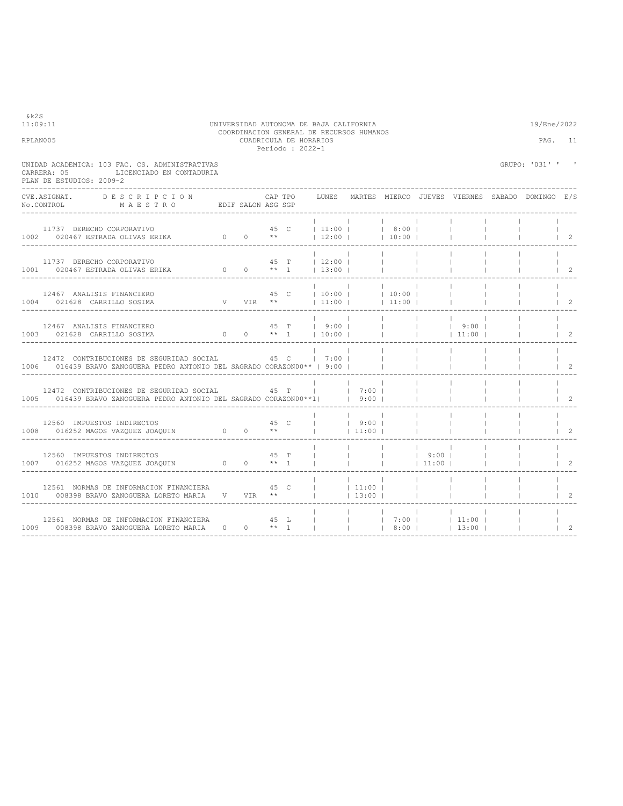| RPLAN005                                                                                                                                                                                                          |      |      | CUADRICULA DE HORARIOS<br>Periodo: 2022-1 |      | COORDINACION GENERAL DE RECURSOS HUMANOS |                |                          |                                   |              |                                                                | PAG. 11                              |
|-------------------------------------------------------------------------------------------------------------------------------------------------------------------------------------------------------------------|------|------|-------------------------------------------|------|------------------------------------------|----------------|--------------------------|-----------------------------------|--------------|----------------------------------------------------------------|--------------------------------------|
| UNIDAD ACADEMICA: 103 FAC. CS. ADMINISTRATIVAS<br>CARRERA: 05<br>LICENCIADO EN CONTADURIA<br>PLAN DE ESTUDIOS: 2009-2                                                                                             |      |      |                                           |      |                                          |                |                          |                                   |              | GRUPO: '031' ' '                                               |                                      |
| CVE ASIGNAT.<br>DESCRIPCION<br>EDIF SALON ASG SGP<br>No.CONTROL<br>MAESTRO                                                                                                                                        |      |      |                                           |      |                                          |                |                          |                                   |              | CAP TPO GUINES MARTES MIERCO JUEVES VIERNES SABADO DOMINGO E/S |                                      |
|                                                                                                                                                                                                                   |      |      |                                           |      |                                          |                |                          |                                   |              |                                                                | $\begin{array}{ccc} & 2 \end{array}$ |
| $\begin{tabular}{cccccccccc} 11737 & DERECHO CORPORTIVO & & & & & & 45 & T & &   & 12:00 &   & &   \\ 1001 & 020467 & ESTRADA & OLIVAS & ERIKA & & & & 0 & 0 & & ** & 1 & &   & 13:00 &   & &   \\ \end{tabular}$ |      |      |                                           |      |                                          |                | <b>Contract Contract</b> |                                   |              |                                                                | $\begin{array}{ccc} & 2 \end{array}$ |
| $V$ 45 C $ 10:00 $ $ 10:00 $<br>V VIR ** $ 11:00 $ $ 11:00 $<br>12467 ANALISIS FINANCIERO<br>1004 021628 CARRILLO SOSIMA<br>----------------------------------                                                    |      |      |                                           |      |                                          |                |                          |                                   |              |                                                                | $\begin{array}{ccc} & 2 \end{array}$ |
| 12467 ANALISIS FINANCIERO<br>1003 021628 CARRILLO SOSIMA                                                                                                                                                          |      |      |                                           |      |                                          |                |                          |                                   |              |                                                                | $1 \quad 2$                          |
| 12472 CONTRIBUCIONES DE SEGURIDAD SOCIAL 45 C<br>1006 016439 BRAVO ZANOGUERA PEDRO ANTONIO DEL SAGRADO CORAZON00**   9:00                                                                                         |      |      |                                           | 7:00 |                                          |                |                          |                                   |              |                                                                | $1 \quad 2$                          |
| 12472 CONTRIBUCIONES DE SEGURIDAD SOCIAL 65 T<br>1005 016439 BRAVO ZANOGUERA PEDRO ANTONIO DEL SAGRADO CORAZON00**1    9:00                                                                                       |      |      |                                           |      | 7:00                                     |                | <b>College</b>           |                                   |              |                                                                | $\begin{array}{ccc} & 2 \end{array}$ |
| 12560 IMPUESTOS INDIRECTOS<br>1008 016252 MAGOS VAZQUEZ JOAQUIN 0 0 **                                                                                                                                            | 45 C |      |                                           |      | $ $ 9:00  <br>$1 \t11:00 \t1$            |                | <b>College</b>           | <b>Contract</b>                   | $\mathbf{1}$ |                                                                | $\begin{array}{ccc} & 2 \end{array}$ |
| 12560 IMPUESTOS INDIRECTOS<br>1007 016252 MAGOS VAZQUEZ JOAQUIN 0 0 ** 1                                                                                                                                          |      | 45 T |                                           |      |                                          | <b>College</b> | 19:001<br>$ $ 11:00      |                                   |              |                                                                | $\begin{array}{ccc} & 2 \end{array}$ |
| 12561 NORMAS DE INFORMACION FINANCIERA 45 C<br>1010 008398 BRAVO ZANOGUERA LORETO MARIA V VIR **                                                                                                                  |      |      |                                           |      | $\vert$ 11:00 $\vert$<br> 13:00          |                | <b>Contract Contract</b> |                                   |              |                                                                | $1 \quad 2$                          |
| 12561 NORMAS DE INFORMACION FINANCIERA<br>1009 008398 BRAVO ZANOGUERA LORETO MARIA 0 0 ** 1                                                                                                                       |      | 45 L |                                           |      | 7:00   11:00                             | 18:001         | $\sim$ 1.000             | $\mathbb{R}^n$<br>$13:00$ $\perp$ |              |                                                                | $\begin{array}{ccc} & 2 \end{array}$ |

# 11:09:11 UNIVERSIDAD AUTONOMA DE BAJA CALIFORNIA 19/Ene/2022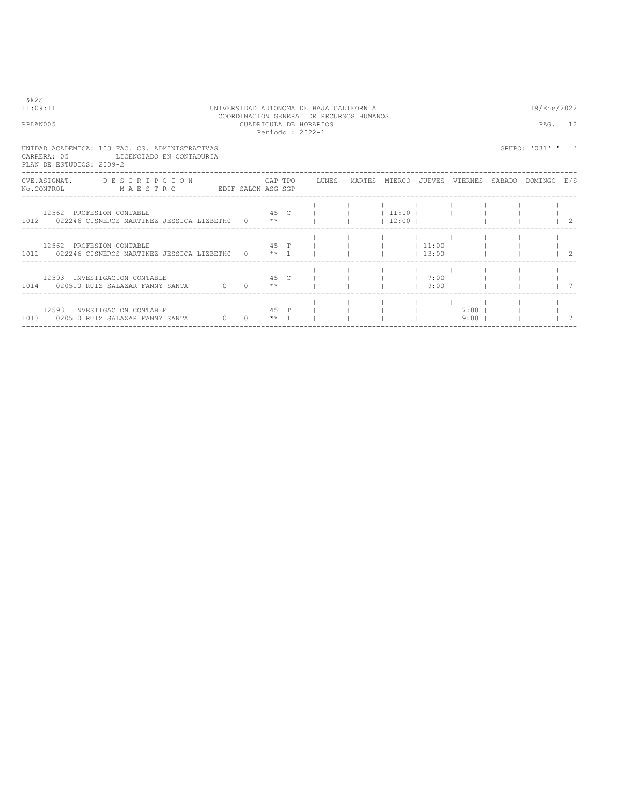| & k 2 S<br>11:09:11<br>RPLAN005                                                                                                |           |      |      | UNIVERSIDAD AUTONOMA DE BAJA CALIFORNIA<br>COORDINACION GENERAL DE RECURSOS HUMANOS<br>CUADRICULA DE HORARIOS |                         |                                             |                |                                          | 19/Ene/2022<br>PAG. 12 |                                      |
|--------------------------------------------------------------------------------------------------------------------------------|-----------|------|------|---------------------------------------------------------------------------------------------------------------|-------------------------|---------------------------------------------|----------------|------------------------------------------|------------------------|--------------------------------------|
| UNIDAD ACADEMICA: 103 FAC. CS. ADMINISTRATIVAS<br>LICENCIADO EN CONTADURIA<br>CARRERA: 05<br>PLAN DE ESTUDIOS: 2009-2          |           |      |      | Periodo: 2022-1                                                                                               |                         |                                             |                |                                          | GRUPO: '031' '         |                                      |
| CVE.ASIGNAT. DESCRIPCION CAPTPO LUNES MARTES MIERCO JUEVES VIERNES SABADO DOMINGO E/S<br>No.CONTROL MAESTRO EDIF SALON ASG SGP |           |      |      |                                                                                                               |                         |                                             |                |                                          |                        |                                      |
| 12562 PROFESION CONTABLE<br>1012 022246 CISNEROS MARTINEZ JESSICA LIZBETHO 0 **                                                |           |      | 45 C |                                                                                                               | $1 \quad 11:00 \quad 1$ | $12:00$ $1$                                 |                |                                          |                        |                                      |
| 12562 PROFESION CONTABLE<br>1011 022246 CISNEROS MARTINEZ JESSICA LIZBETH0 0 ** 1                                              |           | 45 T |      |                                                                                                               |                         | $1 \quad 1 \quad 1 \quad 1 \quad 0 \quad 1$ |                | $13:00$ $1$                              |                        | $\begin{array}{ccc} & 2 \end{array}$ |
| 12593 INVESTIGACION CONTABLE<br>1014 020510 RUIZ SALAZAR FANNY SANTA $0$ 0 **                                                  |           | 45 C |      |                                                                                                               |                         |                                             | $1 \t7:00 \t1$ | $1$ 9:00 $1$ 1                           |                        |                                      |
| 12593 INVESTIGACION CONTABLE<br>$\sim$ 0<br>1013 020510 RUIZ SALAZAR FANNY SANTA                                               | $0 * * 1$ | 45 T |      |                                                                                                               |                         |                                             |                | $1 \quad 1 \quad 7:00 \quad 1$<br>19:001 |                        |                                      |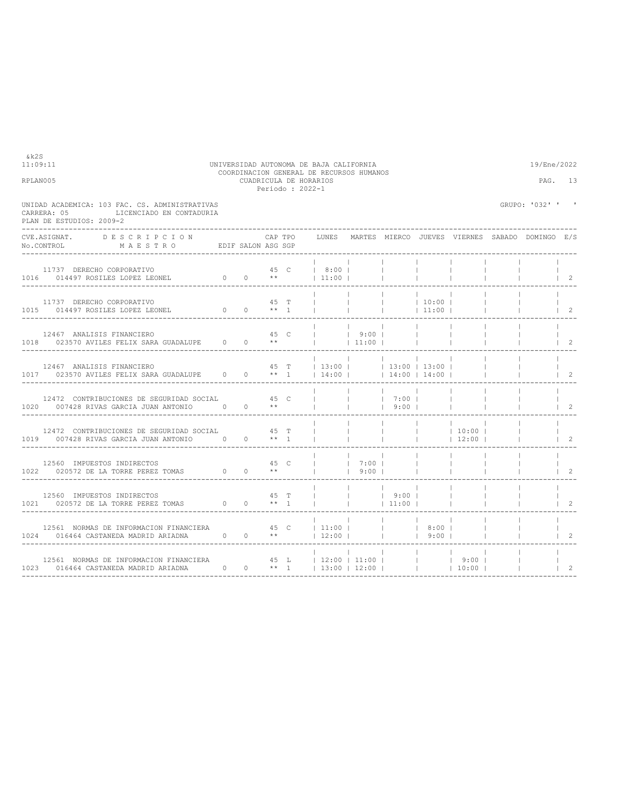| UNIDAD ACADEMICA: 103 FAC. CS. ADMINISTRATIVAS<br>CARRERA: 05<br>LICENCIADO EN CONTADURIA<br>PLAN DE ESTUDIOS: 2009-2                                                                                                        |                                |      |                                                               |                          |                                 |                                                                                                 |                          | GRUPO: '032' ' ' |                                      |
|------------------------------------------------------------------------------------------------------------------------------------------------------------------------------------------------------------------------------|--------------------------------|------|---------------------------------------------------------------|--------------------------|---------------------------------|-------------------------------------------------------------------------------------------------|--------------------------|------------------|--------------------------------------|
| CVE.ASIGNAT. DESCRIPCION CAPTPO<br>No.CONTROL MAESTRO EDIFSALONASGSGP                                                                                                                                                        |                                |      | CAP TPO GUNES MARTES MIERCO JUEVES VIERNES SABADO DOMINGO E/S |                          |                                 |                                                                                                 |                          |                  |                                      |
| 11737 DERECHO CORPORATIVO                                                                                                                                                                                                    |                                | 45 C | 8:00                                                          |                          |                                 |                                                                                                 |                          |                  | $\vert$ 2                            |
| 11737 DERECHO CORPORATIVO                                                                                                                                                                                                    |                                | 45 T | $\mathbf{I} = \mathbf{I}$ and $\mathbf{I} = \mathbf{I}$       | <b>Contract Contract</b> | 10:00 <br> 11:00                |                                                                                                 | <b>Contract Contract</b> |                  | $\begin{array}{ccc} & 2 \end{array}$ |
|                                                                                                                                                                                                                              |                                |      |                                                               |                          |                                 |                                                                                                 |                          |                  | $\overline{2}$                       |
| 12467 ANALISIS FINANCIERO                                                                                                                                                                                                    | 45 T   13:00     13:00   13:00 |      |                                                               |                          |                                 |                                                                                                 |                          |                  | $1\quad 2$                           |
|                                                                                                                                                                                                                              |                                |      |                                                               |                          |                                 |                                                                                                 |                          |                  | $\begin{array}{ccc} & 2 \end{array}$ |
| 12472 CONTRIBUCIONES DE SEGURIDAD SOCIAL 45 T<br>1019 007428 RIVAS GARCIA JUAN ANTONIO 0 0 ** 1                                                                                                                              |                                |      |                                                               |                          | the contract of the contract of | $\begin{array}{cccccccc}   & &   & &   & 10:00 &   \\   & &   & &   & 12:00 &   \\ \end{array}$ |                          |                  | $\vert$ 2                            |
| 12560 IMPUESTOS INDIRECTOS<br>1022 020572 DE LA TORRE PEREZ TOMAS 0 0 **                                                                                                                                                     |                                |      | $\begin{array}{ccc} 1 & 1 & 7:00 \\ 1 & 1 & 1 \end{array}$    | 9:00                     |                                 |                                                                                                 |                          |                  | $1\quad 2$                           |
|                                                                                                                                                                                                                              |                                |      |                                                               |                          |                                 |                                                                                                 |                          |                  | 2                                    |
| 12561 NORMAS DE INFORMACION FINANCIERA 45 C   11:00       8:00  <br>1024 016464 CASTANEDA MADRID ARIADNA $0 \t 0 \t \star \t 12:00 \t $       9:00                                                                           |                                |      |                                                               |                          |                                 |                                                                                                 |                          |                  | $\begin{array}{ccc} \end{array}$     |
| 12561 NORMAS DE INFORMACION FINANCIERA<br>1023 016464 CASTANEDA MADRID ARIADNA 0 0 +* 1   13:00   12:00   1     10:00  <br>10:00       10:00       10:00   12:00       13:00   12:00       10:00         10:00         10:00 |                                |      |                                                               |                          |                                 |                                                                                                 |                          |                  | $\overline{\phantom{0}}$             |

----------------------------------------------------------------------------------------------------------------------------------

11:09:11 UNIVERSIDAD AUTONOMA DE BAJA CALIFORNIA 19/Ene/2022 COORDINACION GENERAL DE RECURSOS HUMANOS RPLAN005 CUADRICULA DE HORARIOS PAG. 13 Periodo : 2022-1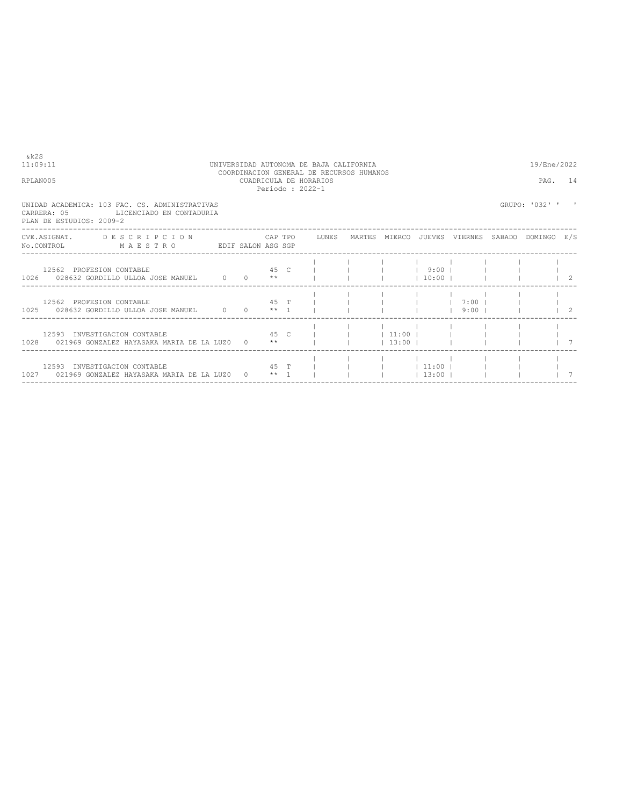| 8 k 2 S<br>11:09:11<br>RPLAN005                                                                                                |                          |              |  | UNIVERSIDAD AUTONOMA DE BAJA CALIFORNIA<br>COORDINACION GENERAL DE RECURSOS HUMANOS<br>CUADRICULA DE HORARIOS<br>Periodo: 2022-1 |             |       |                   | 19/Ene/2022<br>PAG. 14 |  |
|--------------------------------------------------------------------------------------------------------------------------------|--------------------------|--------------|--|----------------------------------------------------------------------------------------------------------------------------------|-------------|-------|-------------------|------------------------|--|
| UNIDAD ACADEMICA: 103 FAC. CS. ADMINISTRATIVAS<br>CARRERA: 05<br>PLAN DE ESTUDIOS: 2009-2                                      | LICENCIADO EN CONTADURIA |              |  |                                                                                                                                  |             |       |                   | GRUPO: '032' ' '       |  |
| CVE.ASIGNAT. DESCRIPCION CAPTPO LUNES MARTES MIERCO JUEVES VIERNES SABADO DOMINGO E/S<br>No.CONTROL MAESTRO EDIF SALON ASG SGP |                          |              |  |                                                                                                                                  |             |       |                   |                        |  |
| 12562 PROFESION CONTABLE<br>$1026$ 028632 GORDILLO ULLOA JOSE MANUEL 0 0 **                                                    |                          |              |  | 45 C         9:00                                                                                                                |             |       | $1 \t10:00 \t1$   | $\frac{1}{2}$          |  |
| 12562 PROFESION CONTABLE<br>$1025$ 028632 GORDILLO ULLOA JOSE MANUEL 0 0 $**$ 1                                                |                          |              |  | $45$ T $1$                                                                                                                       |             |       | $9:00$ $1$        | $\frac{1}{2}$          |  |
| 12593 INVESTIGACION CONTABLE<br>1028 021969 GONZALEZ HAYASAKA MARIA DE LA LUZO 0 **                                            |                          |              |  | 45 C I I I 11:00 I I I                                                                                                           | $13:00$ $1$ |       |                   |                        |  |
| 12593 INVESTIGACION CONTABLE<br>1027 021969 GONZALEZ HAYASAKA MARIA DE LA LUZO                                                 |                          | $0 \times 1$ |  | 45 T                                                                                                                             |             | 13:00 | $ $ $ $ 11:00 $ $ |                        |  |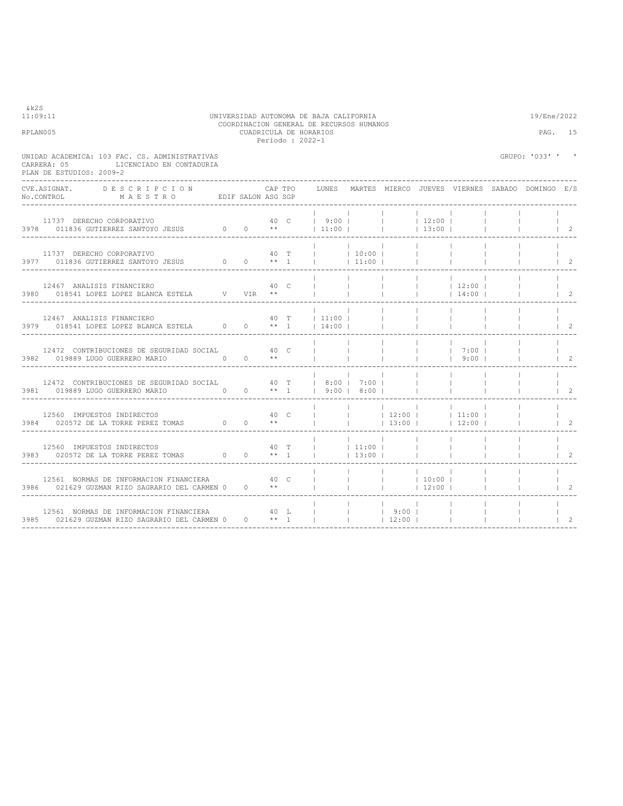| RPLAN005                                                                                                                               |  |      | COORDINACION GENERAL DE RECURSOS HUMANOS<br>CUADRICULA DE HORARIOS<br>Periodo: 2022-1                                                     |                                                     |                 |                                                               |                                       | PAG.                                       | 15                                       |
|----------------------------------------------------------------------------------------------------------------------------------------|--|------|-------------------------------------------------------------------------------------------------------------------------------------------|-----------------------------------------------------|-----------------|---------------------------------------------------------------|---------------------------------------|--------------------------------------------|------------------------------------------|
| UNIDAD ACADEMICA: 103 FAC. CS. ADMINISTRATIVAS<br>LICENCIADO EN CONTADURIA<br>CARRERA: 05<br>PLAN DE ESTUDIOS: 2009-2                  |  |      |                                                                                                                                           |                                                     |                 |                                                               |                                       | GRUPO: '033' ' '                           |                                          |
|                                                                                                                                        |  |      | CAP TPO    LUNES   MARTES  MIERCO  JUEVES  VIERNES  SABADO  DOMINGO   E/S                                                                 |                                                     |                 |                                                               |                                       |                                            |                                          |
|                                                                                                                                        |  |      |                                                                                                                                           |                                                     |                 |                                                               |                                       |                                            |                                          |
|                                                                                                                                        |  |      |                                                                                                                                           |                                                     |                 |                                                               |                                       |                                            | $\begin{array}{ccc} & 1 & 2 \end{array}$ |
|                                                                                                                                        |  |      |                                                                                                                                           |                                                     |                 |                                                               | $\sim$ 1.                             | $\begin{array}{ccc} & & 1 & 2 \end{array}$ |                                          |
|                                                                                                                                        |  |      |                                                                                                                                           |                                                     | <b>Contract</b> | $\sim$ 1.000 $\sim$<br>the contract of the contract of        | <b>Contract Contract</b><br>$\sim$ 1. |                                            | $\vert$ 2                                |
| 12472 CONTRIBUCIONES DE SEGURIDAD SOCIAL 40 C                                                                                          |  |      |                                                                                                                                           |                                                     |                 |                                                               |                                       | <b>Contract</b>                            | $\begin{array}{ccc} & 2 \end{array}$     |
| 12472 CONTRIBUCIONES DE SEGURIDAD SOCIAL $40$ T   8:00   7:00                                                                          |  |      |                                                                                                                                           | <b>Contract Contract Contract Contract Contract</b> |                 | <b>Contract Contract</b><br>and the first control of the con- | <b>Contract</b><br>$\sim$ 1.          |                                            | $\begin{array}{ccc} & 2 \end{array}$     |
| 12560 IMPUESTOS INDIRECTOS<br>3984 020572 DE LA TORRE PEREZ TOMAS $0$ 0 **                                                             |  | 40 C | $\begin{array}{cccccccc}   & &   & &   & 12:00 &   & &   & 11:00 &   \\   & &   & &   & &   & 13:00 &   & &   & 12:00 &   \\ \end{array}$ |                                                     |                 |                                                               | $\sim$ 1.                             |                                            | $\begin{array}{ccc} & 2 \end{array}$     |
| $12560$ IMPUESTOS INDIRECTOS $$\sf 40$$ T $3983$ $020572$ DE LA TORRE PEREZ TOMAS $$\sf 0$$ $$\sf **$$ $1$                             |  |      | $ $ $ $ 11:00 $ $<br>$ $ 13:00                                                                                                            |                                                     |                 | <b>Contractor</b>                                             | <b>Contract Contract</b>              |                                            | $1\quad 2$                               |
|                                                                                                                                        |  |      |                                                                                                                                           |                                                     |                 |                                                               |                                       | $\begin{array}{ccc} & & 1 & 2 \end{array}$ |                                          |
| 12561 NORMAS DE INFORMACION FINANCIERA $40$ L       9:00       1<br>3985 021629 GUZMAN RIZO SAGRARIO DEL CARMEN 0 0 ** 1         12:00 |  |      |                                                                                                                                           |                                                     |                 |                                                               |                                       |                                            | 2                                        |

11:09:11 UNIVERSIDAD AUTONOMA DE BAJA CALIFORNIA 19/Ene/2022 COORDINACION GENERAL DE RECURSOS HUMANOS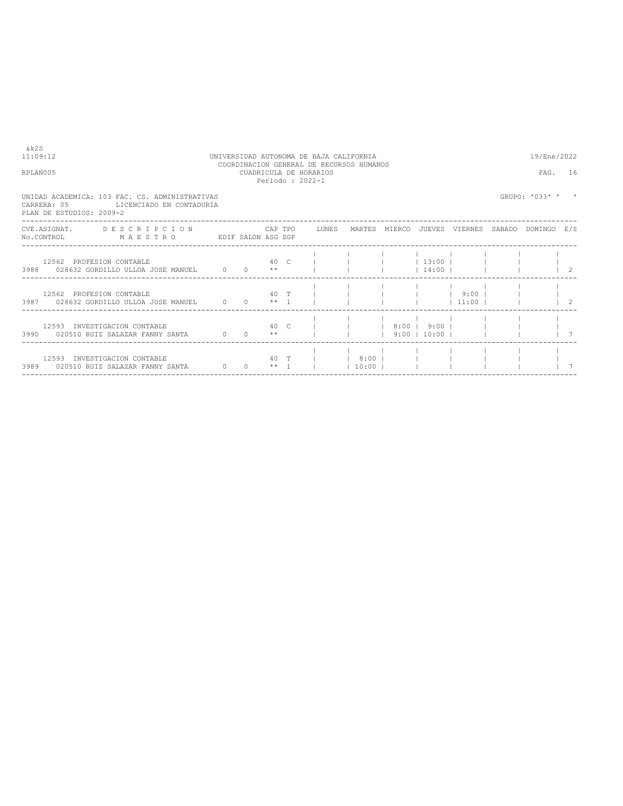| TTT TURIS AND THE                                                                                                                         |                 |  | Periodo: 2022-1 | CUADINICULA DE HUIVANICU |  |  |                |  |
|-------------------------------------------------------------------------------------------------------------------------------------------|-----------------|--|-----------------|--------------------------|--|--|----------------|--|
| UNIDAD ACADEMICA: 103 FAC. CS. ADMINISTRATIVAS<br>CARRERA: 05<br>LICENCIADO EN CONTADURIA<br>PLAN DE ESTUDIOS: 2009-2                     |                 |  |                 |                          |  |  | GRUPO: '033' ' |  |
| CVE.ASIGNAT. DESCRIPCION CAPTPO LUNES MARTES MIERCO JUEVES VIERNES SABADO DOMINGO E/S<br>No.CONTROL MAESTRO EDIF SALON ASG SGP            |                 |  |                 |                          |  |  |                |  |
| 12562 PROFESION CONTABLE $\begin{array}{ccccccccc} & 40 & C &   &   &   &   & 13:00 &   &   &   &   &   &   \end{array}$                  |                 |  |                 |                          |  |  |                |  |
| 12562 PROFESION CONTABLE 40 T             9:00      <br>3987 028632 GORDILLO ULLOA JOSE MANUEL 0 0 ** 1                   11:00         2 |                 |  |                 |                          |  |  |                |  |
| 12593 INVESTIGACION CONTABLE 40 C       8:00   9:00        <br>3990 020510 RUIZ SALAZAR FANNY SANTA 0 0 **       9:00   10:00             |                 |  |                 |                          |  |  |                |  |
| 12593 INVESTIGACION CONTABLE                                                                                                              | 40 T I 8:00 I I |  |                 |                          |  |  |                |  |

----------------------------------------------------------------------------------------------------------------------------------

 $k2S$ <br>11:09:12

COORDINACION GENERAL DE RECURSOS HUMANOS RPLAN005 CUADRICULA DE HORARIOS PAG. 16

11:09:12 UNIVERSIDAD AUTONOMA DE BAJA CALIFORNIA 19/Ene/2022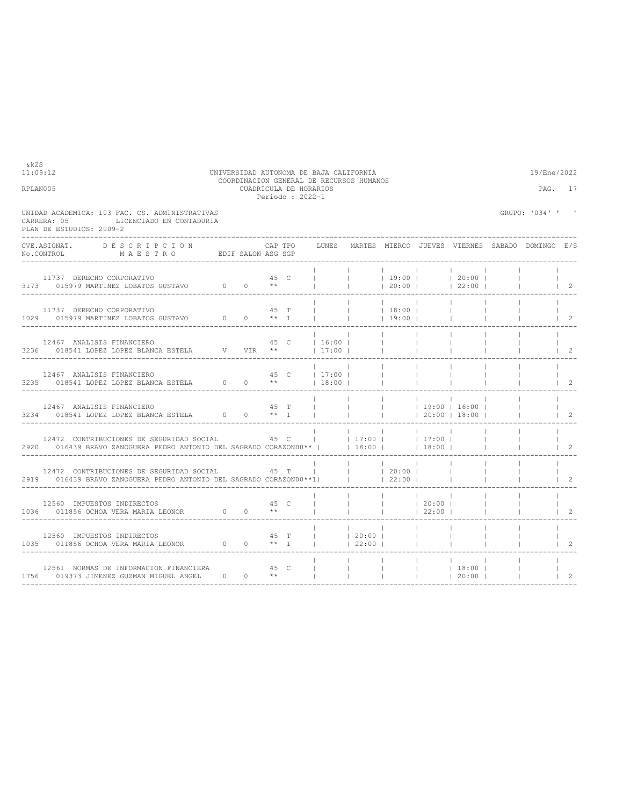| RPLAN005                                                                                                                                                                                                                                   |                                                                                                                                                                                                                                  |      | CUADRICULA DE HORARIOS<br>Periodo: 2022-1 |                |                        |                                                |                   |                                                                                                                                                                                      | PAG. 17                                         |                                              |
|--------------------------------------------------------------------------------------------------------------------------------------------------------------------------------------------------------------------------------------------|----------------------------------------------------------------------------------------------------------------------------------------------------------------------------------------------------------------------------------|------|-------------------------------------------|----------------|------------------------|------------------------------------------------|-------------------|--------------------------------------------------------------------------------------------------------------------------------------------------------------------------------------|-------------------------------------------------|----------------------------------------------|
| UNIDAD ACADEMICA: 103 FAC. CS. ADMINISTRATIVAS<br>LICENCIADO EN CONTADURIA<br>CARRERA: 05<br>PLAN DE ESTUDIOS: 2009-2                                                                                                                      |                                                                                                                                                                                                                                  |      |                                           |                |                        |                                                |                   |                                                                                                                                                                                      | GRUPO: '034' ' '                                |                                              |
| CVE.ASIGNAT.<br>DESCRIPCION<br>NO.CONTROL MAESTRO EDIF SALON ASG SGP                                                                                                                                                                       |                                                                                                                                                                                                                                  |      | CAP TPO                                   | LUNES          |                        |                                                |                   |                                                                                                                                                                                      | MARTES MIERCO JUEVES VIERNES SABADO DOMINGO E/S |                                              |
| 11737 DERECHO CORPORATIVO<br>11737 DERECHO CORPORATIVO 60 0 15979 MARTINEZ LOBATOS GUSTAVO 0 0 **                                                                                                                                          |                                                                                                                                                                                                                                  | 45 C |                                           |                |                        | 20:00                                          |                   | $\begin{array}{ccccccccccc}\n  & &   & &   & &   & &   & &   \\   & &   & &   & 19:00 &   & &   & 20:00 &   \\   & &   & &   & 20:00 &   & &   & 20:00 &   \\ \end{array}$<br> 22:00 |                                                 | $\vert$ 2                                    |
| 11737 DERECHO CORPORATIVO                                                                                                                                                                                                                  |                                                                                                                                                                                                                                  |      | 45 T                                      | <b>College</b> | <b>Contractor</b>      | $ $ 18:00  <br> 19:00                          |                   |                                                                                                                                                                                      |                                                 | $\begin{array}{ccc} & 2 \end{array}$         |
| 12467 ANALISIS FINANCIERO<br>3236 018541 LOPEZ LOPEZ BLANCA ESTELA V VIR **   17:00                                                                                                                                                        |                                                                                                                                                                                                                                  |      |                                           | 45 C   16:00   |                        | <b>Contract Contract</b><br><b>Contract</b>    |                   |                                                                                                                                                                                      |                                                 | $\begin{array}{ccc} \end{array}$             |
| $12467 \quad \text{ANALI SIS FINANCIERO} \qquad \qquad 45 \quad \text{C} \qquad \qquad 17:00 \mid \\ 3235 \qquad 018541 \text{ LOPEZ LOPEZ BLANCA ESTELA} \qquad \qquad 0 \qquad 0 \qquad \star \star \qquad \qquad   \quad 18:00 \mid \\$ |                                                                                                                                                                                                                                  |      |                                           | 45 C   17:00   |                        | <b>Contract Contract</b>                       |                   |                                                                                                                                                                                      |                                                 | $\begin{array}{ccc} & 2 \end{array}$         |
| 12467 ANALISIS FINANCIERO<br>3234 018541 LOPEZ LOPEZ BLANCA ESTELA $0$ 0 ** 1                                                                                                                                                              |                                                                                                                                                                                                                                  | 45 T |                                           | $\mathbf{L}$   | <b>Contractor</b>      | <b>Contract</b>                                |                   | 20:00 18:00                                                                                                                                                                          |                                                 | $\begin{array}{ccc} & 2 \end{array}$         |
| 12472 CONTRIBUCIONES DE SEGURIDAD SOCIAL<br>2920 016439 BRAVO ZANOGUERA PEDRO ANTONIO DEL SAGRADO CORAZON00** I                                                                                                                            | и в 1945 год на 1945 год на 1945 год и 1945 год на 1947 год и 1947 год и 1947 год и 1947 год и 1947 год и 1947                                                                                                                   |      |                                           | $ $ 17:00      | $18:00$ $\blacksquare$ |                                                | 17:00 <br>$18:00$ |                                                                                                                                                                                      |                                                 | $1\quad 2$                                   |
| 12472 CONTRIBUCIONES DE SEGURIDAD SOCIAL<br>2919 016439 BRAVO ZANOGUERA PEDRO ANTONIO DEL SAGRADO CORAZON00**1                                                                                                                             | лично и также червено на 45 члено при в 1945 године и 1945 године и 1945 године и 1945 године и 1945 године и 1<br>При водине при водине и 1945 године и 1945 године и 1945 године и 1946 године и 1946 године и 1946 године и 1 |      |                                           |                |                        | $ $ 20:00  <br> 22:00                          |                   |                                                                                                                                                                                      |                                                 | $\begin{array}{cc} \text{ } & 2 \end{array}$ |
| 12560 IMPUESTOS INDIRECTOS<br>1036 011856 OCHOA VERA MARIA LEONOR 0 0 **                                                                                                                                                                   |                                                                                                                                                                                                                                  | 45 C |                                           |                |                        | $ $ 20:00                                      | 22:00             |                                                                                                                                                                                      |                                                 | $\overline{c}$                               |
| 12560 IMPUESTOS INDIRECTOS<br>1035 011856 OCHOA VERA MARIA LEONOR 0 0 ** 1                                                                                                                                                                 |                                                                                                                                                                                                                                  | 45 T |                                           | 20:00          | 122:001                |                                                |                   |                                                                                                                                                                                      |                                                 | 2                                            |
| 12561 NORMAS DE INFORMACION FINANCIERA<br>1756 019373 JIMENEZ GUZMAN MIGUEL ANGEL 0 0 **                                                                                                                                                   |                                                                                                                                                                                                                                  | 45 C |                                           |                |                        | $\mathbf{1}$ and $\mathbf{1}$ and $\mathbf{1}$ |                   | 18:00 <br> 20:00                                                                                                                                                                     |                                                 | 2                                            |

11:09:12 UNIVERSIDAD AUTONOMA DE BAJA CALIFORNIA 19/Ene/2022 COORDINACION GENERAL DE RECURSOS HUMANOS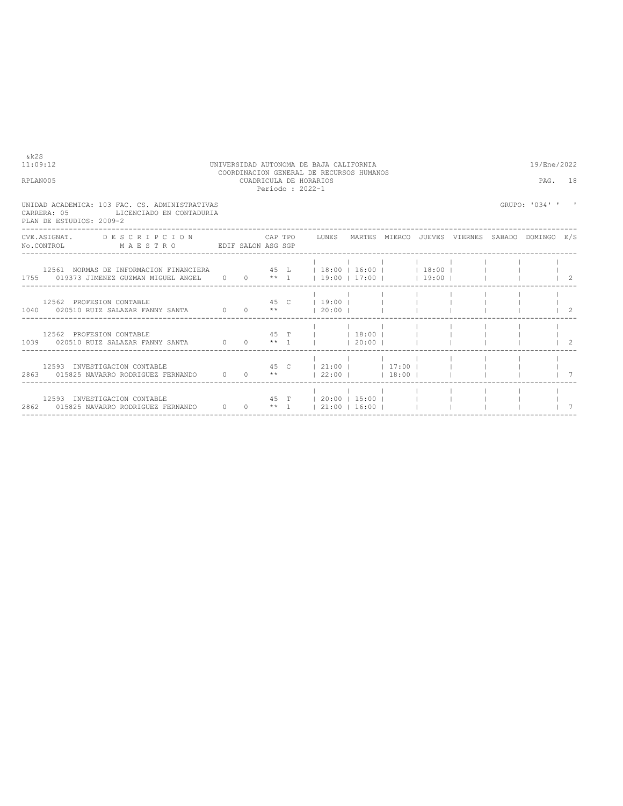| RPLAN005 |                                         |                                                                                                                                                                 |  |  | CUADRICULA DE HORARIOS<br>Periodo: 2022-1 |  |  | PAG.           | 18                                       |
|----------|-----------------------------------------|-----------------------------------------------------------------------------------------------------------------------------------------------------------------|--|--|-------------------------------------------|--|--|----------------|------------------------------------------|
|          | CARRERA: 05<br>PLAN DE ESTUDIOS: 2009-2 | UNIDAD ACADEMICA: 103 FAC. CS. ADMINISTRATIVAS<br>LICENCIADO EN CONTADURIA                                                                                      |  |  |                                           |  |  | GRUPO: '034' ' |                                          |
|          |                                         | CVE.ASIGNAT. DESCRIPCION CAPTPO LUNES MARTES MIERCO JUEVES VIERNES SABADO DOMINGO E/S<br>No.CONTROL MAESTRO EDIF SALON ASG SGP                                  |  |  |                                           |  |  |                |                                          |
|          |                                         | 12561 NORMAS DE INFORMACION FINANCIERA 45 L   18:00   16:00   18:00   18:00      <br>1755 019373 JIMENEZ GUZMAN MIGUEL ANGEL 0 0 ** 1   19:00   17:00     19:00 |  |  |                                           |  |  |                |                                          |
|          |                                         | 45 C   19:00        <br>12562 PROFESION CONTABLE<br>1040 020510 RUIZ SALAZAR FANNY SANTA $0$ 0 $**$   20:00                                                     |  |  |                                           |  |  |                |                                          |
|          |                                         | 45 T I 18:00 I I<br>12562 PROFESION CONTABLE<br>1039 020510 RUIZ SALAZAR FANNY SANTA $0 \t 0 \t \star 1$   20:00                                                |  |  |                                           |  |  |                | $\begin{array}{cc} \text{2} \end{array}$ |
|          |                                         | 45 C   21:00   17:00  <br>12593 INVESTIGACION CONTABLE<br>2863 015825 NAVARRO RODRIGUEZ FERNANDO 0 0 **   22:00     18:00                                       |  |  |                                           |  |  |                |                                          |
|          |                                         | 45 T   20:00   15:00  <br>12593 INVESTIGACION CONTABLE                                                                                                          |  |  |                                           |  |  |                |                                          |

----------------------------------------------------------------------------------------------------------------------------------

11:09:12 UNIVERSIDAD AUTONOMA DE BAJA CALIFORNIA 19/Ene/2022 COORDINACION GENERAL DE RECURSOS HUMANOS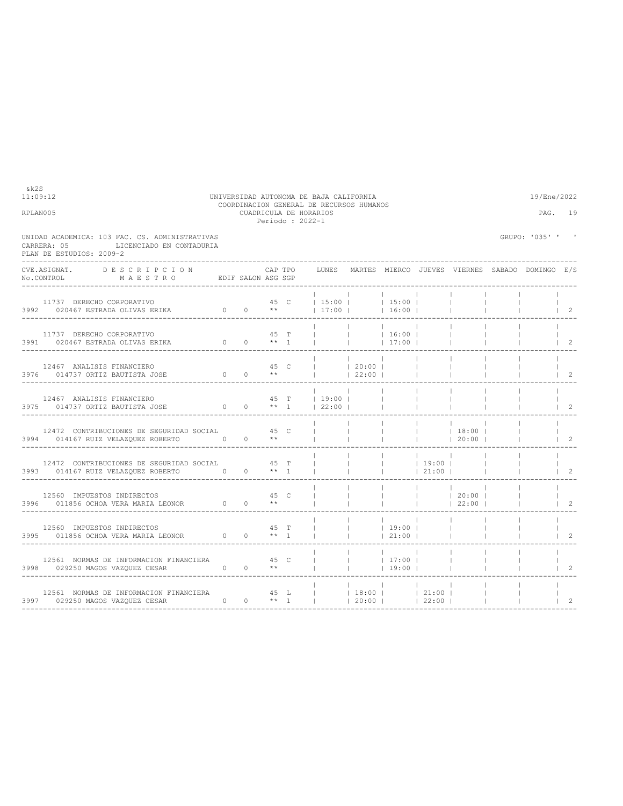| RPLAN005                                                                                                                                                                                                           |  |      | CUADRICULA DE HORARIOS<br>Periodo : 2022-1 |                                                                                                                                                                                                                                                                                                                     |                                           |                                    |                                                                                                                                   |                             | PAG.             | - 19                             |
|--------------------------------------------------------------------------------------------------------------------------------------------------------------------------------------------------------------------|--|------|--------------------------------------------|---------------------------------------------------------------------------------------------------------------------------------------------------------------------------------------------------------------------------------------------------------------------------------------------------------------------|-------------------------------------------|------------------------------------|-----------------------------------------------------------------------------------------------------------------------------------|-----------------------------|------------------|----------------------------------|
| UNIDAD ACADEMICA: 103 FAC. CS. ADMINISTRATIVAS<br>CARRERA: 05<br>LICENCIADO EN CONTADURIA<br>PLAN DE ESTUDIOS: 2009-2                                                                                              |  |      |                                            |                                                                                                                                                                                                                                                                                                                     |                                           |                                    |                                                                                                                                   |                             | GRUPO: '035' ' ' |                                  |
| CVE.ASIGNAT. DESCRIPCION<br>No.CONTROL MAESTRO EDIF SALON ASG SGP                                                                                                                                                  |  |      |                                            | CAP TPO     LUNES   MARTES  MIERCO  JUEVES  VIERNES  SABADO  DOMINGO  E/S                                                                                                                                                                                                                                           |                                           |                                    |                                                                                                                                   |                             |                  |                                  |
| 11737 DERECHO CORPORATIVO<br>3992 020467 ESTRADA OLIVAS ERIKA $0 \t 0 \t \star t$   17:00     16:00                                                                                                                |  |      |                                            | 45 C   15:00     15:00                                                                                                                                                                                                                                                                                              |                                           |                                    | <b>Contract</b>                                                                                                                   |                             |                  | $\vert$ 2                        |
| $\begin{array}{cccccccccccccc} 11737 & DERECHO CORPORTIVO & & & & & & 45 & T & & & & & & 16:00 & \\ 3991 & 020467 & ESTRADA OLIVAS ERIKA & & & & & & 0 & 0 & & * & 1 & & & & & & & 1 & 1 & 17:00 & \\ \end{array}$ |  |      |                                            |                                                                                                                                                                                                                                                                                                                     |                                           |                                    |                                                                                                                                   |                             |                  | $\vert$ 2                        |
|                                                                                                                                                                                                                    |  |      |                                            |                                                                                                                                                                                                                                                                                                                     |                                           |                                    |                                                                                                                                   |                             |                  | $\vert$ 2                        |
| 12467 ANALISIS FINANCIERO<br>3975 014737 ORTIZ BAUTISTA JOSE 0 0 ** 1 22:00                                                                                                                                        |  |      |                                            | 45 T   19:00                                                                                                                                                                                                                                                                                                        | <b>Contract Contract</b>                  |                                    |                                                                                                                                   |                             |                  | $\begin{array}{ccc} \end{array}$ |
| 12472 CONTRIBUCIONES DE SEGURIDAD SOCIAL 45 C<br>3994 014167 RUIZ VELAZOUEZ ROBERTO 0 0 **                                                                                                                         |  |      |                                            |                                                                                                                                                                                                                                                                                                                     |                                           | <b>Contract Contract</b>           | $\begin{array}{cccccccccccccc}   & &   & &   & &   & &   & & 18:00 &   \\   & &   & &   & &   & &   & & 20:00 &   \\ \end{array}$ |                             |                  | $\overline{2}$                   |
| 12472 CONTRIBUCIONES DE SEGURIDAD SOCIAL 45 T                                                                                                                                                                      |  |      |                                            |                                                                                                                                                                                                                                                                                                                     |                                           | <b>Contract Contract</b><br> 21:00 |                                                                                                                                   |                             |                  | $\overline{2}$                   |
| 12560 IMPUESTOS INDIRECTOS<br>3996 011856 OCHOA VERA MARIA LEONOR $\qquad \qquad 0 \qquad \qquad ^{\ast\ast}$                                                                                                      |  | 45 C |                                            |                                                                                                                                                                                                                                                                                                                     |                                           |                                    | $ $ $ $ 20:00 $ $<br>$ $ 22:00                                                                                                    |                             |                  | 2                                |
| 12560 IMPUESTOS INDIRECTOS<br>3995 011856 OCHOA VERA MARIA LEONOR 0 0 ** 1                                                                                                                                         |  | 45 T |                                            |                                                                                                                                                                                                                                                                                                                     | and the contract<br>$ $ 19:00  <br> 21:00 |                                    |                                                                                                                                   |                             |                  | 2                                |
| 12561 NORMAS DE INFORMACION FINANCIERA 45 C<br>3998 029250 MAGOS VAZQUEZ CESAR 0 0 **                                                                                                                              |  |      |                                            | $\frac{1}{1}$ $\frac{1}{1}$ $\frac{1}{1}$ $\frac{1}{1}$ $\frac{1}{1}$ $\frac{1}{1}$ $\frac{1}{1}$ $\frac{1}{1}$ $\frac{1}{1}$ $\frac{1}{1}$ $\frac{1}{1}$ $\frac{1}{1}$ $\frac{1}{1}$ $\frac{1}{1}$ $\frac{1}{1}$ $\frac{1}{1}$ $\frac{1}{1}$ $\frac{1}{1}$ $\frac{1}{1}$ $\frac{1}{1}$ $\frac{1}{1}$ $\frac{1}{1}$ | $19:00$                                   |                                    |                                                                                                                                   |                             |                  | $\mathcal{L}$                    |
| 12561 NORMAS DE INFORMACION FINANCIERA $\overrightarrow{45}$ L $\overrightarrow{1}$ 18:00 $\overrightarrow{1}$ 21:00 $\overrightarrow{1}$<br>0 0 $**$ 1       20:00     22:00  <br>3997 029250 MAGOS VAZQUEZ CESAR |  |      |                                            |                                                                                                                                                                                                                                                                                                                     | ----------------------------              |                                    |                                                                                                                                   | <b>College</b><br>$\sim$ 1. |                  | $1 \quad 2$                      |

11:09:12 UNIVERSIDAD AUTONOMA DE BAJA CALIFORNIA 19/Ene/2022 COORDINACION GENERAL DE RECURSOS HUMANOS RPLAN005 CUADRICULA DE HORARIOS PAG. 19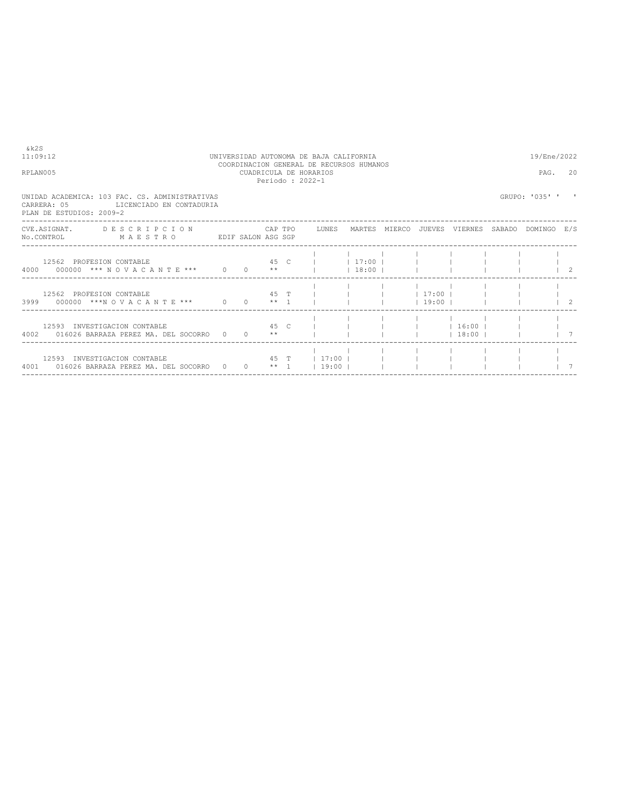| RPLAN005                                                                                                           |  | Periodo: 2022-1 | CUADRICULA DE HORARIOS                               |       |                                     | PAG.             | 20 |
|--------------------------------------------------------------------------------------------------------------------|--|-----------------|------------------------------------------------------|-------|-------------------------------------|------------------|----|
| UNIDAD ACADEMICA: 103 FAC. CS. ADMINISTRATIVAS<br>CARRERA: 05 LICENCIADO EN CONTADURIA<br>PLAN DE ESTUDIOS: 2009-2 |  |                 |                                                      |       |                                     | GRUPO: '035' ' ' |    |
| CVE.ASIGNAT. DESCRIPCION CAPTPO LUNES<br>No.CONTROL MAESTRO EDIF SALON ASG SGP                                     |  |                 |                                                      |       | MARTES MIERCO JUEVES VIERNES SABADO | DOMINGO E/S      |    |
| 12562 PROFESION CONTABLE<br>4000 000000 *** NOVACANTE *** 0 0 **                                                   |  |                 | 45 C I 17:00 I                                       | 18:00 |                                     |                  |    |
| 12562 PROFESION CONTABLE<br>3999 000000 ***N O V A C A N T E *** 0 0 0 ** 1 1                                      |  |                 | 45 T           17:00                                 |       | $1 \quad 19:00 \quad 1$             |                  |    |
| 45 C 1<br>12593 INVESTIGACION CONTABLE<br>4002 016026 BARRAZA PEREZ MA. DEL SOCORRO 0 0 **                         |  |                 |                                                      |       | $1 \t16:00 \t1$<br>$13:00$ $1$      |                  |    |
| 12593 INVESTIGACION CONTABLE<br>4001 016026 BARRAZA PEREZ MA. DEL SOCORRO 0                                        |  |                 | 45 T   17:00    <br>$0 \longrightarrow 1 \cup 19:00$ |       |                                     |                  |    |

## COORDINACION GENERAL DE RECURSOS HUMANOS

11:09:12 UNIVERSIDAD AUTONOMA DE BAJA CALIFORNIA 19/Ene/2022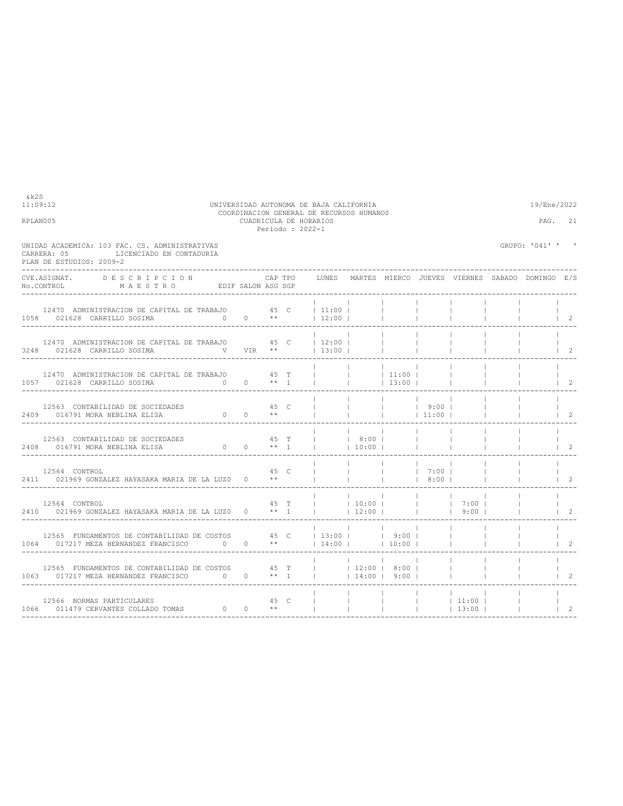| RPLAN005                                                                                                                                                                                                                                                                                                                                                                                                                                                                  |      |      | CUADRICULA DE HORARIOS<br>Periodo: 2022-1 | COORDINACION GENERAL DE RECURSOS HUMANOS                                                                                    |                          |                          |                          |                     | PAG.                                                  | 21                                                      |
|---------------------------------------------------------------------------------------------------------------------------------------------------------------------------------------------------------------------------------------------------------------------------------------------------------------------------------------------------------------------------------------------------------------------------------------------------------------------------|------|------|-------------------------------------------|-----------------------------------------------------------------------------------------------------------------------------|--------------------------|--------------------------|--------------------------|---------------------|-------------------------------------------------------|---------------------------------------------------------|
| UNIDAD ACADEMICA: 103 FAC. CS. ADMINISTRATIVAS<br>LICENCIADO EN CONTADURIA<br>CARRERA: 05<br>PLAN DE ESTUDIOS: 2009-2                                                                                                                                                                                                                                                                                                                                                     |      |      |                                           |                                                                                                                             |                          |                          |                          |                     | GRUPO: '041' ' '                                      |                                                         |
| CVE.ASIGNAT.<br>DESCRIPCION<br>$\verb No.CONTROL  \qquad \qquad \verb M A E S T R O  \qquad \qquad \verb EDIF SALON ASG SGP  \qquad \qquad \verb N0.CONTROL  \qquad \qquad \verb M A E S T R O  \qquad \qquad \verb EDIF SALON ASG SGP  \qquad \qquad \verb N0.CONTROL  \qquad \qquad \verb N1.0067  \qquad \qquad \verb N2.007  \qquad \qquad \verb N3.007  \qquad \qquad \verb N4.007  \qquad \qquad \verb N5.007  \qquad \qquad \verb N6.007  \qquad \qquad \verb N6.$ |      |      | CAP TPO                                   |                                                                                                                             |                          |                          |                          |                     | LUNES MARTES MIERCO JUEVES VIERNES SABADO DOMINGO E/S |                                                         |
| 12470 ADMINISTRACION DE CAPITAL DE TRABAJO 45 C   11:00    <br>0 0 $**$ 12:00  <br>1058 021628 CARRILLO SOSIMA                                                                                                                                                                                                                                                                                                                                                            |      |      |                                           |                                                                                                                             |                          |                          | $\mathbf{1}$             |                     |                                                       | $\vert$ 2                                               |
| 12470 ADMINISTRACION DE CAPITAL DE TRABAJO 45 C<br>3248 021628 CARRILLO SOSIMA                                                                                                                                                                                                                                                                                                                                                                                            |      |      |                                           | 12:00                                                                                                                       |                          | <b>Contract Contract</b> |                          |                     |                                                       |                                                         |
| 12470 ADMINISTRACION DE CAPITAL DE TRABAJO 45 T<br>$0 \t 0 \t \star 1$<br>1057 021628 CARRILLO SOSIMA<br>----------------------------------                                                                                                                                                                                                                                                                                                                               |      |      |                                           | <b>College</b>                                                                                                              | <b>Contract</b>          | 13:00                    |                          |                     |                                                       | $\begin{array}{ccc} & 2 \end{array}$                    |
| 12563 CONTABILIDAD DE SOCIEDADES $45$ C<br>409 016791 MORA NEBLINA ELISA $0$ 0 **<br>2409 016791 MORA NEBLINA ELISA                                                                                                                                                                                                                                                                                                                                                       |      |      |                                           | $\begin{array}{ccccccc} &   & &   & &   & &   & &   & 9:00 &   \\   &   & &   & &   & &   & &   & 11:00 &   \\ \end{array}$ |                          |                          |                          |                     |                                                       |                                                         |
| 2408 016791 MORA NEBLINA ELISA<br>-----------------------------                                                                                                                                                                                                                                                                                                                                                                                                           |      |      |                                           |                                                                                                                             |                          |                          | <b>Contract</b>          |                     |                                                       | $1 \t2$                                                 |
| 12564 CONTROL<br>2411 021969 GONZALEZ HAYASAKA MARIA DE LA LUZO 0 **<br>______________________________                                                                                                                                                                                                                                                                                                                                                                    | 45 C |      |                                           |                                                                                                                             | <b>Contract</b>          |                          | 7:00  <br>$ $ 1 8:00 1   |                     |                                                       | $1 \quad 2$                                             |
| 12564 CONTROL<br>2410 021969 GONZALEZ HAYASAKA MARIA DE LA LUZO 0 ** 1     12:00       9:00                                                                                                                                                                                                                                                                                                                                                                               |      |      | 45 T                                      | $ $ 10:00     7:00                                                                                                          |                          |                          |                          |                     | <b>Contractor</b>                                     | <b>Contract</b><br>$\begin{array}{ccc} & 2 \end{array}$ |
| 12565 FUNDAMENTOS DE CONTABILIDAD DE COSTOS $45$ C $\mid$ 13:00   $\mid$ 9:00  <br>1064 017217 MEZA HERNANDEZ FRANCISCO 0 0 **   14:00     10:00  <br>------------------------                                                                                                                                                                                                                                                                                            |      |      |                                           |                                                                                                                             |                          |                          | <b>Contract</b>          |                     |                                                       | $1 \quad 2$                                             |
| 12565 FUNDAMENTOS DE CONTABILIDAD DE COSTOS 45 T<br>1063 017217 MEZA HERNANDEZ FRANCISCO 0 0 ** 1                                                                                                                                                                                                                                                                                                                                                                         |      |      |                                           | $ $ 12:00   8:00                                                                                                            | $14:00$   9:00           |                          |                          |                     |                                                       | 2                                                       |
| 12566 NORMAS PARTICULARES<br>12300 NORWAS PARTICULARES<br>1066 011479 CERVANTES COLLADO TOMAS 0 0 **                                                                                                                                                                                                                                                                                                                                                                      |      | 45 C |                                           |                                                                                                                             | The contract of the con- | <b>Contractor</b>        | <b>Contract Contract</b> | $11:00$  <br> 13:00 |                                                       | 2                                                       |

 $k2S$ <br>11:09:12

11:09:12 UNIVERSIDAD AUTONOMA DE BAJA CALIFORNIA 19/Ene/2022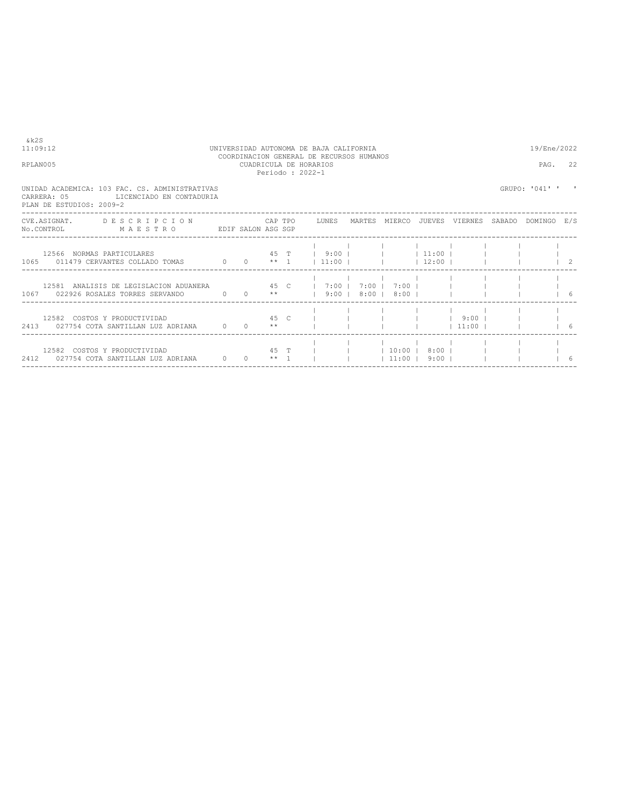| RPLAN005                                                                                                                       |  |  | COORDINACION GENERAL DE RECURSOS HUMANOS<br>CUADRICULA DE HORARIOS<br>Periodo: 2022-1 |  |                      |                    | PAG.           | 22 |
|--------------------------------------------------------------------------------------------------------------------------------|--|--|---------------------------------------------------------------------------------------|--|----------------------|--------------------|----------------|----|
| UNIDAD ACADEMICA: 103 FAC. CS. ADMINISTRATIVAS<br>CARRERA: 05<br>LICENCIADO EN CONTADURIA<br>PLAN DE ESTUDIOS: 2009-2          |  |  |                                                                                       |  |                      |                    | GRUPO: '041' ' |    |
| CVE.ASIGNAT. DESCRIPCION CAPTPO LUNES MARTES MIERCO JUEVES VIERNES SABADO DOMINGO E/S<br>No.CONTROL MAESTRO EDIF SALON ASG SGP |  |  |                                                                                       |  |                      |                    |                |    |
| 12566 NORMAS PARTICULARES<br>1065 011479 CERVANTES COLLADO TOMAS 0 0 ** 1   11:00         12:00                                |  |  | 45 T   9:00       11:00                                                               |  |                      |                    |                | 2  |
| 12581 ANALISIS DE LEGISLACION ADUANERA 45 C   7:00   7:00                                                                      |  |  |                                                                                       |  | $7:00$    <br>$8:00$ |                    |                |    |
| 12582 COSTOS Y PRODUCTIVIDAD<br>2413 027754 COTA SANTILLAN LUZ ADRIANA 0 0 **                                                  |  |  | 45 C I I I I 9:00 I                                                                   |  |                      | $11:00$ $1$        |                | 16 |
| 12582 COSTOS Y PRODUCTIVIDAD<br>2412 027754 COTA SANTILLAN LUZ ADRIANA 0 0 ** 1                                                |  |  | 45 T       10:00   8:00                                                               |  |                      | $11:00$ $9:00$ $1$ |                | 6  |

11:09:12 UNIVERSIDAD AUTONOMA DE BAJA CALIFORNIA 19/Ene/2022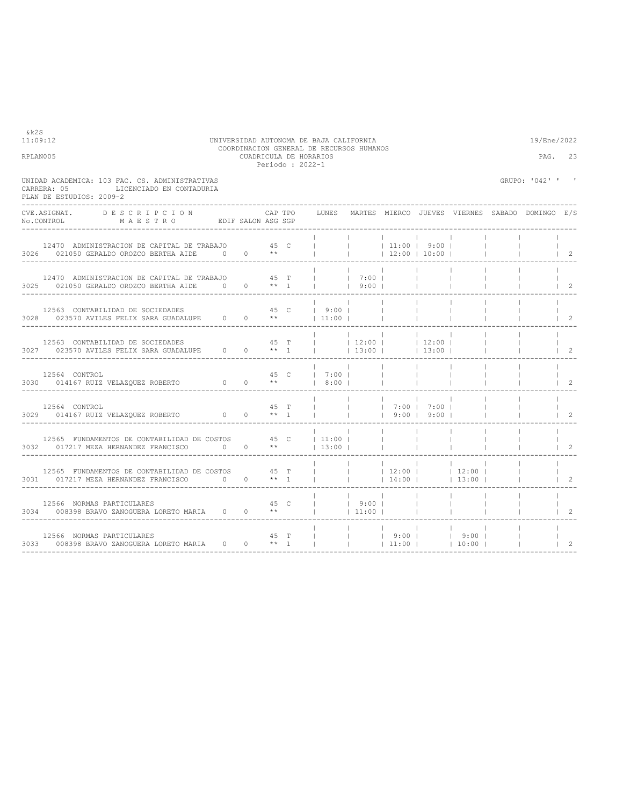|  |                                                                                                                                                                                                                                                                                                                                                                                                                                                                                                                                                                                                                                                                                                                                                                                                                                                                                                                                                                                                                                                                                                                                                                                                                                                                                                                 |                                                                                                                           |                                                                                                                                                                                                                                                                                         |                                                                                                                                                                                                   |                                                                                                                |                                                                          | PAG.                                                                                                                                                  | 23                                                                  |
|--|-----------------------------------------------------------------------------------------------------------------------------------------------------------------------------------------------------------------------------------------------------------------------------------------------------------------------------------------------------------------------------------------------------------------------------------------------------------------------------------------------------------------------------------------------------------------------------------------------------------------------------------------------------------------------------------------------------------------------------------------------------------------------------------------------------------------------------------------------------------------------------------------------------------------------------------------------------------------------------------------------------------------------------------------------------------------------------------------------------------------------------------------------------------------------------------------------------------------------------------------------------------------------------------------------------------------|---------------------------------------------------------------------------------------------------------------------------|-----------------------------------------------------------------------------------------------------------------------------------------------------------------------------------------------------------------------------------------------------------------------------------------|---------------------------------------------------------------------------------------------------------------------------------------------------------------------------------------------------|----------------------------------------------------------------------------------------------------------------|--------------------------------------------------------------------------|-------------------------------------------------------------------------------------------------------------------------------------------------------|---------------------------------------------------------------------|
|  |                                                                                                                                                                                                                                                                                                                                                                                                                                                                                                                                                                                                                                                                                                                                                                                                                                                                                                                                                                                                                                                                                                                                                                                                                                                                                                                 |                                                                                                                           |                                                                                                                                                                                                                                                                                         |                                                                                                                                                                                                   |                                                                                                                |                                                                          |                                                                                                                                                       |                                                                     |
|  | LUNES                                                                                                                                                                                                                                                                                                                                                                                                                                                                                                                                                                                                                                                                                                                                                                                                                                                                                                                                                                                                                                                                                                                                                                                                                                                                                                           |                                                                                                                           |                                                                                                                                                                                                                                                                                         |                                                                                                                                                                                                   |                                                                                                                |                                                                          |                                                                                                                                                       |                                                                     |
|  |                                                                                                                                                                                                                                                                                                                                                                                                                                                                                                                                                                                                                                                                                                                                                                                                                                                                                                                                                                                                                                                                                                                                                                                                                                                                                                                 |                                                                                                                           |                                                                                                                                                                                                                                                                                         |                                                                                                                                                                                                   |                                                                                                                |                                                                          |                                                                                                                                                       | $\vert$ 2                                                           |
|  |                                                                                                                                                                                                                                                                                                                                                                                                                                                                                                                                                                                                                                                                                                                                                                                                                                                                                                                                                                                                                                                                                                                                                                                                                                                                                                                 |                                                                                                                           |                                                                                                                                                                                                                                                                                         |                                                                                                                                                                                                   |                                                                                                                |                                                                          |                                                                                                                                                       | $1\quad 2$                                                          |
|  |                                                                                                                                                                                                                                                                                                                                                                                                                                                                                                                                                                                                                                                                                                                                                                                                                                                                                                                                                                                                                                                                                                                                                                                                                                                                                                                 |                                                                                                                           |                                                                                                                                                                                                                                                                                         |                                                                                                                                                                                                   |                                                                                                                |                                                                          |                                                                                                                                                       | $1\quad 2$                                                          |
|  |                                                                                                                                                                                                                                                                                                                                                                                                                                                                                                                                                                                                                                                                                                                                                                                                                                                                                                                                                                                                                                                                                                                                                                                                                                                                                                                 |                                                                                                                           |                                                                                                                                                                                                                                                                                         |                                                                                                                                                                                                   |                                                                                                                |                                                                          |                                                                                                                                                       | $\overline{2}$                                                      |
|  |                                                                                                                                                                                                                                                                                                                                                                                                                                                                                                                                                                                                                                                                                                                                                                                                                                                                                                                                                                                                                                                                                                                                                                                                                                                                                                                 |                                                                                                                           |                                                                                                                                                                                                                                                                                         |                                                                                                                                                                                                   |                                                                                                                |                                                                          |                                                                                                                                                       | $\overline{2}$                                                      |
|  |                                                                                                                                                                                                                                                                                                                                                                                                                                                                                                                                                                                                                                                                                                                                                                                                                                                                                                                                                                                                                                                                                                                                                                                                                                                                                                                 |                                                                                                                           |                                                                                                                                                                                                                                                                                         |                                                                                                                                                                                                   |                                                                                                                |                                                                          |                                                                                                                                                       | 2                                                                   |
|  |                                                                                                                                                                                                                                                                                                                                                                                                                                                                                                                                                                                                                                                                                                                                                                                                                                                                                                                                                                                                                                                                                                                                                                                                                                                                                                                 |                                                                                                                           |                                                                                                                                                                                                                                                                                         |                                                                                                                                                                                                   |                                                                                                                |                                                                          |                                                                                                                                                       | 2                                                                   |
|  |                                                                                                                                                                                                                                                                                                                                                                                                                                                                                                                                                                                                                                                                                                                                                                                                                                                                                                                                                                                                                                                                                                                                                                                                                                                                                                                 |                                                                                                                           |                                                                                                                                                                                                                                                                                         |                                                                                                                                                                                                   |                                                                                                                |                                                                          |                                                                                                                                                       | $\overline{2}$                                                      |
|  |                                                                                                                                                                                                                                                                                                                                                                                                                                                                                                                                                                                                                                                                                                                                                                                                                                                                                                                                                                                                                                                                                                                                                                                                                                                                                                                 |                                                                                                                           |                                                                                                                                                                                                                                                                                         |                                                                                                                                                                                                   |                                                                                                                |                                                                          |                                                                                                                                                       | 2                                                                   |
|  |                                                                                                                                                                                                                                                                                                                                                                                                                                                                                                                                                                                                                                                                                                                                                                                                                                                                                                                                                                                                                                                                                                                                                                                                                                                                                                                 |                                                                                                                           |                                                                                                                                                                                                                                                                                         |                                                                                                                                                                                                   |                                                                                                                |                                                                          |                                                                                                                                                       | $\overline{2}$                                                      |
|  | CAP TPO<br>$\verb No.CONTROL  \qquad \qquad \verb M A E S T R O  \qquad \qquad \verb EDIF SALON ASS SGP  \qquad \qquad \verb N.75  \qquad \qquad \verb M A E S T R O  \qquad \qquad \verb EDIF SALON ASS SGP  \qquad \qquad \verb N.75  \qquad \qquad \verb N.75  \qquad \qquad \verb N.75  \qquad \qquad \verb N.75  \qquad \qquad \verb N.75  \qquad \qquad \verb N.75  \qquad \qquad \verb N.75  \qquad \qquad \verb N.75  \qquad \qquad \verb N.75  \qquad$<br>12470 ADMINISTRACION DE CAPITAL DE TRABAJO 45 C<br>3026 021050 GERALDO OROZCO BERTHA AIDE 0 0 **<br>12470 ADMINISTRACION DE CAPITAL DE TRABAJO 45 T<br>3025 021050 GERALDO OROZCO BERTHA AIDE $0$ 0 $**$ 1<br>проставление и 45 членов транспорти при подательно при подательно при подательно при подательно при подательно<br>В том, что при подательно при подательно при подательно при подательно при подательно при подательно при подат<br>45 C<br>3030 014167 RUIZ VELAZOUEZ ROBERTO $0$ 0 **<br>45 T<br>3029 014167 RUIZ VELAZQUEZ ROBERTO $0$ 0 $**$ 1<br>3032 017217 MEZA HERNANDEZ FRANCISCO 0 0 **<br>12565 FUNDAMENTOS DE CONTABILIDAD DE COSTOS 45 T<br>3031 017217 MEZA HERNANDEZ FRANCISCO 0 0 ** 1<br>45 C<br>3034 008398 BRAVO ZANOGUERA LORETO MARIA 0 0 **<br>45 T<br>3033 008398 BRAVO ZANOGUERA LORETO MARIA 0 0 ** 1 | CUADRICULA DE HORARIOS<br>Periodo: 2022-1<br><b>College</b><br><b>Contract Contract</b><br>$\mathbf{1}$<br><b>College</b> | $\sim$ 100 $\sim$<br>12563 CONTABILIDAD DE SOCIEDADES $45$ C $\mid$ 9:00   3028 023570 AVILES FELIX SARA GUADALUPE 0 0 **   11:00  <br>$1 \t7:00 \t1$<br>$18:00$ $1$<br><b>Contractor</b><br>12565 FUNDAMENTOS DE CONTABILIDAD DE COSTOS 45 C   11:00  <br>$13:00$  <br>$\sim 10^{-11}$ | 17:001<br>$9:00$ $\perp$<br>$\sim$ 1<br><b>Contract Contract</b><br><b>Contract Contract</b><br><b>Contract</b><br><b>College</b><br>$\sim 1$<br><b>Contract Contract</b><br>$ $ 9:00  <br> 11:00 | $\sim$ 1.0<br><b>Contract Contract</b><br>$\mathbf{1}$<br>14:00<br>$\blacksquare$<br>$\sim$ 1.<br>$\mathbf{I}$ | $\vert$ 12:00 $\vert$ 10:00 $\vert$<br>$ $ 12:00   12:00  <br> 9:00 9:00 | $13:00$  <br>$\begin{array}{ccccccccccc} &   & &   & &   & 9:00 &   & &   & 9:00 &   \\ &   & &   & &   & 11:00 &   & &   & 10:00 &   \\ \end{array}$ | GRUPO: '042' ' '<br>MARTES MIERCO JUEVES VIERNES SABADO DOMINGO E/S |

 $k2S$ <br>11:09:12

## 11:09:12 UNIVERSIDAD AUTONOMA DE BAJA CALIFORNIA 19/Ene/2022 COORDINACION GENERAL DE RECURSOS HUMANOS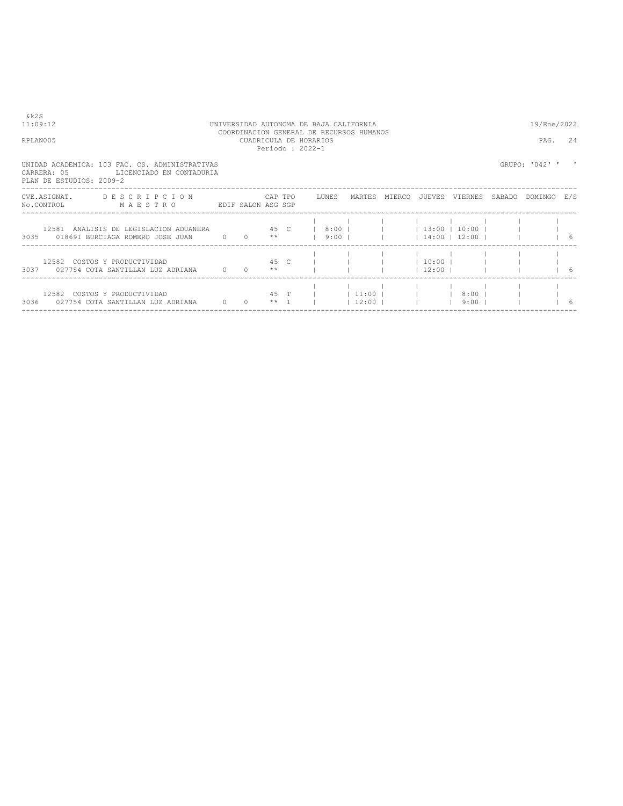| RPLAN005                 |                                                                                                                                                                 | CUADRICULA DE HORARIOS | Periodo: 2022-1 |  | COORDINACION GENERAL DE RECURSOS HUMANOS |               |        |                               |        | PAG.                                       | 2.4 |
|--------------------------|-----------------------------------------------------------------------------------------------------------------------------------------------------------------|------------------------|-----------------|--|------------------------------------------|---------------|--------|-------------------------------|--------|--------------------------------------------|-----|
| PLAN DE ESTUDIOS: 2009-2 | UNIDAD ACADEMICA: 103 FAC. CS. ADMINISTRATIVAS<br>CARRERA: 05 LICENCIADO EN CONTADURIA                                                                          |                        |                 |  |                                          |               |        |                               |        | GRUPO: '042' '                             |     |
| CVE.ASIGNAT.             | DESCRIPCION CAPTPO LUNES<br>NO.CONTROL MAESTRO<br>EDIF SALON ASG SGP                                                                                            |                        |                 |  |                                          | MARTES MIERCO | JUEVES | VIERNES                       | SABADO | DOMINGO E/S                                |     |
|                          | 12581 ANALISIS DE LEGISLACION ADUANERA 45 C   8:00       13:00   10:00    <br>3035 018691 BURCIAGA ROMERO JOSE JUAN 0 0 **   9:00       14:00   12:00         6 |                        |                 |  |                                          |               |        |                               |        |                                            |     |
|                          | 45 C         10:00    <br>12582 COSTOS Y PRODUCTIVIDAD<br>3037 027754 COTA SANTILLAN LUZ ADRIANA 0 0 0 **                                                       |                        |                 |  |                                          |               |        | $\vert$ 12:00 $\vert$ $\vert$ |        | $\begin{array}{ccc} & & 1 & 6 \end{array}$ |     |
|                          | 3036 027754 COTA SANTILLAN LUZ ADRIANA 0 0 ** 1                                                                                                                 |                        |                 |  |                                          |               |        | $ 12:00 $ $ 9:00 $ $ $        |        |                                            | 16  |

 $& k2S$ <br>11:09:12

# 11:09:12 UNIVERSIDAD AUTONOMA DE BAJA CALIFORNIA 19/Ene/2022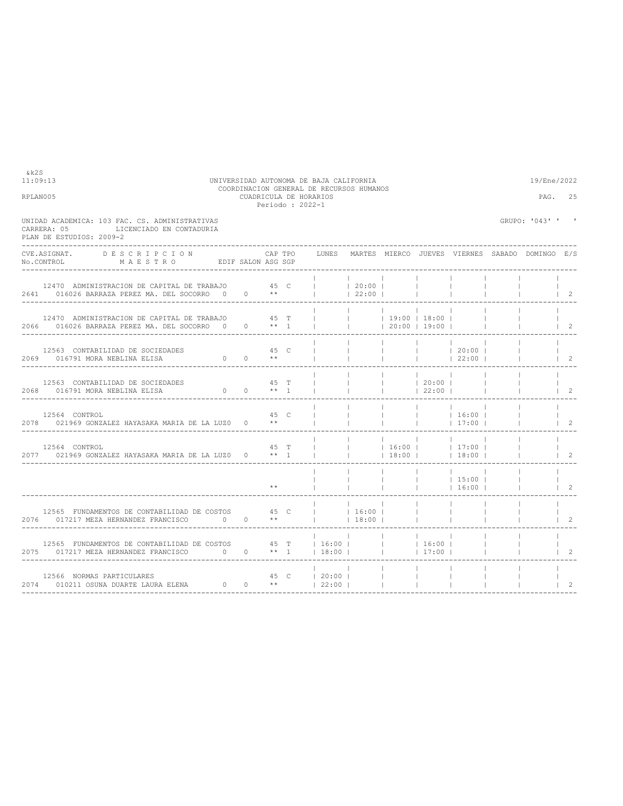| RPLAN005                                                                                                                                                                                                     | CUADRICULA DE HORARIOS<br>Periodo: 2022-1 |                |                                    |                                                                                                          |                          |                                                                                                                        | PAG.                                            | 25             |
|--------------------------------------------------------------------------------------------------------------------------------------------------------------------------------------------------------------|-------------------------------------------|----------------|------------------------------------|----------------------------------------------------------------------------------------------------------|--------------------------|------------------------------------------------------------------------------------------------------------------------|-------------------------------------------------|----------------|
| UNIDAD ACADEMICA: 103 FAC. CS. ADMINISTRATIVAS<br>LICENCIADO EN CONTADURIA<br>CARRERA: 05<br>PLAN DE ESTUDIOS: 2009-2                                                                                        |                                           |                |                                    |                                                                                                          |                          |                                                                                                                        | GRUPO: '043' ' '                                |                |
| CVE.ASIGNAT.<br><b>DESCRIPCION</b><br>NO.CONTROL MAESTRO EDIF SALON ASG SGP                                                                                                                                  | CAP TPO                                   | LUNES          |                                    |                                                                                                          |                          |                                                                                                                        | MARTES MIERCO JUEVES VIERNES SABADO DOMINGO E/S |                |
| 12470 ADMINISTRACION DE CAPITAL DE TRABAJO $45$ C $\vert$ $\vert$ 20:00 $\vert$ $\vert$ 20:00 $\vert$ $\vert$ 2641 016026 BARRAZA PEREZ MA. DEL SOCORRO 0 0 ** $\vert$ $\vert$ $\vert$ 22:00 $\vert$ $\vert$ |                                           |                |                                    |                                                                                                          | <b>Contract</b>          |                                                                                                                        |                                                 | $\vert$ 2      |
| 12470 ADMINISTRACION DE CAPITAL DE TRABAJO<br>2066 016026 BARRAZA PEREZ MA. DEL SOCORRO 0 0 ** 1                                                                                                             | 45 T                                      | <b>College</b> |                                    | $\begin{array}{cccccccc}   &   & 19:00 &   & 18:00 &   & \\   &   & 20:00 &   & 19:00 &   & \end{array}$ |                          |                                                                                                                        |                                                 | $\vert$ 2      |
| 12563 CONTABILIDAD DE SOCIEDADES<br>DADES $45 \text{ C}$<br>0 0 $**$<br>2069 016791 MORA NEBLINA ELISA                                                                                                       |                                           |                |                                    |                                                                                                          |                          | $\begin{array}{ccccccc}   & &   & &   & &   & &   & 20:00 &   \\   & &   & &   & &   & &   & 22:00 &   \\ \end{array}$ |                                                 | $\vert 2$      |
| 12563 CONTABILIDAD DE SOCIEDADES<br>2068 016791 MORA NEBLINA ELISA                                                                                                                                           | 45 T                                      |                |                                    | $\begin{array}{ccccccc}   & &   & 20:00 &   \\   & &   & 22:00 &   \end{array}$                          | $\sim$ 1.000 $\sim$      |                                                                                                                        |                                                 | $1 \quad 2$    |
| 12564 CONTROL<br>2078 021969 GONZALEZ HAYASAKA MARIA DE LA LUZO 0 **                                                                                                                                         | 45 C                                      |                |                                    |                                                                                                          |                          | $\begin{array}{ccccccc}   & &   & &   & 16:00 &   \\   & &   & &   & 17:00 &   \end{array}$<br> 17:00                  |                                                 | $\overline{2}$ |
| 12564 CONTROL<br>$2077$ 021969 GONZALEZ HAYASAKA MARIA DE LA LUZO $0$ ** 1                                                                                                                                   | 45 T                                      | $\Box$         |                                    | <b>Contract Contract</b>                                                                                 | <b>College</b>           | $\begin{array}{cccccccc}   &   & 16:00 &   &   & 17:00 &   \\   &   & 18:00 &   &   & 18:00 &   \end{array}$           |                                                 | $1 \quad 2$    |
|                                                                                                                                                                                                              | $**$                                      |                |                                    |                                                                                                          |                          | $\begin{array}{ccccccc}   & &   & 15:00 &   \\   & &   & 16:00 &   \end{array}$<br>16:00                               |                                                 | $\vert$ 2      |
| 12565 FUNDAMENTOS DE CONTABILIDAD DE COSTOS 45 C<br>2076 017217 MEZA HERNANDEZ FRANCISCO 0                                                                                                                   | $0 \longrightarrow$ **                    |                | <b>Contract Contract</b><br> 18:00 |                                                                                                          |                          |                                                                                                                        |                                                 | $\overline{2}$ |
|                                                                                                                                                                                                              |                                           |                |                                    | <b>Contract Contract</b>                                                                                 | <b>Contract Contract</b> |                                                                                                                        |                                                 | $\mathcal{L}$  |
| 12566 NORMAS PARTICULARES $45$ C $120:00$   2010211 OSUNA DUARTE LAURA ELENA $0$ 0 **   22:00                                                                                                                |                                           |                | $\sim$ 11                          |                                                                                                          |                          |                                                                                                                        |                                                 | 2              |
|                                                                                                                                                                                                              |                                           |                |                                    |                                                                                                          |                          |                                                                                                                        |                                                 |                |

COORDINACION GENERAL DE RECURSOS HUMANOS

11:09:13 UNIVERSIDAD AUTONOMA DE BAJA CALIFORNIA 19/Ene/2022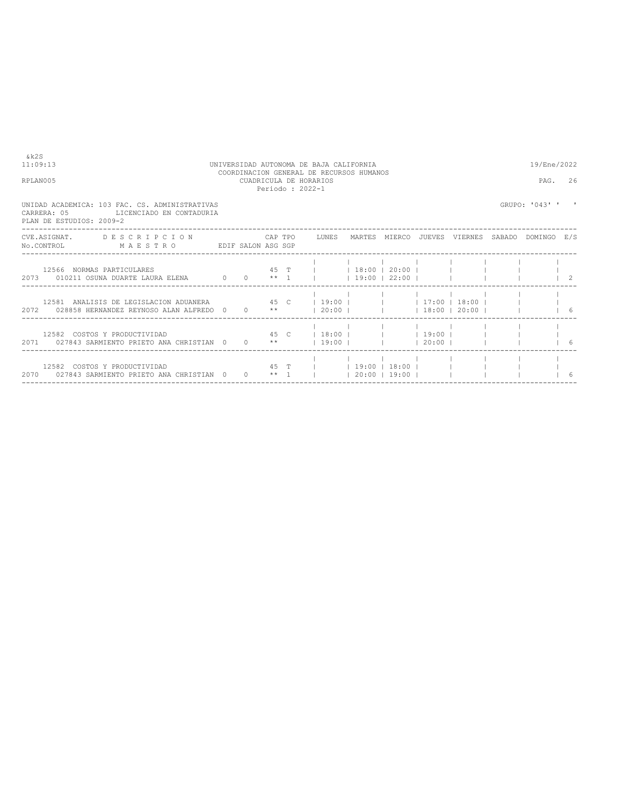| 11:09:13                                                                                                                                                         |  |  | UNIVERSIDAD AUTONOMA DE BAJA CALIFORNIA                                               |  |  | 19/Ene/2022      |           |
|------------------------------------------------------------------------------------------------------------------------------------------------------------------|--|--|---------------------------------------------------------------------------------------|--|--|------------------|-----------|
| RPLAN005                                                                                                                                                         |  |  | COORDINACION GENERAL DE RECURSOS HUMANOS<br>CUADRICULA DE HORARIOS<br>Periodo: 2022-1 |  |  | PAG.             | 26        |
| UNIDAD ACADEMICA: 103 FAC. CS. ADMINISTRATIVAS<br>CARRERA: 05<br>LICENCIADO EN CONTADURIA<br>PLAN DE ESTUDIOS: 2009-2                                            |  |  |                                                                                       |  |  | GRUPO: '043' ' ' |           |
| CVE.ASIGNAT. DESCRIPCION CAPTPO LUNES MARTES MIERCO JUEVES VIERNES SABADO DOMINGO E/S<br>No.CONTROL MAESTRO EDIF SALON ASG SGP                                   |  |  |                                                                                       |  |  |                  |           |
| 2073 010211 OSUNA DUARTE LAURA ELENA 0 0 ** 1     19:00   22:00                                                                                                  |  |  |                                                                                       |  |  |                  | $\vert$ 2 |
| 12581 ANALISIS DE LEGISLACION ADUANERA 45 C   19:00         17:00   18:00    <br>2072 028858 HERNANDEZ REYNOSO ALAN ALFREDO 0 0 **   20:00         18:00   20:00 |  |  |                                                                                       |  |  |                  | 16        |
| 12582 COSTOS Y PRODUCTIVIDAD 6 (45 C   18:00   1   19:00   1   1<br>2071 027843 SARMIENTO PRIETO ANA CHRISTIAN 0 0 **   19:00       20:00                        |  |  |                                                                                       |  |  |                  | -6        |
| 12582 COSTOS Y PRODUCTIVIDAD<br>2070 027843 SARMIENTO PRIETO ANA CHRISTIAN 0 0 ** 1     20:00   19:00                                                            |  |  | 45 T     19:00   18:00                                                                |  |  |                  |           |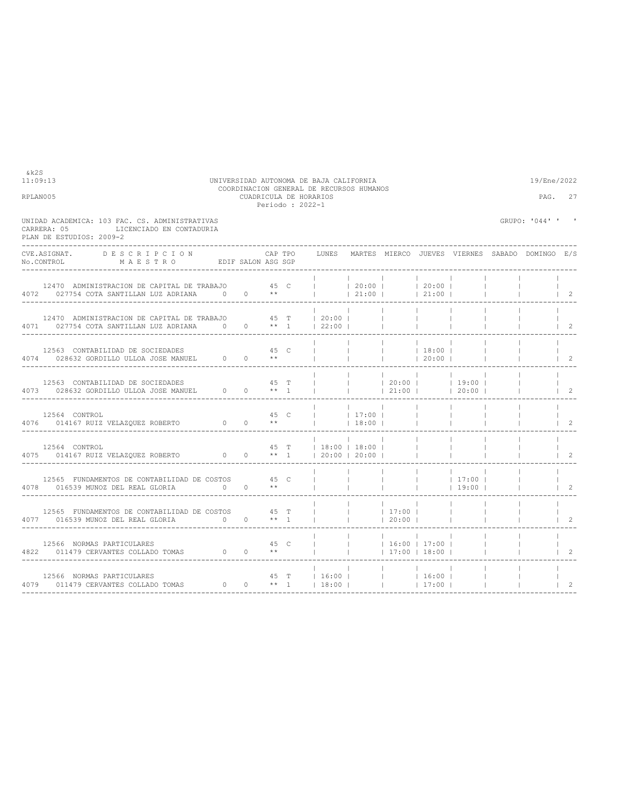| RPLAN005 |                                                                                                                                                                                                                               |                               |                                                                      |              |                                                                                                 | PAG.                     | 27                                                                                                                                                                                                                                                                                                                             |                                                 |                |
|----------|-------------------------------------------------------------------------------------------------------------------------------------------------------------------------------------------------------------------------------|-------------------------------|----------------------------------------------------------------------|--------------|-------------------------------------------------------------------------------------------------|--------------------------|--------------------------------------------------------------------------------------------------------------------------------------------------------------------------------------------------------------------------------------------------------------------------------------------------------------------------------|-------------------------------------------------|----------------|
|          | UNIDAD ACADEMICA: 103 FAC. CS. ADMINISTRATIVAS<br>LICENCIADO EN CONTADURIA<br>CARRERA: 05<br>PLAN DE ESTUDIOS: 2009-2                                                                                                         |                               |                                                                      |              |                                                                                                 |                          |                                                                                                                                                                                                                                                                                                                                | GRUPO: '044' ' '                                |                |
|          | CVE.ASIGNAT.<br>DESCRIPCION<br>NO.CONTROL MAESTRO EDIF SALON ASG SGP                                                                                                                                                          | CAP TPO                       | LUNES                                                                |              |                                                                                                 |                          |                                                                                                                                                                                                                                                                                                                                | MARTES MIERCO JUEVES VIERNES SABADO DOMINGO E/S |                |
|          | 12470 ADMINISTRACION DE CAPITAL DE TRABAJO $45$ C $1$ 1 20:00   20:00   20:00   20:00   20:00   21:00   21:00   21:00   21:00   21:00   21:00   21:00   21:00   21:00   21:00   21:00   21:00   21:00   21:00   21:00   21:00 |                               |                                                                      |              |                                                                                                 |                          |                                                                                                                                                                                                                                                                                                                                |                                                 | $\vert$ 2      |
|          | 12470 ADMINISTRACION DE CAPITAL DE TRABAJO 45 T<br>4071 027754 COTA SANTILLAN LUZ ADRIANA 0 0 0 ** 1   22:00                                                                                                                  |                               | 20:00                                                                |              | <b>Contractor</b>                                                                               |                          |                                                                                                                                                                                                                                                                                                                                |                                                 | $1\quad 2$     |
|          | 12563 CONTABILIDAD DE SOCIEDADES<br>$4074 \qquad 028632 \ \mbox{GORDILLO ULOA JOSE MANUEL} \qquad 0 \qquad 0 \qquad **$                                                                                                       |                               | $\Gamma$ and $\Gamma$                                                |              | $\begin{array}{cccccccc}   & &   & &   & 18:00 &   \\   & &   & &   & 20:00 &   \\ \end{array}$ |                          |                                                                                                                                                                                                                                                                                                                                |                                                 | $1 \quad 2$    |
|          | 12563 CONTABILIDAD DE SOCIEDADES<br>4073 028632 GORDILLO ULLOA JOSE MANUEL $0$ 0 ** 1                                                                                                                                         | 45 T                          |                                                                      |              |                                                                                                 |                          | $\begin{array}{cccccccc}   &   & 20:00 &   &   & 19:00 &   \\   &   & 21:00 &   &   & 20:00 &   \end{array}$                                                                                                                                                                                                                   |                                                 | $1 \quad 2$    |
|          | 12564 CONTROL<br>$0 \t 0 \t \star\star$<br>4076 014167 RUIZ VELAZQUEZ ROBERTO                                                                                                                                                 | 45 C                          | $\begin{array}{ccc c}   &   & 17:00 \\   &   & 18:00 \\ \end{array}$ | 18:00        |                                                                                                 |                          |                                                                                                                                                                                                                                                                                                                                |                                                 | $\overline{2}$ |
|          | 12564 CONTROL<br>4075 014167 RUIZ VELAZOUEZ ROBERTO 0 0 ** 1                                                                                                                                                                  |                               | 45 T   18:00   18:00  <br>$120:00$ $120:00$ $1$                      |              |                                                                                                 |                          |                                                                                                                                                                                                                                                                                                                                |                                                 | $\overline{2}$ |
|          | 12565 FUNDAMENTOS DE CONTABILIDAD DE COSTOS 45 C<br>4078 016539 MUNOZ DEL REAL GLORIA 0                                                                                                                                       | $0 \qquad \qquad \star \star$ |                                                                      |              | <b>College</b>                                                                                  | <b>Contract</b>          | $\frac{1}{2}$ $\frac{1}{2}$ $\frac{1}{2}$ $\frac{1}{2}$ $\frac{1}{2}$ $\frac{1}{2}$ $\frac{1}{2}$ $\frac{1}{2}$ $\frac{1}{2}$ $\frac{1}{2}$ $\frac{1}{2}$ $\frac{1}{2}$ $\frac{1}{2}$ $\frac{1}{2}$ $\frac{1}{2}$ $\frac{1}{2}$ $\frac{1}{2}$ $\frac{1}{2}$ $\frac{1}{2}$ $\frac{1}{2}$ $\frac{1}{2}$ $\frac{1}{2}$<br>$19:00$ |                                                 | $1 \quad 2$    |
|          | 12565 FUNDAMENTOS DE CONTABILIDAD DE COSTOS 45 T<br>4077 016539 MUNOZ DEL REAL GLORIA 0                                                                                                                                       | $0 \times 1$                  |                                                                      | $\mathbf{1}$ | <b>Contract Contract</b><br> 20:00                                                              | $\Box$                   |                                                                                                                                                                                                                                                                                                                                |                                                 | $\mathcal{L}$  |
|          | 12566 NORMAS PARTICULARES<br>43 C<br>4822 011479 CERVANTES COLLADO TOMAS 0 0 **                                                                                                                                               | 45 C                          | $\frac{1}{2}$ $\frac{1}{2}$ $\frac{16:00}{2}$ $\frac{17:00}{2}$      |              | <b>Contract Contract</b><br> 17:00 18:00                                                        | <b>Contract Contract</b> |                                                                                                                                                                                                                                                                                                                                |                                                 | $\mathcal{L}$  |
|          |                                                                                                                                                                                                                               |                               |                                                                      |              | <b>The Company</b><br><b>Contract Contract</b>                                                  |                          |                                                                                                                                                                                                                                                                                                                                |                                                 | $\overline{2}$ |
|          |                                                                                                                                                                                                                               |                               |                                                                      |              |                                                                                                 |                          |                                                                                                                                                                                                                                                                                                                                |                                                 |                |

COORDINACION GENERAL DE RECURSOS HUMANOS

11:09:13 UNIVERSIDAD AUTONOMA DE BAJA CALIFORNIA 19/Ene/2022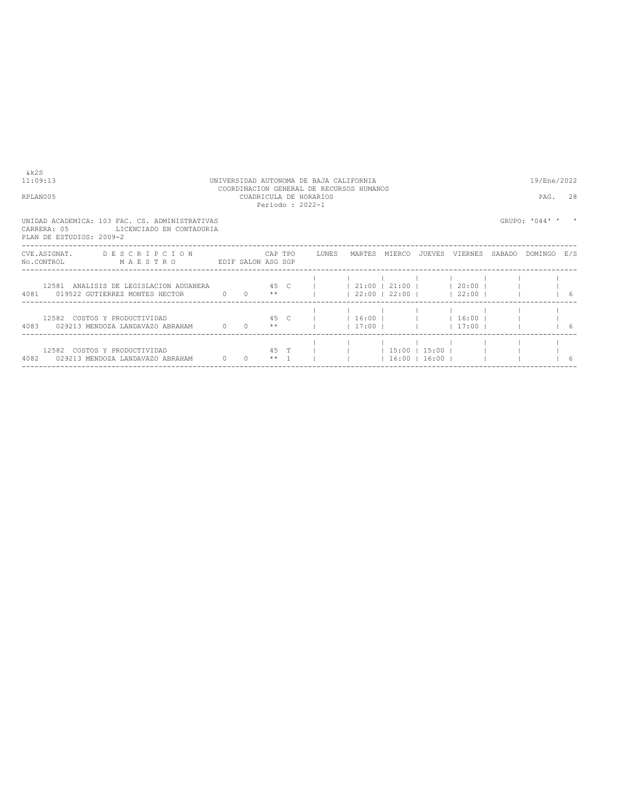| & k 2 S<br>11:09:13<br>RPLAN005                                                                                                                                     | UNIVERSIDAD AUTONOMA DE BAJA CALIFORNIA | COORDINACION GENERAL DE RECURSOS HUMANOS<br>CUADRICULA DE HORARIOS | Periodo: 2022-1 |                            | 19/Ene/2022<br>PAG. 28 |  |                                        |                |  |
|---------------------------------------------------------------------------------------------------------------------------------------------------------------------|-----------------------------------------|--------------------------------------------------------------------|-----------------|----------------------------|------------------------|--|----------------------------------------|----------------|--|
| UNIDAD ACADEMICA: 103 FAC. CS. ADMINISTRATIVAS<br>LICENCIADO EN CONTADURIA<br>CARRERA: 05<br>PLAN DE ESTUDIOS: 2009-2                                               |                                         |                                                                    |                 |                            |                        |  |                                        | GRUPO: '044' ' |  |
| CVE.ASIGNAT. DESCRIPCION CAPTPO LUNES MARTES MIERCO JUEVES VIERNES SABADO<br>No.CONTROL MAESTRO EDIF SALON ASG SGP                                                  |                                         |                                                                    |                 |                            |                        |  |                                        | DOMINGO E/S    |  |
| 12581 ANALISIS DE LEGISLACION ADUANERA 45 C     21:00   21:00     20:00    <br>4081 019522 GUTIERREZ MONTES HECTOR 0 0 **   22:00   22:00   23:00     22:00       6 |                                         |                                                                    |                 |                            |                        |  |                                        |                |  |
| 12582 COSTOS Y PRODUCTIVIDAD<br>4083 029213 MENDOZA LANDAVAZO ABRAHAM $0$ 0 $**$                                                                                    |                                         |                                                                    |                 | 45 C     16:00       16:00 |                        |  | $1 \t17:00 \t1 \t11 \t111:00 \t1 \t16$ |                |  |
| 12582 COSTOS Y PRODUCTIVIDAD<br>4082 029213 MENDOZA LANDAVAZO ABRAHAM 0 0 0 ** 1 l                                                                                  |                                         |                                                                    |                 | 45 T       15:00   15:00   |                        |  | $16:00$ $16:00$ $1$                    |                |  |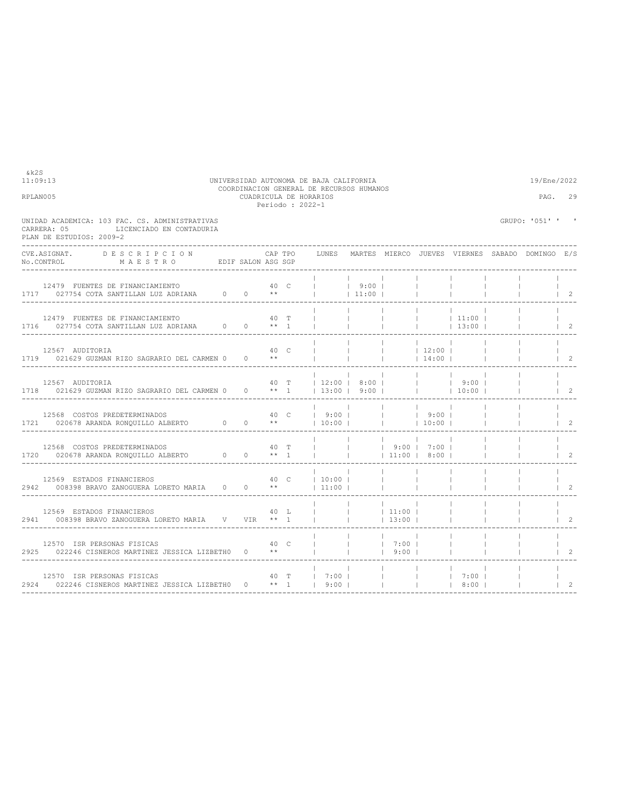| RPLAN005                                                                                                                                                                                                                                                                                                                                                                             |         | Periodo : 2022-1 | CUADRICULA DE HORARIOS             |                          |                          |                          |                          |                          | PAG.                                            | 29                                   |
|--------------------------------------------------------------------------------------------------------------------------------------------------------------------------------------------------------------------------------------------------------------------------------------------------------------------------------------------------------------------------------------|---------|------------------|------------------------------------|--------------------------|--------------------------|--------------------------|--------------------------|--------------------------|-------------------------------------------------|--------------------------------------|
| UNIDAD ACADEMICA; 103 FAC. CS. ADMINISTRATIVAS<br>LICENCIADO EN CONTADURIA<br>CARRERA: 05<br>PLAN DE ESTUDIOS: 2009-2                                                                                                                                                                                                                                                                |         |                  |                                    |                          |                          |                          |                          |                          | GRUPO: '051' ' '                                |                                      |
| CVE.ASIGNAT. DESCRIPCION                                                                                                                                                                                                                                                                                                                                                             | CAP TPO |                  | LUNES                              |                          |                          |                          |                          |                          | MARTES MIERCO JUEVES VIERNES SABADO DOMINGO E/S |                                      |
| 12479 FUENTES DE FINANCIAMIENTO<br>1717 027754 COTA SANTILLAN LUZ ADRIANA $0 \t 0 \t \star$     11:00                                                                                                                                                                                                                                                                                | 40 C    |                  | $\frac{1}{1}$ 9:00                 |                          |                          | <b>Contract</b>          |                          |                          |                                                 | $\begin{array}{ccc} & 2 \end{array}$ |
| 12479 FUENTES DE FINANCIAMIENTO<br>1716 027754 COTA SANTILLAN LUZ ADRIANA 0 0 0 ** 1                                                                                                                                                                                                                                                                                                 | 40 T    |                  | $\sim$ 1                           |                          |                          |                          |                          |                          |                                                 | $\begin{array}{ccc} & 2 \end{array}$ |
| 12567 AUDITORIA<br>1719 021629 GUZMAN RIZO SAGRARIO DEL CARMEN 0 0 **                                                                                                                                                                                                                                                                                                                | 40 C    |                  |                                    | <b>Contract Contract</b> | $ $ 12:00                |                          |                          | <b>College</b>           |                                                 | $\begin{array}{ccc} & 2 \end{array}$ |
| 12567 AUDITORIA<br>1718 021629 GUZMAN RIZO SAGRARIO DEL CARMEN 0 0 ** 1   13:00   9:00       10:00                                                                                                                                                                                                                                                                                   |         |                  | $40$ T   12:00   8:00         9:00 |                          | <b>Contract Contract</b> |                          |                          |                          |                                                 | $1\quad 2$                           |
| 12568 COSTOS PREDETERMINADOS $40 \quad C \qquad   \qquad 9:00 \qquad   \qquad   \qquad   \qquad 9:00 \qquad   \qquad 9:00 \qquad   \qquad 9:00 \qquad   \qquad 9:00 \qquad   \qquad 9:00 \qquad   \qquad 9:00 \qquad   \qquad 9:00 \qquad   \qquad 9:00 \qquad   \qquad 9:00 \qquad   \qquad 9:00 \qquad   \qquad 9:00 \qquad   \qquad 9:00 \qquad   \qquad 9:00 \qquad   \qquad 9:$ |         |                  |                                    |                          |                          |                          |                          | <b>Contract Contract</b> |                                                 | $\begin{array}{ccc} & 2 \end{array}$ |
| 12568 COSTOS PREDETERMINADOS<br>1720 020678 ARANDA RONOUILLO ALBERTO 0 0 ** 1                                                                                                                                                                                                                                                                                                        | 40 T    |                  | $ $ $ $ $ $ $ $ 9:00 $ $ 7:00 $ $  |                          |                          |                          |                          | <b>College</b>           |                                                 | $1 \quad 2$                          |
| 12569 ESTADOS FINANCIEROS<br>2942   008398 BRAVO ZANOGUERA LORETO MARIA   0   0   **     11:00                                                                                                                                                                                                                                                                                       |         |                  | 40 C   10:00                       |                          | <b>Contract Contract</b> | <b>Contract Contract</b> | <b>Contract Contract</b> |                          |                                                 | $\begin{array}{ccc} & 2 \end{array}$ |
| 12569 ESTADOS FINANCIEROS<br>2941 008398 BRAVO ZANOGUERA LORETO MARIA V VIR ** 1                                                                                                                                                                                                                                                                                                     | 40 L    |                  |                                    |                          |                          |                          | <b>Contract</b>          | $\mathbf{1}$             |                                                 | $1 \quad 2$                          |
| 12570 ISR PERSONAS FISICAS<br>40 C<br>2925 022246 CISNEROS MARTINEZ JESSICA LIZBETH0 0 **                                                                                                                                                                                                                                                                                            |         |                  |                                    |                          | 9:00                     |                          | <b>College</b>           | $\mathbb{R}$             | $\mathbb{R}^n$                                  | $\mathbb{R}$<br>$1 \quad 2$          |
|                                                                                                                                                                                                                                                                                                                                                                                      |         |                  |                                    |                          |                          |                          |                          |                          | $\begin{array}{ccc} & & 2 \\ \end{array}$       | <b>Contract Contract</b>             |

### 11:09:13 UNIVERSIDAD AUTONOMA DE BAJA CALIFORNIA 19/Ene/2022 COORDINACION GENERAL DE RECURSOS HUMANOS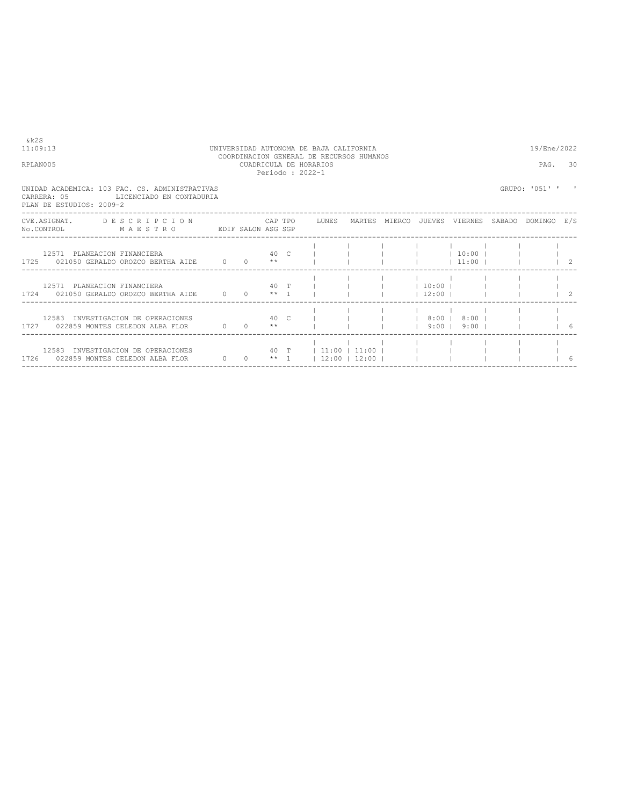| RPLAN005                                                                                                                       |  | PAG.                 | 30                   |  |        |                                       |          |                                            |                                              |
|--------------------------------------------------------------------------------------------------------------------------------|--|----------------------|----------------------|--|--------|---------------------------------------|----------|--------------------------------------------|----------------------------------------------|
| UNIDAD ACADEMICA: 103 FAC. CS. ADMINISTRATIVAS<br>CARRERA: 05<br>LICENCIADO EN CONTADURIA<br>PLAN DE ESTUDIOS: 2009-2          |  |                      |                      |  |        |                                       |          | GRUPO: '051' '                             |                                              |
| CVE.ASIGNAT. DESCRIPCION CAPTPO LUNES MARTES MIERCO JUEVES VIERNES SABADO DOMINGO E/S<br>No.CONTROL MAESTRO EDIF SALON ASG SGP |  |                      |                      |  |        |                                       |          |                                            |                                              |
| 12571 PLANEACION FINANCIERA<br>1725 021050 GERALDO OROZCO BERTHA AIDE $0 \t 0 \t \star \t 1$                                   |  |                      |                      |  |        | 40 C             10:00    <br> 11:00  |          | $\begin{array}{ccc} & & 1 & 2 \end{array}$ |                                              |
| 12571 PLANEACION FINANCIERA<br>$1724$ 021050 GERALDO OROZCO BERTHA AIDE $0$ 0 ** 1                                             |  |                      |                      |  |        | 40 T         10:00    <br>$12:00$ $1$ |          |                                            | $\begin{array}{cc} \text{ } & 2 \end{array}$ |
| 12583 INVESTIGACION DE OPERACIONES<br>1727 022859 MONTES CELEDON ALBA FLOR                                                     |  | $0 \t 0 \t *\t\t*\t$ |                      |  | 19:001 | 40 C I I I 8:00   8:00   I            | $9:00$ 1 |                                            | $\begin{array}{ccc} & & 6 \\ \end{array}$    |
| 12583 INVESTIGACION DE OPERACIONES<br>1726 022859 MONTES CELEDON ALBA FLOR 0 0 ** 1   12:00   12:00                            |  |                      | 40 T   11:00   11:00 |  |        |                                       |          |                                            | 6                                            |

 $&k2S$ <br>11:09:13

# 11:09:13 UNIVERSIDAD AUTONOMA DE BAJA CALIFORNIA 19/Ene/2022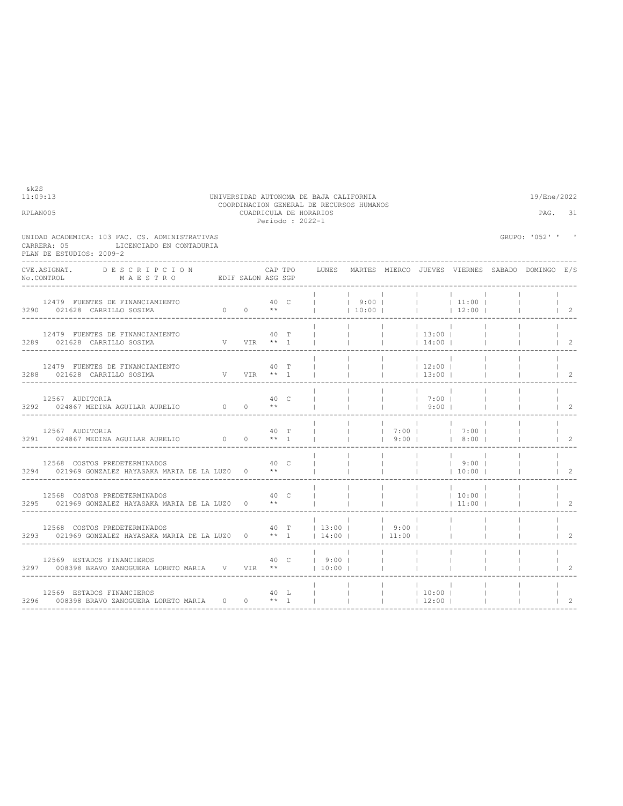| RPLANUUS                                                                                                              |  |               |      | CUADRICULA DE HORARIOS<br>Periodo: 2022-1                                                                                                                                                                                                                                                                           |                          |                                                                                                                                   |                |                  |                | PAG.             | -31            |
|-----------------------------------------------------------------------------------------------------------------------|--|---------------|------|---------------------------------------------------------------------------------------------------------------------------------------------------------------------------------------------------------------------------------------------------------------------------------------------------------------------|--------------------------|-----------------------------------------------------------------------------------------------------------------------------------|----------------|------------------|----------------|------------------|----------------|
| UNIDAD ACADEMICA: 103 FAC. CS. ADMINISTRATIVAS<br>LICENCIADO EN CONTADURIA<br>CARRERA: 05<br>PLAN DE ESTUDIOS: 2009-2 |  |               |      |                                                                                                                                                                                                                                                                                                                     |                          |                                                                                                                                   |                |                  |                | GRUPO: '052' ' ' |                |
| CVE.ASIGNAT.<br>DESCRIPCION                                                                                           |  |               |      | CAP TPO     LUNES   MARTES  MIERCO  JUEVES  VIERNES  SABADO  DOMINGO   E/S                                                                                                                                                                                                                                          |                          |                                                                                                                                   |                |                  |                |                  |                |
| 12479 FUENTES DE FINANCIAMIENTO<br>3290 021628 CARRILLO SOSIMA                                                        |  |               |      |                                                                                                                                                                                                                                                                                                                     |                          |                                                                                                                                   |                |                  |                |                  | $1\quad 2$     |
| 12479 FUENTES DE FINANCIAMIENTO<br>$V$ VIR $**$ 1<br>3289 021628 CARRILLO SOSIMA                                      |  |               | 40 T | and the contract of the con-                                                                                                                                                                                                                                                                                        |                          | $\vert$ 13:00                                                                                                                     |                |                  |                |                  | $\vert$ 2      |
| 12479 FUENTES DE FINANCIAMIENTO<br>3288 021628 CARRILLO SOSIMA V VIR ** 1                                             |  | 40 T          |      | $\frac{1}{2}$ $\frac{1}{2}$ $\frac{1}{2}$ $\frac{1}{2}$ $\frac{1}{2}$ $\frac{1}{2}$ $\frac{1}{2}$ $\frac{1}{2}$ $\frac{1}{2}$ $\frac{1}{2}$ $\frac{1}{2}$ $\frac{1}{2}$ $\frac{1}{2}$ $\frac{1}{2}$ $\frac{1}{2}$ $\frac{1}{2}$ $\frac{1}{2}$ $\frac{1}{2}$ $\frac{1}{2}$ $\frac{1}{2}$ $\frac{1}{2}$ $\frac{1}{2}$ |                          | $ $ 12:00                                                                                                                         |                |                  |                |                  | $1\quad 2$     |
| 12567 AUDITORIA<br>3292 024867 MEDINA AGUILAR AURELIO $0$ 0 $**$                                                      |  | 40 C          |      |                                                                                                                                                                                                                                                                                                                     |                          | $\begin{array}{cccccccc}   & &   & &   & & \hspace{1.5cm} 7:00 &   & \\   & &   & &   & & \hspace{1.5cm} 9:00 &   \\ \end{array}$ | and the state  |                  |                |                  | $1\quad 2$     |
| 12567 AUDITORIA<br>3291 024867 MEDINA AGUILAR AURELIO 0 0 ** 1                                                        |  | 40 T          |      | $\begin{array}{cccccccccccc}   &   &   &   &   & 7:00 &   &   &   & 7:00 &   \\   &   &   &   &   & 9:00 &   &   & 8:00 &   \\ \end{array}$                                                                                                                                                                         |                          |                                                                                                                                   | and the state  | 8:00             |                |                  | $\overline{2}$ |
| 12568 COSTOS PREDETERMINADOS<br>$3294$ 021969 GONZALEZ HAYASAKA MARIA DE LA LUZO 0 $**$                               |  | 40 C          |      |                                                                                                                                                                                                                                                                                                                     |                          | <b>Contract Contract</b>                                                                                                          |                |                  |                |                  | $\overline{2}$ |
| 12568 COSTOS PREDETERMINADOS<br>3295 021969 GONZALEZ HAYASAKA MARIA DE LA LUZO 0                                      |  | 40 C<br>$***$ |      |                                                                                                                                                                                                                                                                                                                     |                          |                                                                                                                                   |                | 10:00 <br> 11:00 |                |                  | $\overline{2}$ |
| 12568 COSTOS PREDETERMINADOS<br>3293 021969 GONZALEZ HAYASAKA MARIA DE LA LUZO 0 ** 1                                 |  |               |      | 40 T   13:00   9:00  <br>$14:00$ $1$                                                                                                                                                                                                                                                                                | <b>Contract Contract</b> | <b>Contract Contract</b><br>$11:00$                                                                                               |                |                  |                |                  | $\mathcal{L}$  |
| 40 C   9:00   I<br>12569 ESTADOS FINANCIEROS<br>3297 008398 BRAVO ZANOGUERA LORETO MARIA V VIR **                     |  |               |      | $10:00$                                                                                                                                                                                                                                                                                                             |                          |                                                                                                                                   | <b>College</b> |                  |                |                  | $\mathcal{L}$  |
| 12569 ESTADOS FINANCIEROS<br>3296 008398 BRAVO ZANOGUERA LORETO MARIA 0 0 ** 1                                        |  | 40 L          |      | and the contract of the con-<br>the contract of the contract of                                                                                                                                                                                                                                                     |                          | 10:001<br>$ $ 12:00                                                                                                               |                |                  | <b>College</b> |                  | $1\quad 2$     |

11:09:13 UNIVERSIDAD AUTONOMA DE BAJA CALIFORNIA 19/Ene/2022 COORDINACION GENERAL DE RECURSOS HUMANOS RPLAN005 CUADRICULA DE HORARIOS PAG. 31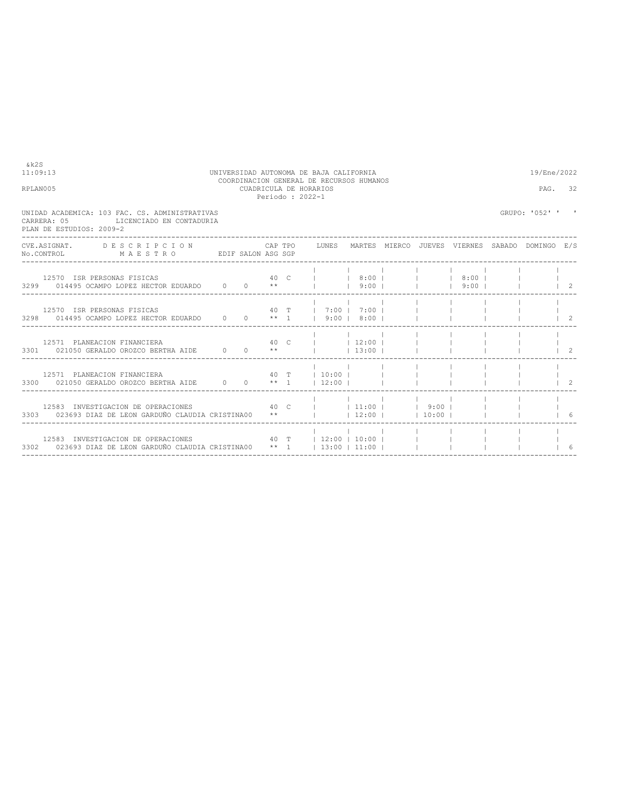|                                                                                                           |  |                                       |                                                                                            | 19/Ene/2022                             |                                                                                                                                                                                                                                                                                                                                |                                                                            |                |                                                                                                                                              |                                                                                                           |
|-----------------------------------------------------------------------------------------------------------|--|---------------------------------------|--------------------------------------------------------------------------------------------|-----------------------------------------|--------------------------------------------------------------------------------------------------------------------------------------------------------------------------------------------------------------------------------------------------------------------------------------------------------------------------------|----------------------------------------------------------------------------|----------------|----------------------------------------------------------------------------------------------------------------------------------------------|-----------------------------------------------------------------------------------------------------------|
|                                                                                                           |  |                                       |                                                                                            |                                         |                                                                                                                                                                                                                                                                                                                                |                                                                            |                | PAG. 32                                                                                                                                      |                                                                                                           |
|                                                                                                           |  |                                       |                                                                                            |                                         |                                                                                                                                                                                                                                                                                                                                |                                                                            |                |                                                                                                                                              |                                                                                                           |
|                                                                                                           |  |                                       |                                                                                            |                                         |                                                                                                                                                                                                                                                                                                                                |                                                                            |                |                                                                                                                                              |                                                                                                           |
|                                                                                                           |  |                                       |                                                                                            |                                         |                                                                                                                                                                                                                                                                                                                                |                                                                            |                |                                                                                                                                              | $\begin{array}{ccc} & 2 \end{array}$                                                                      |
|                                                                                                           |  |                                       |                                                                                            |                                         |                                                                                                                                                                                                                                                                                                                                |                                                                            |                |                                                                                                                                              | $\overline{2}$                                                                                            |
|                                                                                                           |  |                                       |                                                                                            |                                         |                                                                                                                                                                                                                                                                                                                                |                                                                            |                |                                                                                                                                              | $\overline{2}$                                                                                            |
|                                                                                                           |  |                                       |                                                                                            |                                         |                                                                                                                                                                                                                                                                                                                                |                                                                            |                |                                                                                                                                              | - 2                                                                                                       |
|                                                                                                           |  |                                       |                                                                                            |                                         |                                                                                                                                                                                                                                                                                                                                |                                                                            |                |                                                                                                                                              | - 6                                                                                                       |
|                                                                                                           |  |                                       |                                                                                            |                                         |                                                                                                                                                                                                                                                                                                                                |                                                                            |                |                                                                                                                                              |                                                                                                           |
| UNIDAD ACADEMICA: 103 FAC. CS. ADMINISTRATIVAS<br>LICENCIADO EN CONTADURIA<br>12571 PLANEACION FINANCIERA |  | No.CONTROL MAESTRO EDIF SALON ASG SGP | CUADRICULA DE HORARIOS<br>Periodo: 2022-1<br>3301 021050 GERALDO OROZCO BERTHA AIDE 0 0 ** | UNIVERSIDAD AUTONOMA DE BAJA CALIFORNIA | COORDINACION GENERAL DE RECURSOS HUMANOS<br>3298 014495 OCAMPO LOPEZ HECTOR EDUARDO 0 0 ** 1 1 9:00   8:00  <br>40 T   10:00    <br>3300 021050 GERALDO OROZCO BERTHA AIDE $0$ 0 $**$ 1   12:00  <br>the contract of the contract of the contract of<br>3302 023693 DIAZ DE LEON GARDUÑO CLAUDIA CRISTINA00 ** 1 13:00   11:00 | $1 \t13:00 \t1$<br>12583 INVESTIGACION DE OPERACIONES 40 T   12:00   10:00 | 40 C     12:00 | 12583 INVESTIGACION DE OPERACIONES 40 C     11:00     9:00    <br>3303 023693 DIAZ DE LEON GARDUÑO CLAUDIA CRISTINA00 **     12:00     10:00 | GRUPO: '052' ' '<br>CVE.ASIGNAT. DESCRIPCION CAPTPO LUNES MARTES MIERCO JUEVES VIERNES SABADO DOMINGO E/S |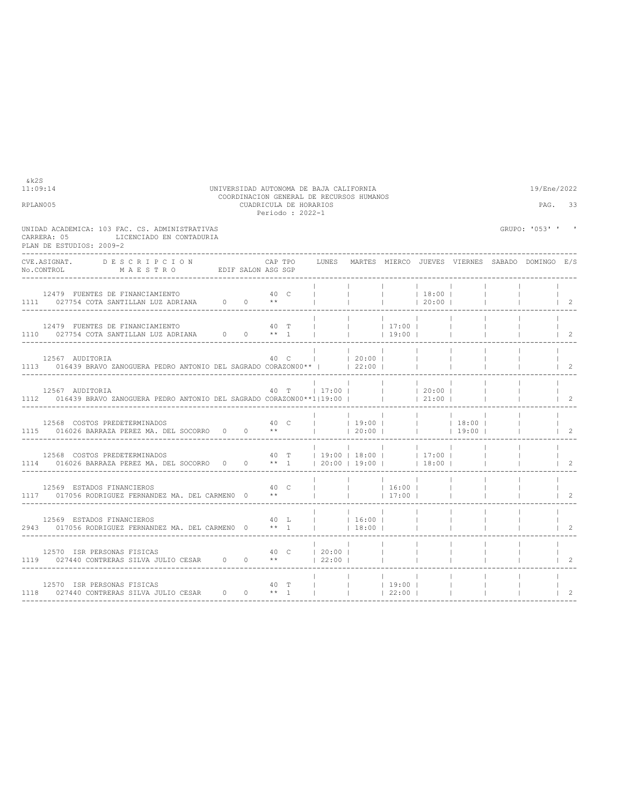| RPLAN005                                                                                                                                                                                                                                                                          |          | PAG.                                                                                   | 33      |                      |                                    |                                                                                                    |  |                                                 |                  |                                      |
|-----------------------------------------------------------------------------------------------------------------------------------------------------------------------------------------------------------------------------------------------------------------------------------|----------|----------------------------------------------------------------------------------------|---------|----------------------|------------------------------------|----------------------------------------------------------------------------------------------------|--|-------------------------------------------------|------------------|--------------------------------------|
| UNIDAD ACADEMICA: 103 FAC. CS. ADMINISTRATIVAS<br>LICENCIADO EN CONTADURIA<br>CARRERA: 05<br>PLAN DE ESTUDIOS: 2009-2                                                                                                                                                             |          |                                                                                        |         |                      |                                    |                                                                                                    |  |                                                 | GRUPO: '053' ' ' |                                      |
| CVE.ASIGNAT. DESCRIPCION CAPTPO<br>No.CONTROL MAESTRO EDIFSALON ASGSGP                                                                                                                                                                                                            |          |                                                                                        | CAP TPO | LUNES                |                                    |                                                                                                    |  | MARTES MIERCO JUEVES VIERNES SABADO DOMINGO E/S |                  |                                      |
| 12479 FUENTES DE FINANCIAMIENTO $40$ C         18:00   1111 027754 COTA SANTILLAN LUZ ADRIANA 0 0 **         20:00                                                                                                                                                                |          |                                                                                        |         |                      |                                    |                                                                                                    |  |                                                 |                  | $\vert$ 2                            |
| 12479 FUENTES DE FINANCIAMIENTO $40$ T   110 027754 COTA SANTILLAN LUZ ADRIANA $0$ 0 ** 1                                                                                                                                                                                         |          |                                                                                        |         |                      |                                    | $\begin{array}{ccccccc} &   & &   & &   & 17:00 &   \\ &   & &   & &   & 19:00 &   \\ \end{array}$ |  |                                                 |                  | $\begin{array}{ccc} \end{array}$     |
| 12567 AUDITORIA<br>1113 016439 BRAVO ZANOGUERA PEDRO ANTONIO DEL SAGRADO CORAZONO0**     22:00                                                                                                                                                                                    |          |                                                                                        |         |                      |                                    | <b>Contract Contract</b>                                                                           |  |                                                 |                  | $1\quad 2$                           |
| 12567 AUDITORIA 10 MOGUERA PEDRO ANTONIO DEL SAGRADO CORAZONO $3/1112$ 016439 BRAVO ZANOGUERA PEDRO ANTONIO DEL SAGRADO CORAZONO $3/119:00$       21:00                                                                                                                           |          |                                                                                        |         |                      | the property of the control of the | <b>Contract Contract</b>                                                                           |  |                                                 |                  | $\overline{2}$                       |
| $\begin{array}{cccccccccccccccc} 12568 & {\tt COSTOS PREDEFERMINADOS} & & & & & 40 & {\tt C} & &   & &   & 19:00 &   & &   & &   & 18:00 &   \\ 1115 & 016026 & {\tt BARRAZA PEREZ MA. DEL SOCORRO} & 0 & 0 & & * & &   & &   & 20:00 &   & &   & &   & 19:00 &   \\ \end{array}$ |          |                                                                                        |         |                      |                                    | <b>Contract Contract</b>                                                                           |  |                                                 |                  | $\begin{array}{ccc} & 2 \end{array}$ |
| 12568 COSTOS PREDETERMINADOS<br>1114 016026 BARRAZA PEREZ MA. DEL SOCORRO 0 0 ** 1   20:00   19:00     18:00                                                                                                                                                                      |          |                                                                                        |         |                      |                                    | <b>Contract Contract</b><br>40 T   19:00   18:00     17:00                                         |  |                                                 |                  | $\mathcal{L}$                        |
| 12569 ESTADOS FINANCIEROS<br>1117 017056 RODRIGUEZ FERNANDEZ MA. DEL CARMENO 0                                                                                                                                                                                                    |          | 40 C<br>$\mathbb{R}^n \times \mathbb{R}^n \times \mathbb{R}^n$ . In the $\mathbb{R}^n$ |         |                      |                                    | $ $ 16:00  <br>17:00                                                                               |  |                                                 |                  | $\mathfrak{D}$                       |
| 12569 ESTADOS FINANCIEROS<br>2943 017056 RODRIGUEZ FERNANDEZ MA. DEL CARMENO 0 ** 1                                                                                                                                                                                               |          | 40 L                                                                                   |         | $ $ 16:00            | 18:00                              |                                                                                                    |  |                                                 |                  | $\mathfrak{D}$                       |
| 12570 ISR PERSONAS FISICAS<br>1119 027440 CONTRERAS SILVA JULIO CESAR 0 0 **                                                                                                                                                                                                      | и в 40 с |                                                                                        |         | 20:00 <br>$122:00$ 1 |                                    | <b>Contract Contract</b>                                                                           |  |                                                 |                  | $\mathfrak{D}$                       |
| 12570 ISR PERSONAS FISICAS<br>1118 027440 CONTRERAS SILVA JULIO CESAR $0$ 0 ** 1                                                                                                                                                                                                  |          | 40 T                                                                                   |         |                      |                                    | $ $ 19:00  <br>$ $ 22:00                                                                           |  |                                                 |                  | $\mathfrak{D}$                       |

11:09:14 UNIVERSIDAD AUTONOMA DE BAJA CALIFORNIA 19/Ene/2022 COORDINACION GENERAL DE RECURSOS HUMANOS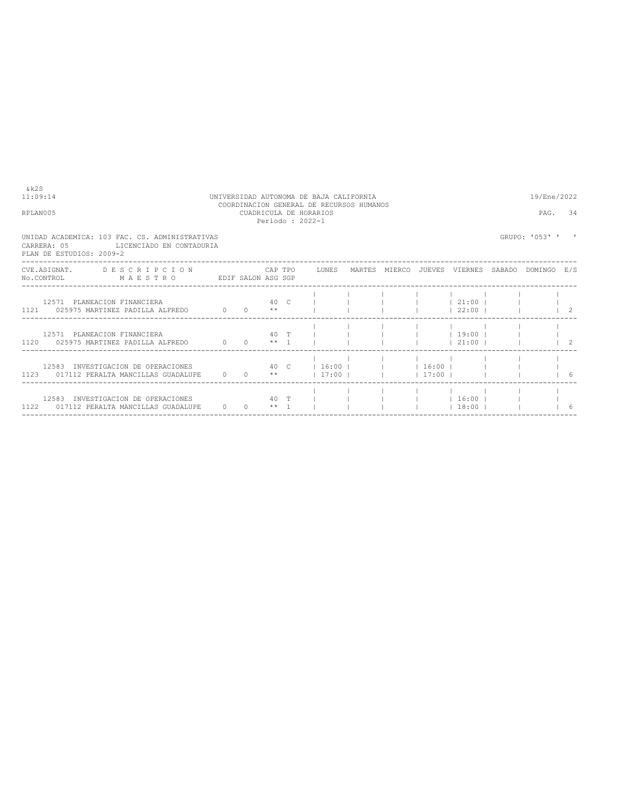| RPLAN005                                                                                                                       |  | PAG. | 34 |             |                                         |                                                                                              |                                          |
|--------------------------------------------------------------------------------------------------------------------------------|--|------|----|-------------|-----------------------------------------|----------------------------------------------------------------------------------------------|------------------------------------------|
| UNIDAD ACADEMICA: 103 FAC. CS. ADMINISTRATIVAS<br>CARRERA: 05 LICENCIADO EN CONTADURIA<br>PLAN DE ESTUDIOS: 2009-2             |  |      |    |             |                                         | GRUPO: '053' '                                                                               |                                          |
| CVE.ASIGNAT. DESCRIPCION CAPTPO LUNES MARTES MIERCO JUEVES VIERNES SABADO DOMINGO E/S<br>No.CONTROL MAESTRO EDIF SALON ASG SGP |  |      |    |             |                                         |                                                                                              |                                          |
| 12571 PLANEACION FINANCIERA $40$ C           21:00    <br>1121 025975 MARTINEZ PADILLA ALFREDO $0$ 0 $**$                      |  |      |    |             |                                         | $\begin{array}{ccccccc} \vert & 22:00 & \vert & & \vert & & \vert & & \vert & 2 \end{array}$ |                                          |
| 12571 PLANEACION FINANCIERA<br>$1120$ 025975 MARTINEZ PADILLA ALFREDO $0$ $0$ $\star \star$ 1 $1$ $1$                          |  |      |    |             | 40 T             19:00                  |                                                                                              |                                          |
| 12583 INVESTIGACION DE OPERACIONES<br>1123 017112 PERALTA MANCILLAS GUADALUPE $0 \t 0 \t \star \t 17:00$                       |  |      |    | $17:00$ $1$ | 40 C   16:00         16:00              |                                                                                              | 16                                       |
| 12583 INVESTIGACION DE OPERACIONES<br>1122 017112 PERALTA MANCILLAS GUADALUPE 0 0 ** 1                                         |  |      |    |             | 40 T           16:00    <br>$13:00$ $1$ |                                                                                              | $\begin{array}{ccc} & & & 6 \end{array}$ |

11:09:14 UNIVERSIDAD AUTONOMA DE BAJA CALIFORNIA 19/Ene/2022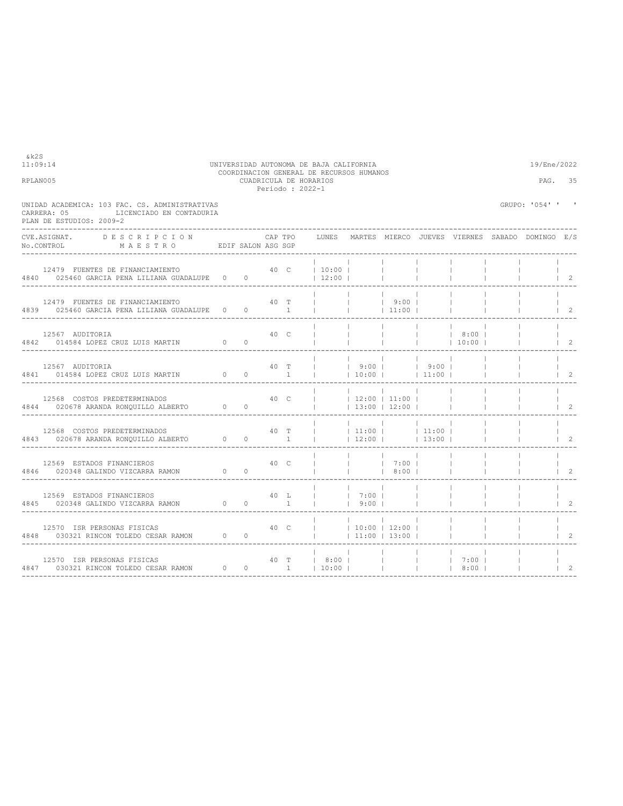|                                                                                                                       |          |          |      | Periodo : 2022-1 |                                                                                                            |                          |                                                         |                                                    |      |                  |                |
|-----------------------------------------------------------------------------------------------------------------------|----------|----------|------|------------------|------------------------------------------------------------------------------------------------------------|--------------------------|---------------------------------------------------------|----------------------------------------------------|------|------------------|----------------|
| UNIDAD ACADEMICA: 103 FAC. CS. ADMINISTRATIVAS<br>LICENCIADO EN CONTADURIA<br>CARRERA: 05<br>PLAN DE ESTUDIOS: 2009-2 |          |          |      |                  |                                                                                                            |                          |                                                         |                                                    |      | GRUPO: '054' ' ' |                |
| CVE.ASIGNAT. DESCRIPCION CAPTPO<br>No.CONTROL MAESTRO EDIFSALON ASGSGP                                                |          |          |      |                  | CAP TPO LUNES MARTES MIERCO JUEVES VIERNES SABADO DOMINGO E/S                                              |                          |                                                         |                                                    |      |                  |                |
| 12479 FUENTES DE FINANCIAMIENTO 60 0 40 C   10:00  <br>4840 025460 GARCIA PENA LILIANA GUADALUPE 000                  |          |          |      |                  | 12:00                                                                                                      |                          | <b>Contract Contract</b>                                |                                                    |      |                  | 2              |
| 12479 FUENTES DE FINANCIAMIENTO<br>4839 025460 GARCIA PENA LILIANA GUADALUPE 0 0 0 1                                  |          |          | 40 T |                  |                                                                                                            | <b>Contract Contract</b> | $19:00$  <br> 11:00                                     |                                                    |      |                  | $\overline{2}$ |
| 12567 AUDITORIA<br>$\sim$ 0<br>4842 014584 LOPEZ CRUZ LUIS MARTIN                                                     |          | $\Omega$ | 40 C |                  |                                                                                                            | <b>Contract Contract</b> | <b>Contract</b>                                         | <b>Contract Contract</b>                           | 8:00 |                  | $1 \quad 2$    |
| 12567 AUDITORIA<br>4841 014584 LOPEZ CRUZ LUIS MARTIN 0 0 0 1                                                         |          |          |      | 40 T             | $ $ 1 9:00   9:00                                                                                          |                          |                                                         |                                                    |      |                  | $1\quad 2$     |
| 12568 COSTOS PREDETERMINADOS<br>4844 020678 ARANDA RONOUILLO ALBERTO 0 0                                              |          |          | 40 C |                  |                                                                                                            |                          | $\sim$ 1.<br>$12:00$   11:00  <br>$\vert$ 13:00   12:00 |                                                    |      |                  | 2              |
| 12568 COSTOS PREDETERMINADOS<br>4843 020678 ARANDA RONOUILLO ALBERTO 0 0 0 1                                          |          |          | 40 T |                  |                                                                                                            |                          |                                                         | $\frac{1}{11:00}$   11:00  <br>$ 12:00 $ $ 13:00 $ |      |                  | $\overline{2}$ |
| 12569 ESTADOS FINANCIEROS<br>12569 ESTADOS FINANCIEROS<br>4846 020348 GALINDO VIZCARRA RAMON 0 0                      |          | 40 С     |      |                  |                                                                                                            |                          | 7:00  <br>18:001                                        |                                                    |      |                  | $\mathcal{L}$  |
|                                                                                                                       |          |          |      |                  |                                                                                                            |                          |                                                         |                                                    |      |                  | $\mathcal{L}$  |
| 12570 ISR PERSONAS FISICAS<br>4848 030321 RINCON TOLEDO CESAR RAMON 0 0                                               |          |          | 40 C |                  | $1 \t10:00 \t12:00 \t1$                                                                                    |                          | $\vert$ 11:00 $\vert$ 13:00 $\vert$                     |                                                    |      |                  | 2              |
| 12570 ISR PERSONAS FISICAS<br>4847 030321 RINCON TOLEDO CESAR RAMON                                                   | $\sim$ 0 |          |      |                  | 40 T   8:00  <br>$0 \qquad 1 \qquad   \quad 10:00 \qquad   \qquad   \qquad 1 \qquad   \quad 8:00 \qquad  $ |                          |                                                         |                                                    |      |                  | $\overline{c}$ |

----------------------------------------------------------------------------------------------------------------------------------

 $k2S$ <br>11:09:14

## 11:09:14 UNIVERSIDAD AUTONOMA DE BAJA CALIFORNIA 19/Ene/2022 COORDINACION GENERAL DE RECURSOS HUMANOS RPLAN005 CUADRICULA DE HORARIOS PAG. 35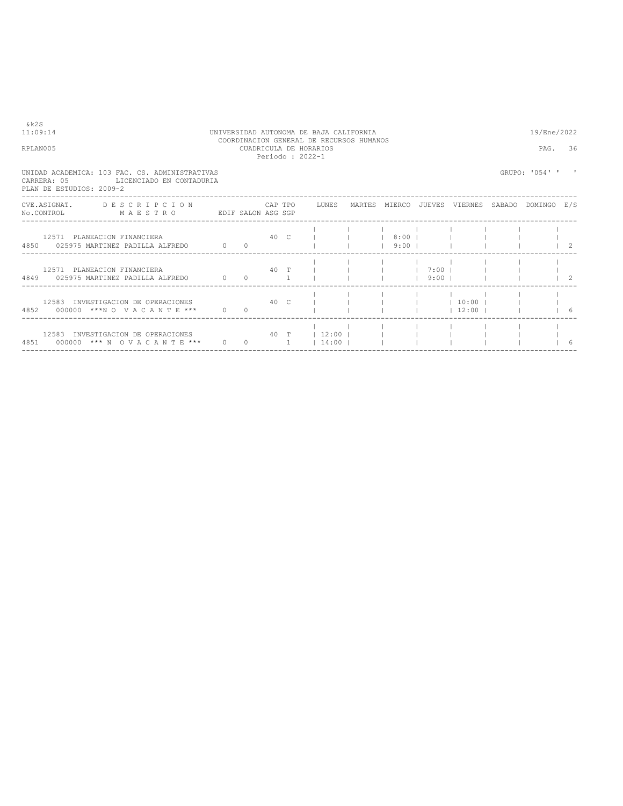| & k 2 S<br>11:09:14<br>RPLAN005                                                                                                | UNIVERSIDAD AUTONOMA DE BAJA CALIFORNIA<br>COORDINACION GENERAL DE RECURSOS HUMANOS<br>CUADRICULA DE HORARIOS<br>Periodo: 2022-1 |                                          |      |      |                          |  |                         |                                  |                            |  |                |  |
|--------------------------------------------------------------------------------------------------------------------------------|----------------------------------------------------------------------------------------------------------------------------------|------------------------------------------|------|------|--------------------------|--|-------------------------|----------------------------------|----------------------------|--|----------------|--|
| UNIDAD ACADEMICA: 103 FAC. CS. ADMINISTRATIVAS<br>CARRERA: 05<br>LICENCIADO EN CONTADURIA<br>PLAN DE ESTUDIOS: 2009-2          |                                                                                                                                  |                                          |      |      |                          |  |                         |                                  |                            |  | GRUPO: '054' ' |  |
| CVE.ASIGNAT. DESCRIPCION CAPTPO LUNES MARTES MIERCO JUEVES VIERNES SABADO DOMINGO E/S<br>No.CONTROL MAESTRO EDIF SALON ASG SGP |                                                                                                                                  |                                          |      |      |                          |  |                         |                                  |                            |  |                |  |
| 12571 PLANEACION FINANCIERA<br>4850 025975 MARTINEZ PADILLA ALEREDO 6 0 0                                                      |                                                                                                                                  |                                          |      | 40 C |                          |  | 18:001<br>$9:00$ $\Box$ |                                  |                            |  |                |  |
| 12571 PLANEACION FINANCIERA<br>4849 025975 MARTINEZ PADILLA ALEREDO 6 0 0 1                                                    |                                                                                                                                  |                                          | 40 T |      |                          |  |                         | $1 \t7:00 \t1$<br>$9:00$ $\perp$ |                            |  |                |  |
| 12583 INVESTIGACION DE OPERACIONES<br>4852 000000 ***N O V A C A N T E *** 0                                                   | ли в 10 след на 10 след 10 след на 10 след 10 след 10 след 10 след 10 след 10 след 10 след 10 след 10 след 10 с                  | $\Omega$                                 |      |      |                          |  |                         |                                  | $ $ 10:00  <br>$12:00$ $1$ |  |                |  |
| 12583 INVESTIGACION DE OPERACIONES                                                                                             |                                                                                                                                  | $\begin{array}{ccc} 0 & & 1 \end{array}$ |      |      | 40 T   12:00  <br> 14:00 |  |                         |                                  |                            |  |                |  |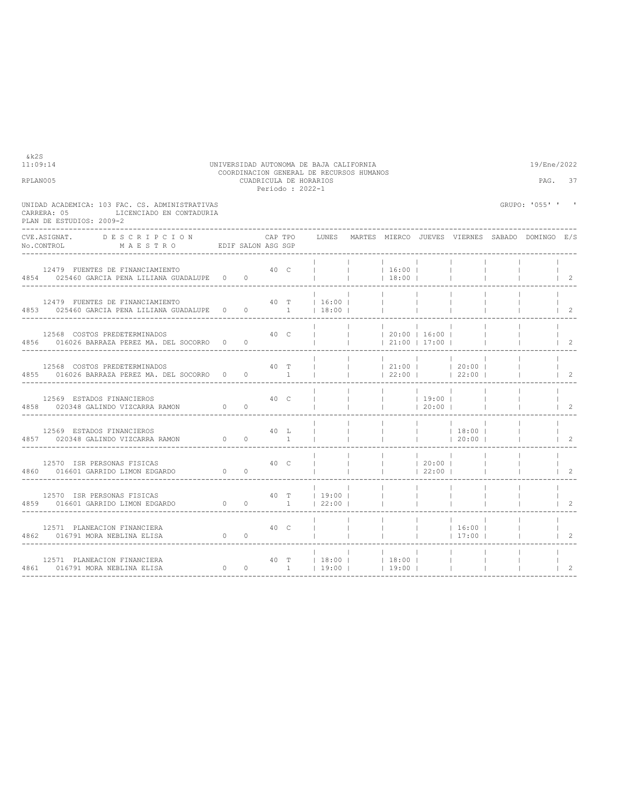| CARRERA: 05<br>PLAN DE ESTUDIOS: 2009-2                       | UNIDAD ACADEMICA: 103 FAC. CS. ADMINISTRATIVAS<br>LICENCIADO EN CONTADURIA           |        |                     |      |        |                          |                                          |                                                          |                                               |                                                                                                |                          | GRUPO: '055' ' '                                      |                                              |
|---------------------------------------------------------------|--------------------------------------------------------------------------------------|--------|---------------------|------|--------|--------------------------|------------------------------------------|----------------------------------------------------------|-----------------------------------------------|------------------------------------------------------------------------------------------------|--------------------------|-------------------------------------------------------|----------------------------------------------|
| No.CONTROL                                                    | CVE. ASIGNAT. DESCRIPCION CAPTPO<br>MAESTRO EDIF SALON ASG SGP                       |        |                     |      |        |                          |                                          |                                                          |                                               |                                                                                                |                          | LUNES MARTES MIERCO JUEVES VIERNES SABADO DOMINGO E/S |                                              |
|                                                               | 12479 FUENTES DE FINANCIAMIENTO<br>4854 025460 GARCIA PENA LILIANA GUADALUPE 0 0     |        |                     |      |        | The contract of the con- |                                          | 40 C       16:00  <br>$18:00$                            |                                               | <b>Contract Contract</b>                                                                       |                          |                                                       | $\begin{array}{cc} \text{ } & 2 \end{array}$ |
|                                                               | 12479 FUENTES DE FINANCIAMIENTO<br>4853 025460 GARCIA PENA LILIANA GUADALUPE 0 0 0 1 |        |                     |      |        | 40 T   16:00  <br> 18:00 |                                          |                                                          |                                               |                                                                                                |                          |                                                       | $\vert 2 \vert$                              |
| 12568 COSTOS PREDETERMINADOS                                  | 4856       016026  BARRAZA  PEREZ  MA.   DEL  SOCORRO        0               0       |        |                     | 40 C |        |                          | <b>Contract Contract</b><br>The Contract | the contract of the contract of<br>$120:00$ $16:00$ $1$  | and the state of the                          | 21:00 17:00                                                                                    | <b>Contract Contract</b> |                                                       | $\begin{array}{ccc} \end{array}$             |
|                                                               | 12568 COSTOS PREDETERMINADOS<br>4855 016026 BARRAZA PEREZ MA. DEL SOCORRO 0 0 0 1    |        |                     |      | 40 T   | <b>College</b>           |                                          |                                                          |                                               | 21:00   20:00  <br>  22:00   22:00                                                             |                          |                                                       | 2                                            |
| 12569 ESTADOS FINANCIEROS                                     | 4858 020348 GALINDO VIZCARRA RAMON 0 0                                               |        |                     |      |        |                          |                                          | 40 C I I I 19:00 I<br>$ $ 20:00                          |                                               |                                                                                                | $\sim 1$                 |                                                       | $1\quad 2$                                   |
| 12569 ESTADOS FINANCIEROS                                     | 4857 020348 GALINDO VIZCARRA RAMON 0                                                 |        | $0 \qquad \qquad 1$ |      | 40 L   |                          |                                          |                                                          |                                               | $\begin{array}{ccccccc}   & &   & &   & 18:00 &   \\   & &   & &   & 20:00 &   \\ \end{array}$ |                          |                                                       | $\overline{2}$                               |
| 12570 ISR PERSONAS FISICAS                                    | 4860 016601 GARRIDO LIMON EDGARDO 0 0                                                |        |                     |      | 40 C   |                          |                                          |                                                          | <b>Contract Contract</b><br> 20:00 <br> 22:00 |                                                                                                |                          |                                                       | $\overline{2}$                               |
| 12570 ISR PERSONAS FISICAS                                    | 4859 016601 GARRIDO LIMON EDGARDO                                                    |        |                     |      |        |                          |                                          |                                                          | <b>Contract Contract</b>                      |                                                                                                |                          |                                                       | $\mathcal{L}$                                |
| 12571 PLANEACION FINANCIERA<br>4862 016791 MORA NEBLINA ELISA | $\begin{array}{ccc} & & 0 & 0 \end{array}$                                           |        |                     |      | 40 C I |                          | $\mathbf{1}$ and $\mathbf{1}$            | <b>Contract Contract</b>                                 |                                               | $ $ 16:00  <br> 17:00                                                                          |                          |                                                       | $\begin{array}{ccc} & 2 \end{array}$         |
| 12571 PLANEACION FINANCIERA<br>4861 016791 MORA NEBLINA ELISA |                                                                                      | $\cap$ | $\Omega$            |      |        |                          |                                          | <b>Contract Contract Contract</b><br>1   19:00     19:00 |                                               |                                                                                                |                          |                                                       | 2                                            |

----------------------------------------------------------------------------------------------------------------------------------

11:09:14 UNIVERSIDAD AUTONOMA DE BAJA CALIFORNIA 19/Ene/2022 COORDINACION GENERAL DE RECURSOS HUMANOS RPLAN005 CUADRICULA DE HORARIOS PAG. 37

Periodo : 2022-1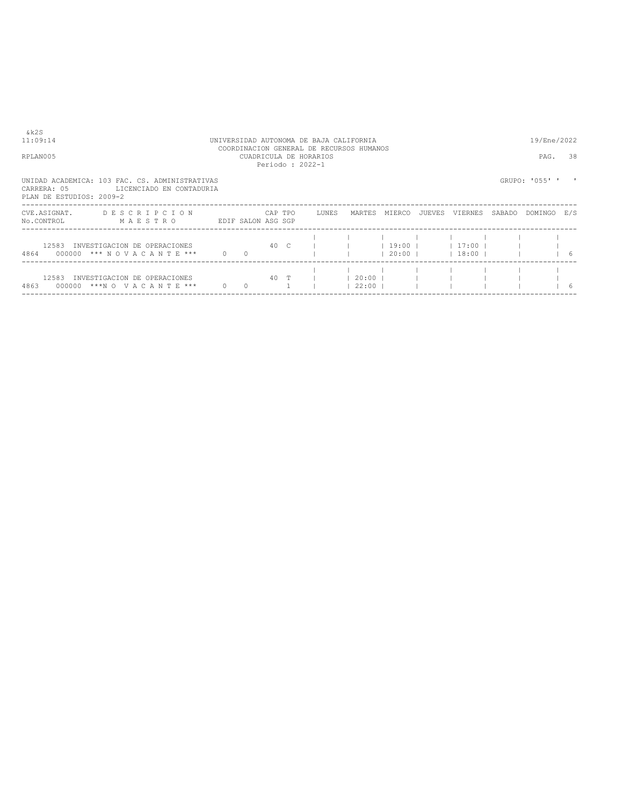| RPLAN005                                | COORDINACION GENERAL DE RECURSOS HUMANOS<br>CUADRICULA DE HORARIOS<br>Periodo: 2022-1 |                    |                |         |  |       |                   |               |  |                                |        |                |               |
|-----------------------------------------|---------------------------------------------------------------------------------------|--------------------|----------------|---------|--|-------|-------------------|---------------|--|--------------------------------|--------|----------------|---------------|
| CARRERA: 05<br>PLAN DE ESTUDIOS: 2009-2 | UNIDAD ACADEMICA: 103 FAC. CS. ADMINISTRATIVAS<br>LICENCIADO EN CONTADURIA            |                    |                |         |  |       |                   |               |  |                                |        | GRUPO: '055' ' |               |
| CVE.ASIGNAT.<br>No.CONTROL              | DESCRIPCION<br>MAESTRO                                                                | EDIF SALON ASG SGP |                | CAP TPO |  | LUNES |                   | MARTES MIERCO |  | JUEVES VIERNES                 | SABADO | DOMINGO        | E/S           |
| 12583<br>4864                           | INVESTIGACION DE OPERACIONES<br>000000 *** NOVACANTE ***                              | $\Omega$           |                | 40 C    |  |       |                   | $19:00$       |  | 17:00  <br>$ 20:00 $ $ 18:00 $ |        |                | $\frac{1}{6}$ |
| 12583<br>4863<br>000000                 | INVESTIGACION DE OPERACIONES<br>***N O V A C A N T E ***                              | $\overline{0}$     | $\overline{0}$ | 40 T    |  |       | 20:00 <br>$22:00$ |               |  |                                |        |                | -6            |

 $k2S$ <br>11:09:14

# 11:09:14 UNIVERSIDAD AUTONOMA DE BAJA CALIFORNIA 19/Ene/2022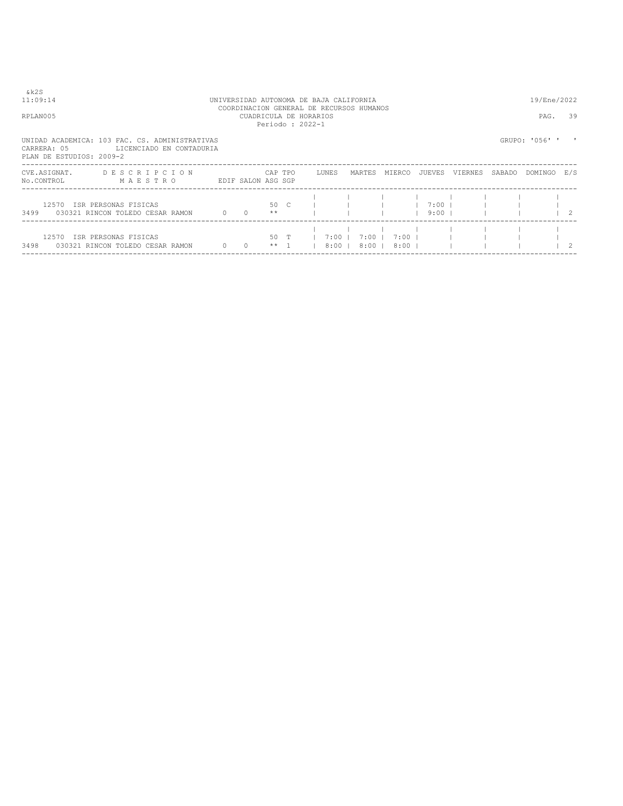| ۰,<br>× |  |
|---------|--|
|         |  |

# 11:09:14 UNIVERSIDAD AUTONOMA DE BAJA CALIFORNIA<br>COORDINACION GENERAL DE RECURSOS HUMANOS<br>CUADRICULA DE HORARIOS<br>Periodo : 2022-1<br>Periodo : 2022-1

UNIDAD ACADEMICA: 103 FAC. CS. ADMINISTRATIVAS

| CARRERA: 05<br>PLAN DE ESTUDIOS: 2009-2 | LICENCIADO EN CONTADURIA                                 |             |                    |              |                    |                    |                             |                      |         |        |         |                |
|-----------------------------------------|----------------------------------------------------------|-------------|--------------------|--------------|--------------------|--------------------|-----------------------------|----------------------|---------|--------|---------|----------------|
| CVE.ASIGNAT.<br>No.CONTROL              | DESCRIPCION<br>MAESTRO                                   |             | EDIF SALON ASG SGP | CAP TPO      | LUNES              | MARTES             | MIERCO                      | JUEVES               | VIERNES | SABADO | DOMINGO | E/S            |
| 12570<br>3499                           | ISR PERSONAS FISICAS<br>030321 RINCON TOLEDO CESAR RAMON |             | $0\qquad 0$        | 50 C<br>**   |                    |                    |                             | $7:00$ 1<br>$9:00$ 1 |         |        |         | $\overline{2}$ |
| 12570<br>3498                           | ISR PERSONAS FISICAS<br>030321 RINCON TOLEDO CESAR RAMON | $0\qquad 0$ |                    | 50 T<br>** 1 | 7:00 1<br>$8:00$ 1 | $7:00$ 1<br>$8:00$ | 7:00 1<br>8:00 <sub>1</sub> |                      |         |        |         | $\overline{2}$ |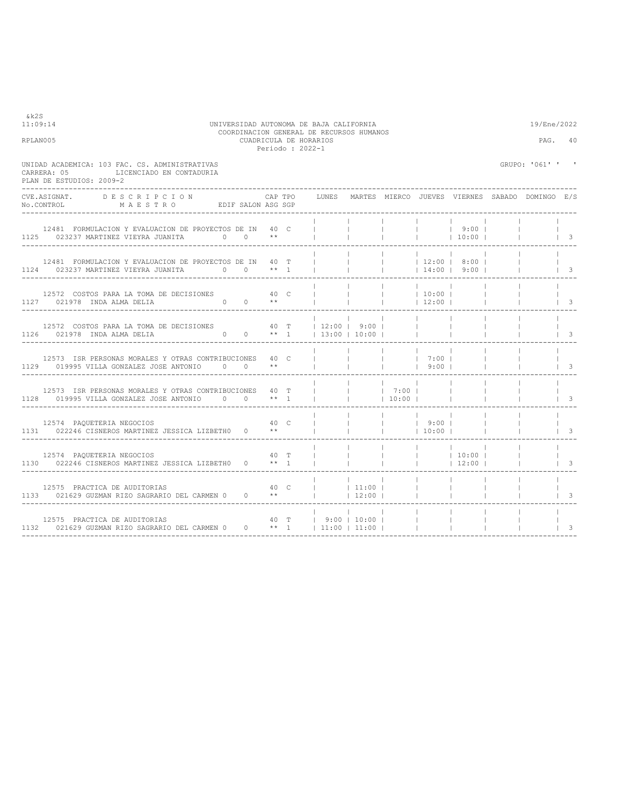| RPLAN005                                                                                                                                                                                                                  |                             | CUADRICULA DE HORARIOS<br>Periodo: 2022-1 |  |                                   |                               |                                                                                                                                                                                                                                                                                                                                    |                    |                                                 | PAG.                     | 40                       |                   |
|---------------------------------------------------------------------------------------------------------------------------------------------------------------------------------------------------------------------------|-----------------------------|-------------------------------------------|--|-----------------------------------|-------------------------------|------------------------------------------------------------------------------------------------------------------------------------------------------------------------------------------------------------------------------------------------------------------------------------------------------------------------------------|--------------------|-------------------------------------------------|--------------------------|--------------------------|-------------------|
| UNIDAD ACADEMICA: 103 FAC. CS. ADMINISTRATIVAS<br>CARRERA: 05 LICENCIADO EN CONTADURIA<br>PLAN DE ESTUDIOS: 2009-2<br>_____________________                                                                               |                             |                                           |  |                                   |                               |                                                                                                                                                                                                                                                                                                                                    |                    |                                                 |                          | GRUPO: '061' ' '         |                   |
| CVE.ASIGNAT. DESCRIPCION CAPTPO<br>No.CONTROL MAESTRO EDIFSALON ASGSGP                                                                                                                                                    |                             |                                           |  | LUNES                             |                               |                                                                                                                                                                                                                                                                                                                                    |                    | MARTES MIERCO JUEVES VIERNES SABADO DOMINGO E/S |                          |                          |                   |
| 12481 FORMULACION Y EVALUACION DE PROYECTOS DE IN 40 C             9:00  <br>125 023237 MARTINEZ VIEYRA JUANITA 0 0 **                 10:00                                                                              |                             |                                           |  |                                   |                               |                                                                                                                                                                                                                                                                                                                                    |                    |                                                 |                          | <b>Contract Contract</b> | $\vert$ 3         |
| 12481 FORMULACION Y EVALUACION DE PROYECTOS DE IN $40$ T             12:00   8:00       023237 MARTINEZ VIEYRA JUANITA 0 0 ** 1               14:00   9:00    <br>1124 023237 MARTINEZ VIEYRA JUANITA $0 \t 0 \t \star 1$ |                             |                                           |  |                                   |                               | <b>Contract Contract</b>                                                                                                                                                                                                                                                                                                           |                    |                                                 |                          |                          | $\vert$ 3         |
| 12572 COSTOS PARA LA TOMA DE DECISIONES 40 C<br>1127 021978 INDA ALMA DELIA $0$ 0 $**$                                                                                                                                    |                             |                                           |  |                                   |                               |                                                                                                                                                                                                                                                                                                                                    |                    |                                                 |                          |                          | $\vert$ 3         |
| 12572 COSTOS PARA LA TOMA DE DECISIONES 40 T   12:00   9:00  <br>1126 021978 INDA ALMA DELIA 0 0 0 ** 1   13:00   10:00                                                                                                   |                             |                                           |  |                                   | <b>Contract Contract</b>      | <b>Contract</b>                                                                                                                                                                                                                                                                                                                    |                    |                                                 |                          |                          | $\vert$ 3         |
| 12573 ISR PERSONAS MORALES Y OTRAS CONTRIBUCIONES 40 C<br>1129 019995 VILLA GONZALEZ JOSE ANTONIO 0 0 **                                                                                                                  |                             |                                           |  |                                   |                               | and the con-<br>$ $ 9:00                                                                                                                                                                                                                                                                                                           | 7:00               |                                                 |                          |                          | $\vert$ 3         |
| 12573 ISR PERSONAS MORALES Y OTRAS CONTRIBUCIONES 40 T<br>1128 019995 VILLA GONZALEZ JOSE ANTONIO $0$ 0 ** 1                                                                                                              |                             |                                           |  |                                   | <b>Contract Contract</b>      | 10:00                                                                                                                                                                                                                                                                                                                              |                    |                                                 |                          |                          | $\vert$ 3         |
| 12574 PAQUETERIA NEGOCIOS<br>1131 022246 CISNEROS MARTINEZ JESSICA LIZBETH0 0 **                                                                                                                                          |                             | 40 C                                      |  |                                   |                               | $\frac{1}{2}$ $\frac{1}{2}$ $\frac{1}{2}$ $\frac{1}{2}$ $\frac{1}{2}$ $\frac{1}{2}$ $\frac{1}{2}$ $\frac{1}{2}$ $\frac{1}{2}$ $\frac{1}{2}$ $\frac{1}{2}$ $\frac{1}{2}$ $\frac{1}{2}$ $\frac{1}{2}$ $\frac{1}{2}$ $\frac{1}{2}$ $\frac{1}{2}$ $\frac{1}{2}$ $\frac{1}{2}$ $\frac{1}{2}$ $\frac{1}{2}$ $\frac{1}{2}$<br>$1 \t10:00$ |                    |                                                 | <b>Contract Contract</b> |                          | $\vert$ $\vert$ 3 |
| 12574 PAQUETERIA NEGOCIOS<br>1130 022246 CISNEROS MARTINEZ JESSICA LIZBETH0 0 ** 1                                                                                                                                        | лично производите на 140 mm |                                           |  |                                   |                               |                                                                                                                                                                                                                                                                                                                                    |                    |                                                 |                          |                          | $\vert$ 3         |
| 12575 PRACTICA DE AUDITORIAS<br>1133 021629 GUZMAN RIZO SAGRARIO DEL CARMEN 0 0 **                                                                                                                                        | 40 C   11:00                |                                           |  | $ $ 12:00                         | $\mathbf{1}$ and $\mathbf{1}$ |                                                                                                                                                                                                                                                                                                                                    | <b>The Company</b> | <b>Contract Contract</b>                        |                          |                          | 3                 |
| 12575 PRACTICA DE AUDITORIAS<br>1132 021629 GUZMAN RIZO SAGRARIO DEL CARMEN 0 0 ** 1   11:00   11:00                                                                                                                      | 40 T   9:00   10:00         |                                           |  | --------------------------------- |                               |                                                                                                                                                                                                                                                                                                                                    | <b>Contractor</b>  | <b>Contract Contract</b>                        |                          |                          | $\vert$ 3         |

11:09:14 UNIVERSIDAD AUTONOMA DE BAJA CALIFORNIA 19/Ene/2022 COORDINACION GENERAL DE RECURSOS HUMANOS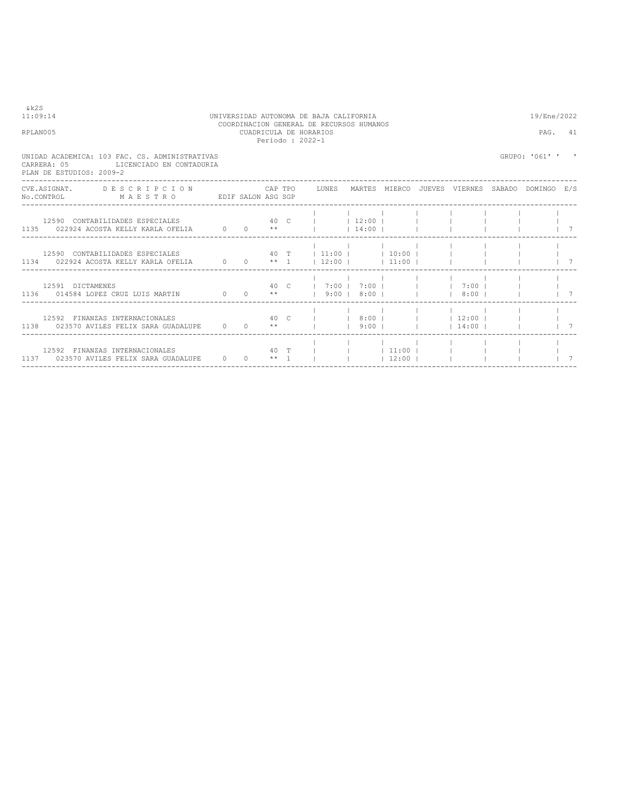| 11:09:14 |                          |                                                                                                                                  |  | UNIVERSIDAD AUTONOMA DE BAJA CALIFORNIA |                                           |                                          |  | 19/Ene/2022                                                           |                                        |             |
|----------|--------------------------|----------------------------------------------------------------------------------------------------------------------------------|--|-----------------------------------------|-------------------------------------------|------------------------------------------|--|-----------------------------------------------------------------------|----------------------------------------|-------------|
| RPLAN005 |                          |                                                                                                                                  |  |                                         | CUADRICULA DE HORARIOS<br>Periodo: 2022-1 | COORDINACION GENERAL DE RECURSOS HUMANOS |  |                                                                       | PAG. 41                                |             |
|          | PLAN DE ESTUDIOS: 2009-2 | UNIDAD ACADEMICA: 103 FAC. CS. ADMINISTRATIVAS<br>CARRERA: 05 LICENCIADO EN CONTADURIA                                           |  |                                         |                                           |                                          |  |                                                                       | GRUPO: '061' '                         |             |
|          |                          | CVE.ASIGNAT. DESCRIPCION CAPTPO LUNES MARTES MIERCO JUEVES VIERNES SABADO DOMINGO E/S<br>No.CONTROL MAESTRO EDIF SALON ASG SGP   |  |                                         |                                           |                                          |  |                                                                       |                                        |             |
|          |                          |                                                                                                                                  |  |                                         |                                           |                                          |  |                                                                       | $\begin{array}{ccc} & & 7 \end{array}$ |             |
|          |                          | 12590 CONTABILIDADES ESPECIALES $40$ T $11:00$   10:00    <br>1134 022924 ACOSTA KELLY KARLA OFELIA 0 0 0 ** 1   12:00     11:00 |  |                                         |                                           |                                          |  |                                                                       |                                        | $1 \quad 7$ |
|          | 12591 DICTAMENES         | 1136 014584 LOPEZ CRUZ LUIS MARTIN 0 0 **   9:00   8:00         8:00           7                                                 |  |                                         |                                           | 40 C   7:00   7:00       7:00            |  |                                                                       |                                        |             |
|          |                          | 12592 FINANZAS INTERNACIONALES 40 C   8:00     12:00    <br>1138 023570 AVILES FELIX SARA GUADALUPE 0 0 $**$                     |  |                                         |                                           | $9:00$ $1$                               |  | $14:00$                                                               |                                        | 7           |
|          |                          | 12592 FINANZAS INTERNACIONALES<br>1137 023570 AVILES FELIX SARA GUADALUPE 0 0 ** 1 1                                             |  |                                         |                                           | 40 T       11:00                         |  | $\vert$ $\vert$ 12:00 $\vert$ $\vert$ $\vert$ $\vert$ $\vert$ $\vert$ |                                        |             |

&k2S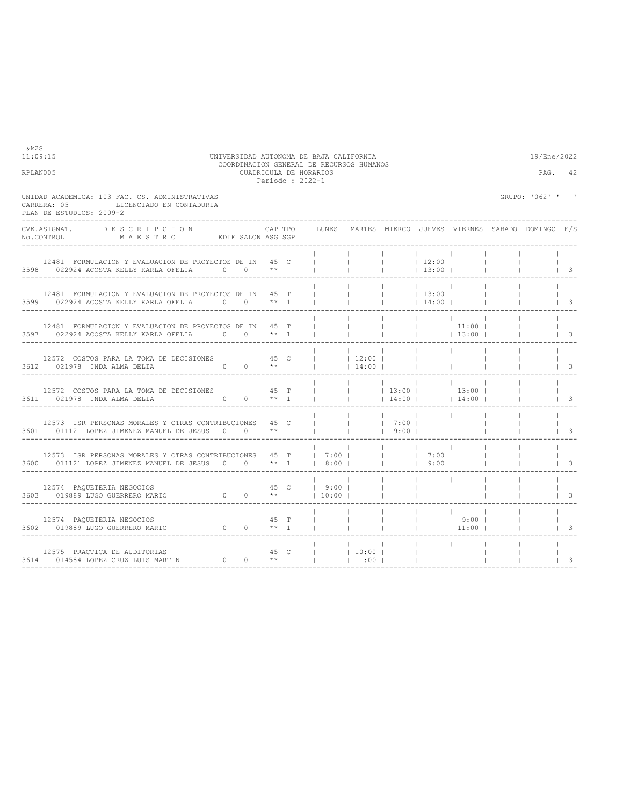| UNIDAD ACADEMICA: 103 FAC. CS. ADMINISTRATIVAS<br>LICENCIADO EN CONTADURIA<br>CARRERA: 05<br>PLAN DE ESTUDIOS: 2009-2                                                                   |         |      |                                 |                          |                                              |                          |                                                | GRUPO: '062' ' '                                |                                        |
|-----------------------------------------------------------------------------------------------------------------------------------------------------------------------------------------|---------|------|---------------------------------|--------------------------|----------------------------------------------|--------------------------|------------------------------------------------|-------------------------------------------------|----------------------------------------|
| CVE.ASIGNAT. DESCRIPCION<br>No.CONTROL MAESTRO EDIF SALON ASG SGP                                                                                                                       | CAP TPO |      | LUNES                           |                          |                                              |                          |                                                | MARTES MIERCO JUEVES VIERNES SABADO DOMINGO E/S |                                        |
| 12481 FORMULACION Y EVALUACION DE PROYECTOS DE IN 45 C<br>3598 022924 ACOSTA KELLY KARLA OFELIA 0 0 **                                                                                  |         |      |                                 | <b>Contract Contract</b> | <b>Contract</b>                              | $12:00$  <br>$13:00$     | $\blacksquare$                                 |                                                 | $\vert$ 3                              |
| 12481 FORMULACION Y EVALUACION DE PROYECTOS DE IN 45 T<br>3599 022924 ACOSTA KELLY KARLA OFELIA 0 0 0 ** 1                                                                              |         |      |                                 |                          | $ $ 13:00                                    | 14:00                    |                                                |                                                 | $\begin{array}{ccc} & & 3 \end{array}$ |
| 12481 FORMULACION Y EVALUACION DE PROYECTOS DE IN 45 T<br>3597 022924 ACOSTA KELLY KARLA OFELIA 0 0 ** 1                                                                                |         |      | <b>Contract Contract</b>        |                          |                                              |                          | $ $ 13:00                                      |                                                 | $\vert$ 3                              |
| 12572 COSTOS PARA LA TOMA DE DECISIONES 45 C<br>$0 \t 0 \t \star\star$<br>3612 021978 INDA ALMA DELIA                                                                                   |         |      | 12:00                           | 14:00                    | $\sim$ 1.                                    | <b>Contract Contract</b> |                                                |                                                 | $\sqrt{3}$                             |
| 12572 COSTOS PARA LA TOMA DE DECISIONES 45 T<br>3611 021978 INDA ALMA DELIA 0 0 0 ** 1<br>_____________________                                                                         |         |      |                                 |                          | <b>Contract Contract</b><br>and the contract |                          | and the state<br>$14:00$   14:00               |                                                 | $\begin{array}{ccc} \ & 3 \end{array}$ |
| 12573 ISR PERSONAS MORALES Y OTRAS CONTRIBUCIONES 45 C<br>3601 011121 LOPEZ JIMENEZ MANUEL DE JESUS 0 0 **                                                                              |         |      |                                 | <b>Contract Contract</b> | $1 \t7:00 \t1$<br>$9:00$                     | the contract of the con- |                                                |                                                 | $\sqrt{3}$                             |
| 12573 ISR PERSONAS MORALES Y OTRAS CONTRIBUCIONES 45 T   7:00       7:00  <br>3600 011121 LOPEZ JIMENEZ MANUEL DE JESUS 0 0 ** 1   8:00                                                 |         |      |                                 |                          | $\frac{1}{1}$ 9:00                           |                          |                                                |                                                 | $\mathbf{B}$                           |
| $\begin{array}{ccccccc}\n & 45 & & & & & \\  & 45 & & & & & \\  & 0 & & 0 & & * & & \\  & & 0 & & 0 & & \\ \end{array}$<br>12574 PAQUETERIA NEGOCIOS<br>3603 019889 LUGO GUERRERO MARIO |         |      |                                 |                          |                                              |                          |                                                |                                                 | $\overline{\mathbf{3}}$                |
| 12574 PAQUETERIA NEGOCIOS<br>$0 \t 0 \t \star 1$<br>3602 019889 LUGO GUERRERO MARIO                                                                                                     |         | 45 T | the contract of the contract of | <b>Contract Contract</b> | <b>Contract Contract</b>                     |                          | and the state of the state of the<br>$ $ 11:00 |                                                 | $\vert$ 3                              |
| 12575 PRACTICA DE AUDITORIAS<br>3614 014584 LOPEZ CRUZ LUIS MARTIN                                                                                                                      |         |      |                                 | 11:00                    |                                              |                          |                                                |                                                 | 3                                      |

11:09:15 UNIVERSIDAD AUTONOMA DE BAJA CALIFORNIA 19/Ene/2022 COORDINACION GENERAL DE RECURSOS HUMANOS RPLAN005 CUADRICULA DE HORARIOS PAG. 42 Periodo : 2022-1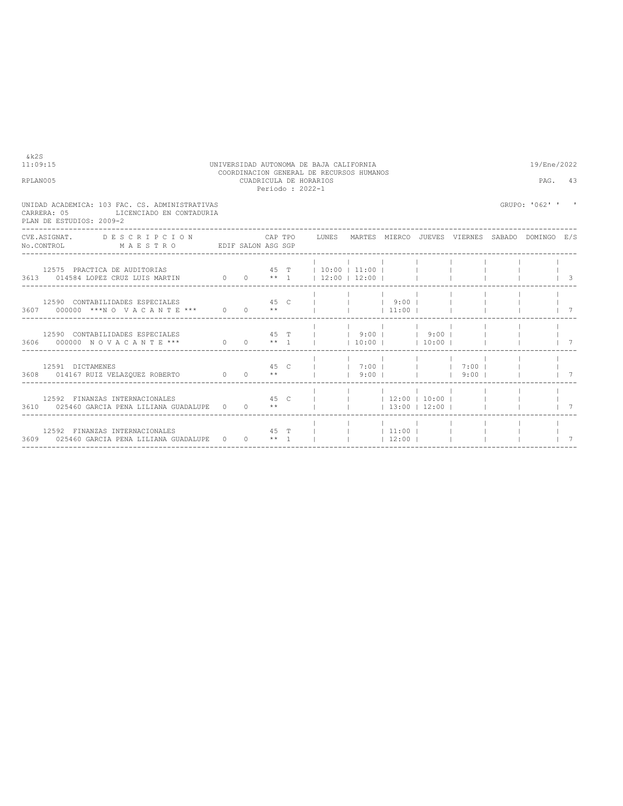| RPLAN005 |                                                                                                                                                                                                                |                                                                                                                                |  |  | CUADRICULA DE HORARIOS<br>Periodo: 2022-1 |                          |                                                                | PAG.        | 43             |           |
|----------|----------------------------------------------------------------------------------------------------------------------------------------------------------------------------------------------------------------|--------------------------------------------------------------------------------------------------------------------------------|--|--|-------------------------------------------|--------------------------|----------------------------------------------------------------|-------------|----------------|-----------|
|          | UNIDAD ACADEMICA: 103 FAC. CS. ADMINISTRATIVAS<br>LICENCIADO EN CONTADURIA<br>CARRERA: 05<br>PLAN DE ESTUDIOS: 2009-2<br>CVE.ASIGNAT. DESCRIPCION CAPTPO LUNES MARTES MIERCO JUEVES VIERNES SABADO DOMINGO E/S |                                                                                                                                |  |  |                                           |                          |                                                                |             | GRUPO: '062' ' |           |
|          |                                                                                                                                                                                                                | No.CONTROL MAESTRO EDIF SALON ASG SGP                                                                                          |  |  |                                           |                          |                                                                |             |                |           |
|          |                                                                                                                                                                                                                | 12575 PRACTICA DE AUDITORIAS $45$ T $10:00$   11:00   $1$<br>3613 014584 LOPEZ CRUZ LUIS MARTIN 0 0 0 ** 1   12:00   12:00     |  |  |                                           |                          |                                                                |             |                | $\vert$ 3 |
|          |                                                                                                                                                                                                                | 12590 CONTABILIDADES ESPECIALES 6 1992 12590 CONTABILIDADES ESPECIALES<br>3607 000000 ***NO VACANTE *** 0 0 0 **         11:00 |  |  |                                           |                          |                                                                |             |                |           |
|          |                                                                                                                                                                                                                | 12590 CONTABILIDADES ESPECIALES $45$ T     9:00     9:00  <br>3606 000000 NOVACANTE *** 0 0 1 ** 1     10:00     10:00         |  |  |                                           |                          |                                                                |             |                |           |
|          |                                                                                                                                                                                                                |                                                                                                                                |  |  |                                           |                          |                                                                |             |                |           |
|          |                                                                                                                                                                                                                | 12592 FINANZAS INTERNACIONALES<br>3610 025460 GARCIA PENA LILIANA GUADALUPE 0 0 **                                             |  |  |                                           | 45 C       12:00   10:00 |                                                                | 13:00 12:00 |                |           |
|          |                                                                                                                                                                                                                | 12592 FINANZAS INTERNACIONALES 6 45 T  <br>3609 025460 GARCIA PENA LILIANA GUADALUPE 0 0 ** 1                                  |  |  |                                           |                          | the contract of the contract of the<br> 111:00 <br>$12:00$ $1$ |             |                |           |

----------------------------------------------------------------------------------------------------------------------------------

11:09:15 UNIVERSIDAD AUTONOMA DE BAJA CALIFORNIA 19/Ene/2022 COORDINACION GENERAL DE RECURSOS HUMANOS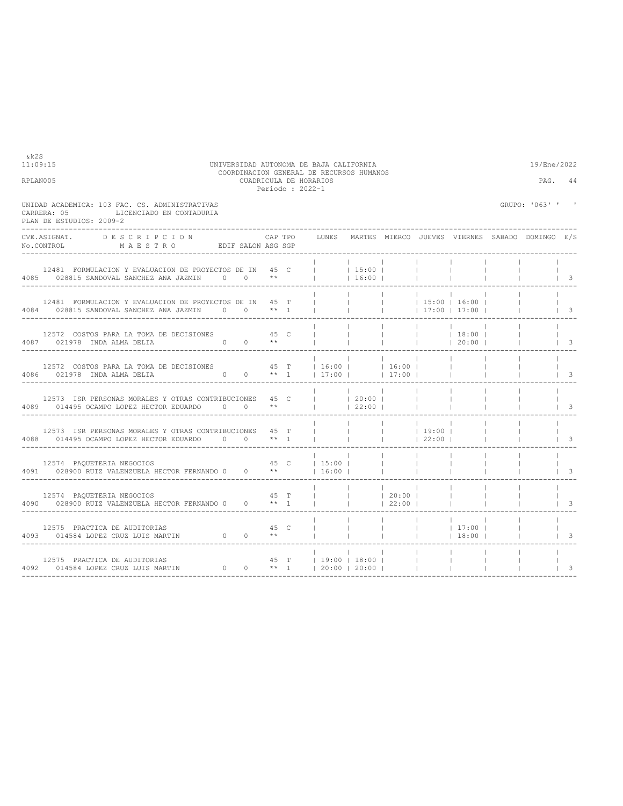|                                                                                                                                                                                                                                                                                                                                                                                                                                      |                        |      | Periodo : 2022-1 |                                 |                              |                 |                                            |                                                       |                          |
|--------------------------------------------------------------------------------------------------------------------------------------------------------------------------------------------------------------------------------------------------------------------------------------------------------------------------------------------------------------------------------------------------------------------------------------|------------------------|------|------------------|---------------------------------|------------------------------|-----------------|--------------------------------------------|-------------------------------------------------------|--------------------------|
| UNIDAD ACADEMICA: 103 FAC. CS. ADMINISTRATIVAS<br>LICENCIADO EN CONTADURIA<br>CARRERA: 05<br>PLAN DE ESTUDIOS: 2009-2                                                                                                                                                                                                                                                                                                                |                        |      |                  |                                 |                              |                 |                                            | GRUPO: '063' ' '                                      |                          |
| CVE.ASIGNAT. DESCRIPCION                                                                                                                                                                                                                                                                                                                                                                                                             |                        |      | CAP TPO          |                                 |                              |                 |                                            | LUNES MARTES MIERCO JUEVES VIERNES SABADO DOMINGO E/S |                          |
| 12481 FORMULACION Y EVALUACION DE PROYECTOS DE IN 45 C<br>4085 028815 SANDOVAL SANCHEZ ANA JAZMIN 0 0 **                                                                                                                                                                                                                                                                                                                             |                        |      |                  | $1 \t15:00 \t1$<br> 16:00       | <b>Contract</b><br>$\sim$ 1. |                 |                                            |                                                       | $\vert$ 3                |
| 12481 FORMULACION Y EVALUACION DE PROYECTOS DE IN 45 T<br>4084 028815 SANDOVAL SANCHEZ ANA JAZMIN 0 0 ** 1                                                                                                                                                                                                                                                                                                                           |                        |      |                  |                                 | $\mathbb{R}^n$               |                 | $ $ 15:00   16:00  <br>$17:00$ $17:00$ $1$ |                                                       | $\vert$ 3                |
| 12572 COSTOS PARA LA TOMA DE DECISIONES 45 C<br>4087 021978 INDA ALMA DELIA                                                                                                                                                                                                                                                                                                                                                          | $0 \t 0 \t \star\star$ |      |                  |                                 |                              |                 | $ $ 18:00  <br> 20:00                      |                                                       | $\overline{\phantom{a}}$ |
| 12572 COSTOS PARA LA TOMA DE DECISIONES $45$ T $16:00$   16:00   16:00  <br>4086 021978 INDA ALMA DELIA $0 \t 0 \t \star 1$   17:00     17:00                                                                                                                                                                                                                                                                                        |                        |      |                  |                                 |                              |                 |                                            |                                                       | $\vert$ 3                |
| 12573 ISR PERSONAS MORALES Y OTRAS CONTRIBUCIONES 45 C     20:00  <br>4089 014495 OCAMPO LOPEZ HECTOR EDUARDO 0 0 **     22:00                                                                                                                                                                                                                                                                                                       |                        |      |                  |                                 |                              | <b>Contract</b> |                                            |                                                       | $\overline{\phantom{a}}$ |
| 12573 ISR PERSONAS MORALES Y OTRAS CONTRIBUCIONES 45 T<br>4088 014495 OCAMPO LOPEZ HECTOR EDUARDO 0 0 ** 1                                                                                                                                                                                                                                                                                                                           |                        |      |                  | the contract of the contract of | $ $ 19:00                    |                 |                                            |                                                       | $\vert$ 3                |
| 12574 PAQUETERIA NEGOCIOS<br>4091 028900 RUIZ VALENZUELA HECTOR FERNANDO 0 0 $**$                                                                                                                                                                                                                                                                                                                                                    |                        |      |                  | 45 C   15:00  <br>$1\,6:00$ 1   |                              |                 |                                            |                                                       | $\vert$ 3                |
| $\begin{tabular}{lllllll} \multicolumn{2}{l}{{\bf 12574}} & \multicolumn{2}{l}{\bf PAQUETERIA NEGOCIOS} & \multicolumn{2}{l}{\bf 45} & \multicolumn{2}{l}{\bf T} \\ \multicolumn{2}{l}{\bf 4090} & \multicolumn{2}{l}{\bf 028900~RUIZ VALENZUELA HECTOR FERNANDO} & \multicolumn{2}{l}{\bf 0} & \multicolumn{2}{l}{\bf 0} & \multicolumn{2}{l}{\bf 0} & \multicolumn{2}{l}{\bf 0} & \multicolumn{2}{l}{\bf 0} & \multicolumn{2}{l}{$ |                        |      |                  |                                 | 22:00                        |                 |                                            |                                                       | $\overline{\phantom{a}}$ |
| 12575 PRACTICA DE AUDITORIAS                                                                                                                                                                                                                                                                                                                                                                                                         |                        | 45 C |                  |                                 | The Control of               |                 | $17:00$  <br> 18:00                        |                                                       | $\overline{\phantom{a}}$ |
| ---------------------------------                                                                                                                                                                                                                                                                                                                                                                                                    |                        |      |                  | . _ _ _ _ _ _ _ _ _ _ _ _ _ _   |                              | <b>Contract</b> |                                            |                                                       | 3                        |

11:09:15 UNIVERSIDAD AUTONOMA DE BAJA CALIFORNIA 19/Ene/2022 COORDINACION GENERAL DE RECURSOS HUMANOS RPLAN005 CUADRICULA DE HORARIOS PAG. 44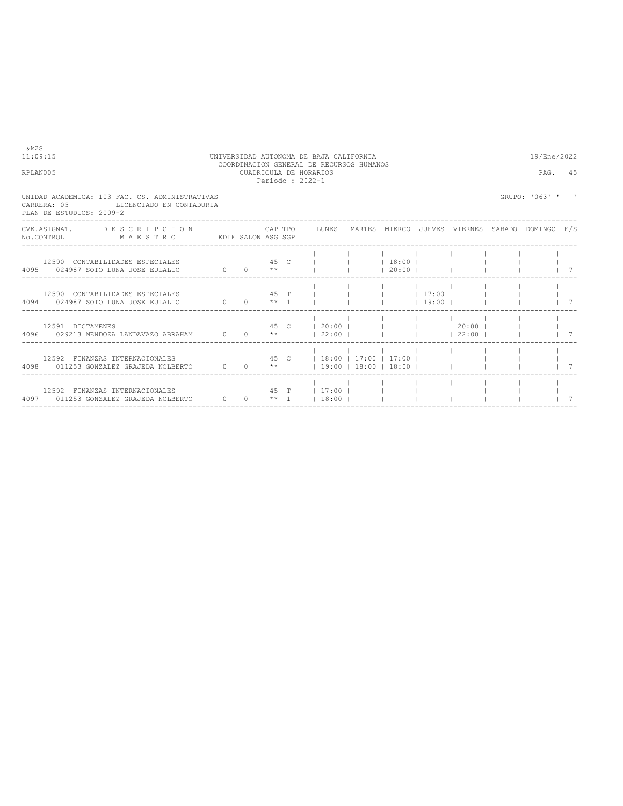$&k2S$ <br>11:09:15

11:09:15 UNIVERSIDAD AUTONOMA DE BAJA CALIFORNIA 19/Ene/2022 COORDINACION GENERAL DE RECURSOS HUMANOS RPLAN005 **ENTRAL DE RECURSOS HUMANOS** RPLAN005 CUADRICULA DE HORARIOS PAG. 45 Periodo : 2022-1

UNIDAD ACADEMICA: 103 FAC. CS. ADMINISTRATIVAS GRUPO: '063' ' '

CARRERA: 05 LICENCIADO EN CONTADURIA PLAN DE ESTUDIOS: 2009-2 ---------------------------------------------------------------------------------------------------------------------------------- CVE.ASIGNAT. DE S C R I P C I O N CAP TPO LUNES MARTES MIERCO JUEVES VIERNES SABADO DOMINGO E/S<br>No.CONTROL M A E S T R O EDIF SALON ASG SGP CVE. ASIGNAT. DESCRIPCION<br>No.CONTROL MAESTRO ---------------------------------------------------------------------------------------------------------------------------------- | | | | | | | | 12590 CONTABILIDADES ESPECIALES 45 C | | | 18:00 | | | | | 4095 024987 SOTO LUNA JOSE EULALIO 0 0 \*\* | | | 20:00 | | | | | 7 ---------------------------------------------------------------------------------------------------------------------------------- | | | | | | | | 12590 CONTABILIDADES ESPECIALES 45 T | | | | 17:00 | | | | 4094 024987 SOTO LUNA JOSE EULALIO 0 0 \*\* 1 | | | | 19:00 | | | | 7 ---------------------------------------------------------------------------------------------------------------------------------- | | | | | | | | 12591 DICTAMENES 45 C | 20:00 | | | | 20:00 | | | 4096 029213 MENDOZA LANDAVAZO ABRAHAM 0 0 \*\* | 22:00 | | | | 22:00 | | | 7 ---------------------------------------------------------------------------------------------------------------------------------- | | | | | | | | 12592 FINANZAS INTERNACIONALES 45 C | 18:00 | 17:00 | 17:00 | | | | | 4098 011253 GONZALEZ GRAJEDA NOLBERTO 0 0 \*\* | 19:00 | 18:00 | 18:00 | | | | | 7 ---------------------------------------------------------------------------------------------------------------------------------- | | | | | | | | 12592 FINANZAS INTERNACIONALES 45 T | 17:00 | | | | | | | 4097 011253 GONZALEZ GRAJEDA NOLBERTO 0 0 \*\* 1 | 18:00 | | | | | | | 7 ----------------------------------------------------------------------------------------------------------------------------------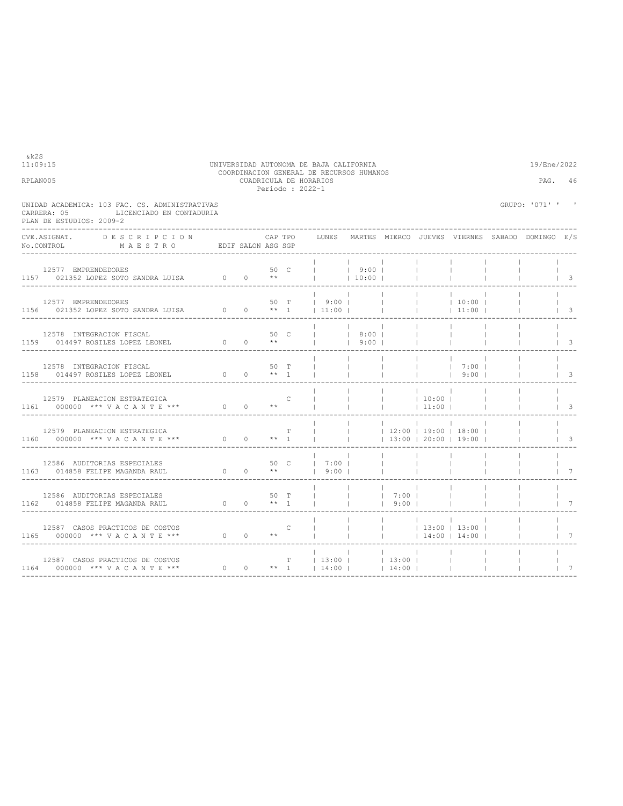| UNIDAD ACADEMICA: 103 FAC. CS. ADMINISTRATIVAS<br>CARRERA: 05<br>LICENCIADO EN CONTADURIA<br>PLAN DE ESTUDIOS: 2009-2                                                                                                                                                                                                                                                                                                                                                              |                                                                                    |                         |                |                                                               |                          |                                   |                          |                                                              | GRUPO: '071' ' ' |                                  |
|------------------------------------------------------------------------------------------------------------------------------------------------------------------------------------------------------------------------------------------------------------------------------------------------------------------------------------------------------------------------------------------------------------------------------------------------------------------------------------|------------------------------------------------------------------------------------|-------------------------|----------------|---------------------------------------------------------------|--------------------------|-----------------------------------|--------------------------|--------------------------------------------------------------|------------------|----------------------------------|
| CVE.ASIGNAT. DESCRIPCION<br>$\verb NO.CONTROL  \qquad \qquad \verb M A E S T R O  \qquad \qquad \verb EDIF SALON ASG SGP  \qquad \qquad \verb N.ACS  \qquad \qquad \verb N.ACS  \qquad \qquad \verb N.ACS  \qquad \qquad \verb N.ACS  \qquad \qquad \verb N.ACS  \qquad \qquad \verb N.ACS  \qquad \qquad \verb N.ACS  \qquad \qquad \verb N.ACS  \qquad \qquad \verb N.ACS  \qquad \qquad \verb N.ACS  \qquad \qquad \verb N.ACS  \qquad \qquad \verb N.ACS  \qquad \qquad \verb$ |                                                                                    |                         |                | CAP TPO LUNES MARTES MIERCO JUEVES VIERNES SABADO DOMINGO E/S |                          |                                   |                          |                                                              |                  |                                  |
| 12577 EMPRENDEDORES<br>1157 021352 LOPEZ SOTO SANDRA LUISA 0 0 **                                                                                                                                                                                                                                                                                                                                                                                                                  |                                                                                    |                         |                | 50 C     9:00  <br>**     10:00                               | 10:00                    |                                   | <b>Contract</b>          |                                                              |                  | $\vert$ 3                        |
| 12577 EMPRENDEDORES<br>1156 021352 LOPEZ SOTO SANDRA LUISA 0 0 ** 1   11:00                                                                                                                                                                                                                                                                                                                                                                                                        |                                                                                    |                         | 50 T           | $1 \t9:00 \t1$                                                |                          |                                   | <b>Contract Contract</b> | $10:00$  <br> 11:00                                          |                  | $\vert$ 3                        |
| 12578 INTEGRACION FISCAL<br>1159 014497 ROSILES LOPEZ LEONEL                                                                                                                                                                                                                                                                                                                                                                                                                       | $\begin{matrix} & & & & & 50 & \text{C} \\ 0 & & 0 & & & \star \star \end{matrix}$ |                         |                | 8:00  <br>$1 \t 9:00 \t 1$                                    |                          |                                   | $\sim$ 1.0               |                                                              |                  | $\sqrt{3}$                       |
| 12578 INTEGRACION FISCAL<br>1158 014497 ROSILES LOPEZ LEONEL                                                                                                                                                                                                                                                                                                                                                                                                                       | $\begin{matrix} & & & & & 50 & \text{T} \\ 0 & & 0 & & \ast\star & 1 \end{matrix}$ | 50 T                    |                |                                                               |                          | The Corp.                         |                          | 7:00  <br>$1 \t9:00 \t1$                                     |                  | $\begin{array}{ccc} \end{array}$ |
| 12579 PLANEACION ESTRATEGICA<br>1161 000000 *** VACANTE *** 0 0 **                                                                                                                                                                                                                                                                                                                                                                                                                 |                                                                                    |                         | $\overline{C}$ |                                                               | <b>Contract Contract</b> | $\frac{1}{2}$ 10:00<br>$ $ 11:00  |                          |                                                              |                  | $\vert$ 3                        |
| 12579 PLANEACION ESTRATEGICA<br>1160 000000 *** VACANTE ***                                                                                                                                                                                                                                                                                                                                                                                                                        | $0 \t 0 \t \star 1$                                                                |                         | T              |                                                               |                          |                                   |                          | $ $ 12:00   19:00   18:00  <br>$\vert$ 13:00   20:00   19:00 |                  | $\vert$ 3                        |
| 12586 AUDITORIAS ESPECIALES<br>1163 014858 FELIPE MAGANDA RAUL                                                                                                                                                                                                                                                                                                                                                                                                                     | $\begin{matrix} & & & & & 50 & C \\ 0 & & 0 & & \star\star \end{matrix}$           |                         |                | 50 C   7:00  <br>19:001                                       |                          |                                   |                          |                                                              |                  | $\overline{7}$                   |
| 12586 AUDITORIAS ESPECIALES<br>1162 014858 FELIPE MAGANDA RAUL                                                                                                                                                                                                                                                                                                                                                                                                                     | $0 \t 50 \t T$<br>0 0 ** 1                                                         |                         |                | <b>Contract Contract Contract</b>                             |                          | $1 \t7:00 \t1$<br>$1\quad 9:00$ 1 |                          | <b>Contract Contract</b>                                     |                  | $\overline{7}$                   |
| 12587 CASOS PRACTICOS DE COSTOS<br>1165 000000 *** VACANTE *** 0 0 **                                                                                                                                                                                                                                                                                                                                                                                                              |                                                                                    | $\overline{\mathbf{C}}$ |                |                                                               |                          |                                   | and the state            | $\sim$ 1.0<br>$ $ 13:00   13:00  <br> 14:00 14:00            |                  | $1 \quad 7$                      |
| 12587 CASOS PRACTICOS DE COSTOS<br>1164 000000 *** VACANTE ***                                                                                                                                                                                                                                                                                                                                                                                                                     |                                                                                    |                         |                | $T = 13:00$ $13:00$ $13:00$ $1$<br>0 0 ** 1   14:00     14:00 |                          |                                   |                          |                                                              |                  | $7\phantom{0}$                   |

----------------------------------------------------------------------------------------------------------------------------------

11:09:15 UNIVERSIDAD AUTONOMA DE BAJA CALIFORNIA 19/Ene/2022 COORDINACION GENERAL DE RECURSOS HUMANOS RPLAN005 CUADRICULA DE HORARIOS PAG. 46 Periodo : 2022-1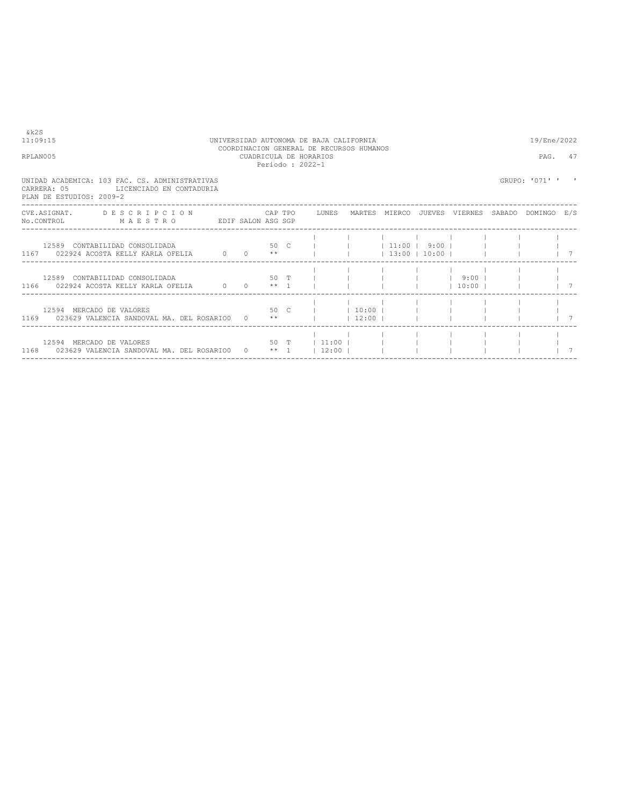| & k2S<br>11:09:15<br>RPLAN005                                                                                                  |  |  | UNIVERSIDAD AUTONOMA DE BAJA CALIFORNIA<br>COORDINACION GENERAL DE RECURSOS HUMANOS<br>CUADRICULA DE HORARIOS<br>Periodo: 2022-1 |  |                     | 19/Ene/2022<br>PAG. | 47 |
|--------------------------------------------------------------------------------------------------------------------------------|--|--|----------------------------------------------------------------------------------------------------------------------------------|--|---------------------|---------------------|----|
| UNIDAD ACADEMICA: 103 FAC. CS. ADMINISTRATIVAS<br>CARRERA: 05<br>LICENCIADO EN CONTADURIA<br>PLAN DE ESTUDIOS: 2009-2          |  |  |                                                                                                                                  |  |                     | GRUPO: '071' '      |    |
| CVE.ASIGNAT. DESCRIPCION CAPTPO LUNES MARTES MIERCO JUEVES VIERNES SABADO DOMINGO E/S<br>No.CONTROL MAESTRO EDIF SALON ASG SGP |  |  |                                                                                                                                  |  |                     |                     |    |
| 12589 CONTABILIDAD CONSOLIDADA<br>1167 022924 ACOSTA KELLY KARLA OFELIA $0$ 0 $**$                                             |  |  | 50 C         11:00   9:00                                                                                                        |  | $13:00$ $10:00$ $1$ |                     |    |
| 12589 CONTABILIDAD CONSOLIDADA<br>1166 022924 ACOSTA KELLY KARLA OFELIA 0 0 0 ** 1 1                                           |  |  | $50$ T $\qquad$                                                                                                                  |  | $10:00$ $1$         |                     |    |
| $50 C$     10:00        <br>12594 MERCADO DE VALORES<br>1169 023629 VALENCIA SANDOVAL MA. DEL ROSARIO0 0 **     12:00          |  |  |                                                                                                                                  |  |                     |                     |    |
| 12594 MERCADO DE VALORES<br>1168 023629 VALENCIA SANDOVAL MA. DEL ROSARIO0                                                     |  |  | 50 T   11:00    <br>$0 \qquad$ ** 1   12:00                                                                                      |  |                     |                     |    |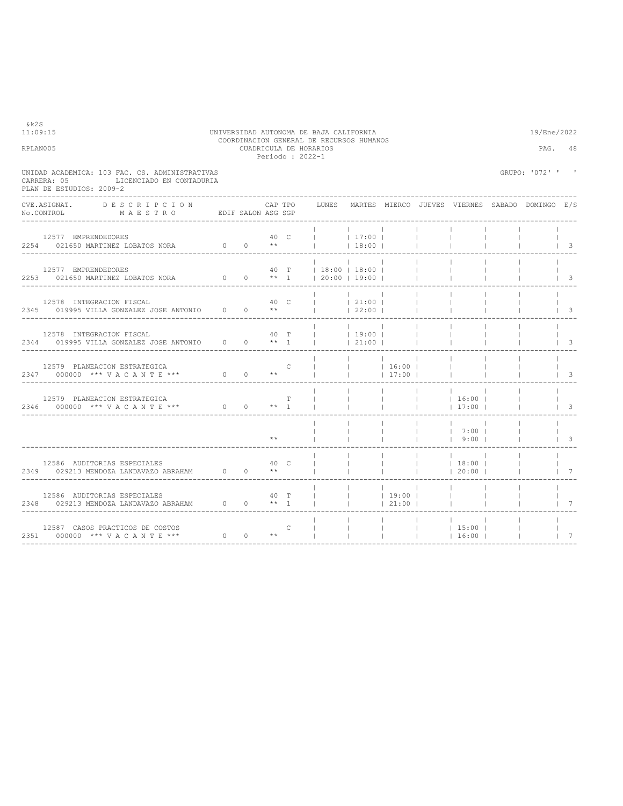| 11:09:15<br>RPLAN005 |                                                                                                                                                                                                                            |      |         |               | UNIVERSIDAD AUTONOMA DE BAJA CALIFORNIA<br>COORDINACION GENERAL DE RECURSOS HUMANOS<br>CUADRICULA DE HORARIOS<br>Periodo : 2022-1 |                  |                                            |              |                            |           | 19/Ene/2022      | PAG. 48                          |
|----------------------|----------------------------------------------------------------------------------------------------------------------------------------------------------------------------------------------------------------------------|------|---------|---------------|-----------------------------------------------------------------------------------------------------------------------------------|------------------|--------------------------------------------|--------------|----------------------------|-----------|------------------|----------------------------------|
|                      | UNIDAD ACADEMICA: 103 FAC. CS. ADMINISTRATIVAS<br>LICENCIADO EN CONTADURIA<br>CARRERA: 05<br>PLAN DE ESTUDIOS: 2009-2                                                                                                      |      |         |               |                                                                                                                                   |                  |                                            |              |                            |           | GRUPO: '072' ' ' |                                  |
|                      | CVE.ASIGNAT.<br>DESCRIPCION<br>No.CONTROL MAESTRO EDIF SALON ASG SGP                                                                                                                                                       |      | CAP TPO |               | LUNES MARTES MIERCO JUEVES VIERNES SABADO DOMINGO E/S                                                                             |                  |                                            |              |                            |           |                  |                                  |
|                      | 12577 EMPRENDEDORES<br>$2254$ 021650 MARTINEZ LOBATOS NORA $0$ 0 $**$                                                                                                                                                      |      | 40 C    |               |                                                                                                                                   | 17:00 <br> 18:00 |                                            |              |                            |           |                  | $\begin{array}{ccc} \end{array}$ |
|                      | 12577 EMPRENDEDORES<br>2253 021650 MARTINEZ LOBATOS NORA 0 0 ** 1   20:00   19:00                                                                                                                                          |      |         |               | 40 T   18:00   18:00                                                                                                              |                  | $\sim$ 1.<br><b>Contract</b>               |              |                            |           |                  | $\vert$ 3                        |
|                      | 12578 INTEGRACION FISCAL<br>2345 019995 VILLA GONZALEZ JOSE ANTONIO 0 0 **                                                                                                                                                 |      | 40 C    |               | <b>Contract Contract</b>                                                                                                          | 21:00 <br> 22:00 | $\sim$ 10                                  |              |                            |           |                  | $\vert$ 3                        |
|                      | 12578 INTEGRACION FISCAL<br>2344 019995 VILLA GONZALEZ JOSE ANTONIO 0 0 ** 1                                                                                                                                               |      | 40 T    |               | $ $ 19:00                                                                                                                         | $\sim$ 1.        | 21:00                                      |              |                            |           |                  | $\overline{\phantom{a}}$         |
|                      | 12579 PLANEACION ESTRATEGICA<br>2347 000000 *** VACANTE *** 0 0 **                                                                                                                                                         |      |         | $\mathcal{C}$ |                                                                                                                                   |                  | and the contract<br>  16:00  <br>$ $ 17:00 |              | <b>College</b>             |           |                  | -3                               |
|                      | 12579 PLANEACION ESTRATEGICA<br>2346 000000 *** VACANTE *** 0 0 ** 1                                                                                                                                                       |      |         | T             |                                                                                                                                   |                  |                                            | $\mathbf{1}$ | 16:00 <br> 17:00           |           |                  | $\overline{3}$                   |
|                      |                                                                                                                                                                                                                            |      |         |               |                                                                                                                                   |                  |                                            | $\mathbf{1}$ | 17:001<br>$1$ 9:00 1       |           |                  | $\overline{\phantom{a}}$         |
|                      | $\begin{tabular}{lllllllllll} & 12586 & \texttt{AUDITORIAS} & \texttt{SPECIALES} & & & 40 & \texttt{C} \\ 2349 & 029213 & \texttt{MENDOZA} & \texttt{LANDAVAZO} & \texttt{BRRHAM} & & 0 & 0 & & \star \star \end{tabular}$ | 40 C |         |               |                                                                                                                                   |                  |                                            | $\mathbb{R}$ | 18:00 <br> 20:00           |           |                  | $7\phantom{0}7$                  |
|                      |                                                                                                                                                                                                                            |      |         |               | $\mathbb{R}$                                                                                                                      | <b>College</b>   | 19:00 <br> 21:00                           |              | <b>College</b>             |           |                  | 7                                |
|                      |                                                                                                                                                                                                                            |      |         |               | and the Tara                                                                                                                      |                  | <b>Contract Contract</b>                   |              | $1 \t15:00 \t1$<br>  16:00 | $\sim$ 1. |                  | $1 \quad 7$                      |

&k2S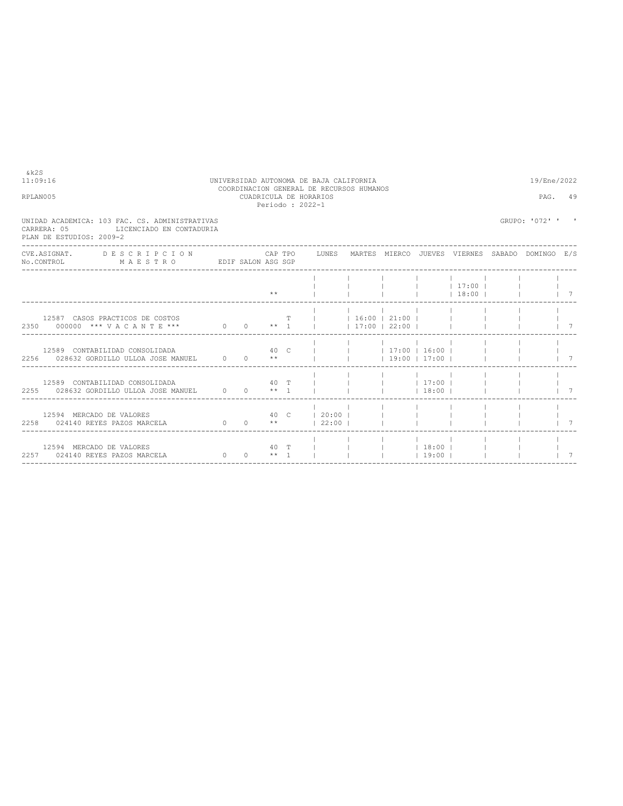| 11:09:16                                                                                                                                                                                                                                                                                               | UNIVERSIDAD AUTONOMA DE BAJA CALIFORNIA                                                |             | 19/Ene/2022 |  |                    |  |  |  |  |  |                  |                |  |
|--------------------------------------------------------------------------------------------------------------------------------------------------------------------------------------------------------------------------------------------------------------------------------------------------------|----------------------------------------------------------------------------------------|-------------|-------------|--|--------------------|--|--|--|--|--|------------------|----------------|--|
| RPLAN005                                                                                                                                                                                                                                                                                               | COORDINACION GENERAL DE RECURSOS HUMANOS<br>CUADRICULA DE HORARIOS<br>Periodo : 2022-1 |             |             |  |                    |  |  |  |  |  | PAG. 49          |                |  |
| UNIDAD ACADEMICA: 103 FAC. CS. ADMINISTRATIVAS<br>CARRERA: 05 LICENCIADO EN CONTADURIA<br>PLAN DE ESTUDIOS: 2009-2                                                                                                                                                                                     |                                                                                        |             |             |  |                    |  |  |  |  |  | GRUPO: '072' ' ' |                |  |
| CVE.ASIGNAT. DESCRIPCION CAPTPO LUNES MARTES MIERCO JUEVES VIERNES SABADO DOMINGO E/S<br>No.CONTROL MAESTRO EDIF SALON ASG SGP                                                                                                                                                                         |                                                                                        |             |             |  |                    |  |  |  |  |  |                  |                |  |
|                                                                                                                                                                                                                                                                                                        |                                                                                        |             |             |  |                    |  |  |  |  |  |                  | $\overline{7}$ |  |
| 12587 CASOS PRACTICOS DE COSTOS<br>12587 CASOS PRACTICOS DE COSTOS $\begin{array}{c cccccc} & & & & & & & \text{T} & &   & &   & 16:00 &   & 21:00 &   & &   \\ \hline 2350 & 000000 & *** & V & A & C & A & N & T & E & *** & 0 & 0 & * & * & 1 &   &   & 17:00 &   & 22:00 &   & &   \\ \end{array}$ |                                                                                        | $\mathbf T$ |             |  |                    |  |  |  |  |  |                  | $1 \quad 7$    |  |
| 12589 CONTABILIDAD CONSOLIDADA $40$ C       17:00   16:00      <br>2256 028632 GORDILLO ULLOA JOSE MANUEL 0 0 **       19:00   17:00                                                                                                                                                                   |                                                                                        |             |             |  |                    |  |  |  |  |  |                  | $1 \quad 7$    |  |
| 12589 CONTABILIDAD CONSOLIDADA $\begin{array}{cccccccc} 40 & T &   &   &   &   &   & 17:00   &   \\ 2255 & 028632 & GORDILLO & ULLOA & JOSE MANUEL & 0 & 0 & * & 1 &   &   &   &   & 18:00   &   \\ \end{array}$                                                                                       |                                                                                        |             |             |  |                    |  |  |  |  |  |                  | $1 \quad 7$    |  |
|                                                                                                                                                                                                                                                                                                        |                                                                                        |             |             |  |                    |  |  |  |  |  |                  | $\overline{7}$ |  |
| 12594 MERCADO DE VALORES<br>2257 024140 REYES PAZOS MARCELA 0 0 0 ** 1                 19:00                                                                                                                                                                                                           |                                                                                        |             |             |  | 40 T         18:00 |  |  |  |  |  |                  | 7              |  |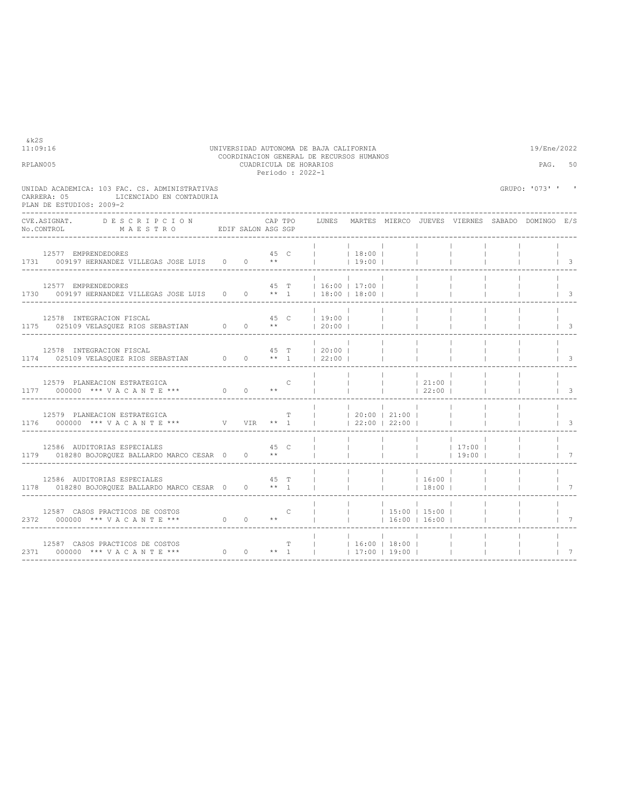| RPLAN005                                                                                                                                                                  | CUADRICULA DE HORARIOS<br>Periodo: 2022-1 | 50<br>PAG.        |           |                                     |                                                           |                                                                                                                                      |                                                 |                                        |
|---------------------------------------------------------------------------------------------------------------------------------------------------------------------------|-------------------------------------------|-------------------|-----------|-------------------------------------|-----------------------------------------------------------|--------------------------------------------------------------------------------------------------------------------------------------|-------------------------------------------------|----------------------------------------|
| UNIDAD ACADEMICA: 103 FAC. CS. ADMINISTRATIVAS<br>LICENCIADO EN CONTADURIA<br>CARRERA: 05<br>PLAN DE ESTUDIOS: 2009-2                                                     |                                           |                   |           |                                     |                                                           |                                                                                                                                      | GRUPO: '073' ' '                                |                                        |
| CVE.ASIGNAT.<br>DESCRIPCION<br>$\verb No.CONTROL  \qquad \verb MAESTRO  \qquad \verb EDIF SALON ASC SGP  \qquad \verb SALON ASC  \qquad \verb SSP    \qquad \verb SALON}$ | CAP TPO                                   | LUNES             |           |                                     |                                                           |                                                                                                                                      | MARTES MIERCO JUEVES VIERNES SABADO DOMINGO E/S |                                        |
| 12577 EMPRENDEDORES<br>1731 009197 HERNANDEZ VILLEGAS JOSE LUIS 0 0 **                                                                                                    | 45 C                                      | $ $ 18:00         | $19:00$   |                                     |                                                           |                                                                                                                                      |                                                 | $\begin{array}{ccc} & & 3 \end{array}$ |
| 12577 EMPRENDEDORES<br>1730 009197 HERNANDEZ VILLEGAS JOSE LUIS 0 0 ** 1   18:00   18:00                                                                                  | 45 T   16:00   17:00                      |                   |           |                                     |                                                           |                                                                                                                                      |                                                 | $\overline{\phantom{a}}$               |
| 12578 INTEGRACION FISCAL<br>1175 025109 VELASQUEZ RIOS SEBASTIAN 0 0 **   20:00                                                                                           | 45 C   19:00                              |                   | $\sim$ 10 | <b>Contract Contract</b>            |                                                           |                                                                                                                                      |                                                 | $\overline{\phantom{a}}$               |
| 12578 INTEGRACION FISCAL<br>1174 025109 VELASQUEZ RIOS SEBASTIAN 0 0 ** 1   22:00                                                                                         | 45 T   20:00                              |                   |           |                                     |                                                           |                                                                                                                                      |                                                 | $\overline{\mathbf{3}}$                |
| 12579 PLANEACION ESTRATEGICA<br>1177 000000 *** VACANTE *** 0 0 **                                                                                                        | C                                         |                   |           |                                     | <b>Contract Contract</b><br>$ $ 22:00                     |                                                                                                                                      |                                                 | $\overline{\phantom{a}}$               |
| 12579 PLANEACION ESTRATEGICA                                                                                                                                              | T.                                        | 20:00   21:00     |           | $\vert$ 22:00 $\vert$ 22:00 $\vert$ |                                                           |                                                                                                                                      |                                                 | $\overline{\phantom{a}}$               |
| 12586 AUDITORIAS ESPECIALES<br>1179 018280 BOJORQUEZ BALLARDO MARCO CESAR 0 0 **                                                                                          | 45 C                                      |                   |           |                                     |                                                           | $\begin{array}{ccccccccccccccccc} &   & &   & &   & &   & &   & 17:00 &   \\ &   & &   & &   & &   & &   & 19:00 &   \\ \end{array}$ |                                                 | $7\phantom{0}7$                        |
| 12586 AUDITORIAS ESPECIALES<br>1178 018280 BOJOROUEZ BALLARDO MARCO CESAR 0 0 ** 1                                                                                        | 45 T                                      |                   |           | <b>Contract Contract</b>            | <b>Contract</b><br> 18:00                                 |                                                                                                                                      |                                                 | $\overline{7}$                         |
| 12587 CASOS PRACTICOS DE COSTOS                                                                                                                                           | $\mathsf{C}$                              |                   |           |                                     | <b>Contract</b><br>$ $ 15:00   15:00  <br>$16:00$   16:00 |                                                                                                                                      |                                                 | $7\phantom{0}$                         |
| 12587 CASOS PRACTICOS DE COSTOS<br>2371 000000 *** VACANTE ***                                                                                                            | $\mathbb T$ . The $\mathbb T$             | $ $ 16:00   18:00 |           | $17:00$ $19:00$ $1$                 |                                                           |                                                                                                                                      |                                                 | 7                                      |

11:09:16 UNIVERSIDAD AUTONOMA DE BAJA CALIFORNIA 19/Ene/2022 COORDINACION GENERAL DE RECURSOS HUMANOS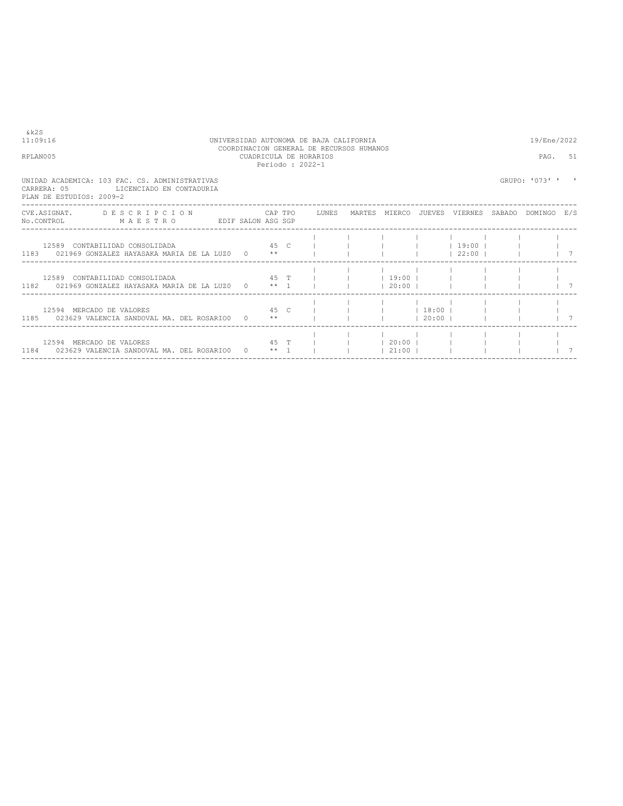| & k2S<br>11:09:16<br>RPLAN005                                                                                                     | UNIVERSIDAD AUTONOMA DE BAJA CALIFORNIA<br>COORDINACION GENERAL DE RECURSOS HUMANOS<br>CUADRICULA DE HORARIOS<br>Periodo: 2022-1 |              |      |                         |  |                           |                                                                        |                                 |  | 19/Ene/2022<br>PAG.<br>51 |  |  |  |  |
|-----------------------------------------------------------------------------------------------------------------------------------|----------------------------------------------------------------------------------------------------------------------------------|--------------|------|-------------------------|--|---------------------------|------------------------------------------------------------------------|---------------------------------|--|---------------------------|--|--|--|--|
| UNIDAD ACADEMICA: 103 FAC. CS. ADMINISTRATIVAS<br>CARRERA: 05<br>LICENCIADO EN CONTADURIA<br>PLAN DE ESTUDIOS: 2009-2             |                                                                                                                                  |              |      |                         |  |                           |                                                                        |                                 |  | GRUPO: '073' '            |  |  |  |  |
| CVE.ASIGNAT. DESCRIPCION CAPTPO LUNES MARTES MIERCO JUEVES VIERNES SABADO DOMINGO E/S<br>EDIF SALON ASG SGP<br>NO.CONTROL MAESTRO |                                                                                                                                  |              |      |                         |  |                           |                                                                        |                                 |  |                           |  |  |  |  |
| 45 <sub>C</sub><br>12589 CONTABILIDAD CONSOLIDADA<br>$1183$ 021969 GONZALEZ HAYASAKA MARIA DE LA LUZO 0 $**$                      |                                                                                                                                  |              |      |                         |  |                           |                                                                        | $1 \t19:00 \t1$<br>$122:00$ $1$ |  |                           |  |  |  |  |
| 12589 CONTABILIDAD CONSOLIDADA<br>$1182$ 021969 GONZALEZ HAYASAKA MARIA DE LA LUZO 0 $**$ 1                                       |                                                                                                                                  |              |      | $45$ T I                |  | $19:00$ 1<br>$120:00$ $1$ |                                                                        |                                 |  |                           |  |  |  |  |
| 45 <sub>C</sub><br>12594 MERCADO DE VALORES<br>1185 023629 VALENCIA SANDOVAL MA. DEL ROSARIO0 0 **                                |                                                                                                                                  |              |      |                         |  |                           | $\begin{array}{ccc} \vert & \vert & 18:00 \end{array}$<br>$120:00$ $1$ |                                 |  |                           |  |  |  |  |
| 12594 MERCADO DE VALORES<br>1184 023629 VALENCIA SANDOVAL MA. DEL ROSARIO0                                                        |                                                                                                                                  | $0 \times 1$ | 45 T | the control of the con- |  | $120:00$ $1$<br> 21:00    |                                                                        |                                 |  |                           |  |  |  |  |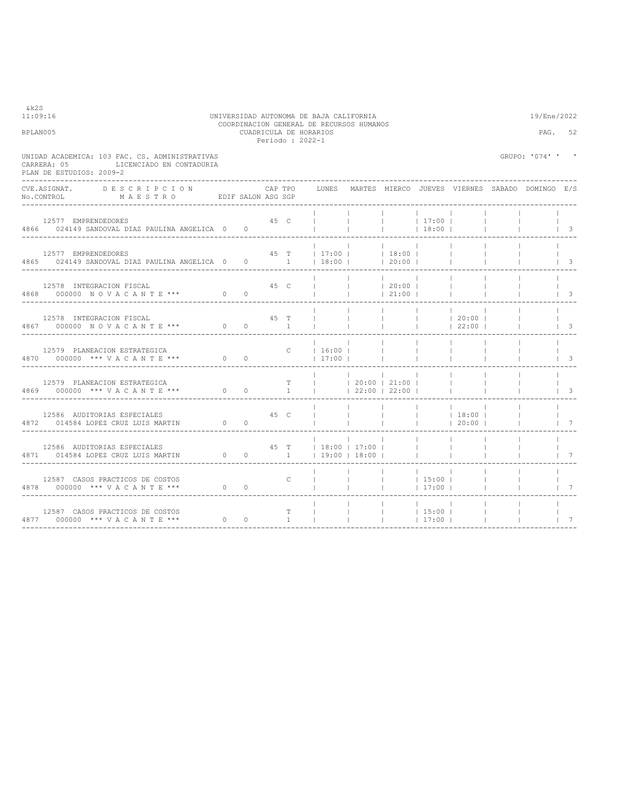| COORDINACION GENERAL DE RECURSOS HUMANOS<br>RPLAN005<br>CUADRICULA DE HORARIOS<br>Periodo: 2022-1                            |  |  |      |              |                                                                                                                                                                                                                                                                                                                     |                                     |                                 |                          |                                                                                            | PAG.<br>52               |                                                                           |                                                 |
|------------------------------------------------------------------------------------------------------------------------------|--|--|------|--------------|---------------------------------------------------------------------------------------------------------------------------------------------------------------------------------------------------------------------------------------------------------------------------------------------------------------------|-------------------------------------|---------------------------------|--------------------------|--------------------------------------------------------------------------------------------|--------------------------|---------------------------------------------------------------------------|-------------------------------------------------|
| UNIDAD ACADEMICA: 103 FAC. CS. ADMINISTRATIVAS<br>LICENCIADO EN CONTADURIA<br>CARRERA: 05<br>PLAN DE ESTUDIOS: 2009-2        |  |  |      |              |                                                                                                                                                                                                                                                                                                                     |                                     |                                 |                          |                                                                                            |                          | GRUPO: '074' ' '                                                          |                                                 |
| CVE.ASIGNAT. DESCRIPCION CAPTPO<br>No.CONTROL MAESTRO EDIF SALON ASG SGP                                                     |  |  |      |              |                                                                                                                                                                                                                                                                                                                     |                                     |                                 |                          |                                                                                            |                          | CAP TPO    LUNES   MARTES  MIERCO  JUEVES  VIERNES  SABADO  DOMINGO   E/S |                                                 |
|                                                                                                                              |  |  |      |              |                                                                                                                                                                                                                                                                                                                     |                                     |                                 |                          |                                                                                            |                          |                                                                           |                                                 |
| 45 T   17:00     18:00    <br>12577 EMPRENDEDORES<br>4865 024149 SANDOVAL DIAZ PAULINA ANGELICA 0 0 0 1   18:00     20:00    |  |  |      |              | the contract of the con-                                                                                                                                                                                                                                                                                            |                                     | the contract of the contract of |                          |                                                                                            | <b>Contract</b>          | <b>Contract Contract</b><br>$\begin{array}{ccc} & & 3 \\ \end{array}$     |                                                 |
|                                                                                                                              |  |  |      |              |                                                                                                                                                                                                                                                                                                                     |                                     |                                 |                          |                                                                                            | $\sim$ 1.                | <b>Contract Contract</b>                                                  | $\vert$ $\vert$ $\vert$ $\vert$ $\vert$ $\vert$ |
| 12578 INTEGRACION FISCAL 45 T             20:00           1<br>4867 000000 NOVACANTE *** 0 0 1               22:00         3 |  |  |      |              |                                                                                                                                                                                                                                                                                                                     |                                     |                                 |                          | $45$ T $\left $ $\right $ $\left $ $\right $ $\left $ $\right $ $\left $ $20:00$ $\right $ |                          |                                                                           |                                                 |
| -----------------------------                                                                                                |  |  |      |              |                                                                                                                                                                                                                                                                                                                     |                                     |                                 | <b>Contract Contract</b> | $\sim 10^{-11}$<br>the contract of the contract of the con-                                | <b>Contract Contract</b> |                                                                           | $\vert$ 3                                       |
| 12579 PLANEACION ESTRATEGICA<br>4869 000000 *** VACANTE *** 0 0 1       22:00   21:00                                        |  |  |      |              |                                                                                                                                                                                                                                                                                                                     | the contract of the contract of the | and the property of the         |                          |                                                                                            |                          |                                                                           | $\vert$ 3                                       |
| 12586 AUDITORIAS ESPECIALES<br>4872 014584 LOPEZ CRUZ LUIS MARTIN 0 0                                                        |  |  | 45 C |              |                                                                                                                                                                                                                                                                                                                     |                                     |                                 |                          |                                                                                            |                          | <b>Contract Contract</b>                                                  | $1 \quad 7$                                     |
| 12586 AUDITORIAS ESPECIALES<br>4871 014584 LOPEZ CRUZ LUIS MARTIN 0 0 0 1   19:00   18:00   1                                |  |  |      |              | 45 T   18:00   17:00                                                                                                                                                                                                                                                                                                | and the con-                        |                                 |                          | <b>Contract Contract</b>                                                                   |                          |                                                                           | $\begin{array}{ccc} \end{array}$                |
| 12587 CASOS PRACTICOS DE COSTOS<br>4878 000000 *** VACANTE *** 0 0                                                           |  |  |      | $\mathsf{C}$ | $\frac{1}{2}$ $\frac{1}{2}$ $\frac{1}{2}$ $\frac{1}{2}$ $\frac{1}{2}$ $\frac{1}{2}$ $\frac{1}{2}$ $\frac{1}{2}$ $\frac{1}{2}$ $\frac{1}{2}$ $\frac{1}{2}$ $\frac{1}{2}$ $\frac{1}{2}$ $\frac{1}{2}$ $\frac{1}{2}$ $\frac{1}{2}$ $\frac{1}{2}$ $\frac{1}{2}$ $\frac{1}{2}$ $\frac{1}{2}$ $\frac{1}{2}$ $\frac{1}{2}$ |                                     |                                 |                          |                                                                                            | <b>Contract Contract</b> |                                                                           | $\begin{array}{ccc} & & 7 \end{array}$          |
| -----------------------------------                                                                                          |  |  |      |              |                                                                                                                                                                                                                                                                                                                     |                                     |                                 |                          |                                                                                            |                          |                                                                           | $1 \quad 7$                                     |

### 11:09:16 UNIVERSIDAD AUTONOMA DE BAJA CALIFORNIA 19/Ene/2022 COORDINACION GENERAL DE RECURSOS HUMANOS